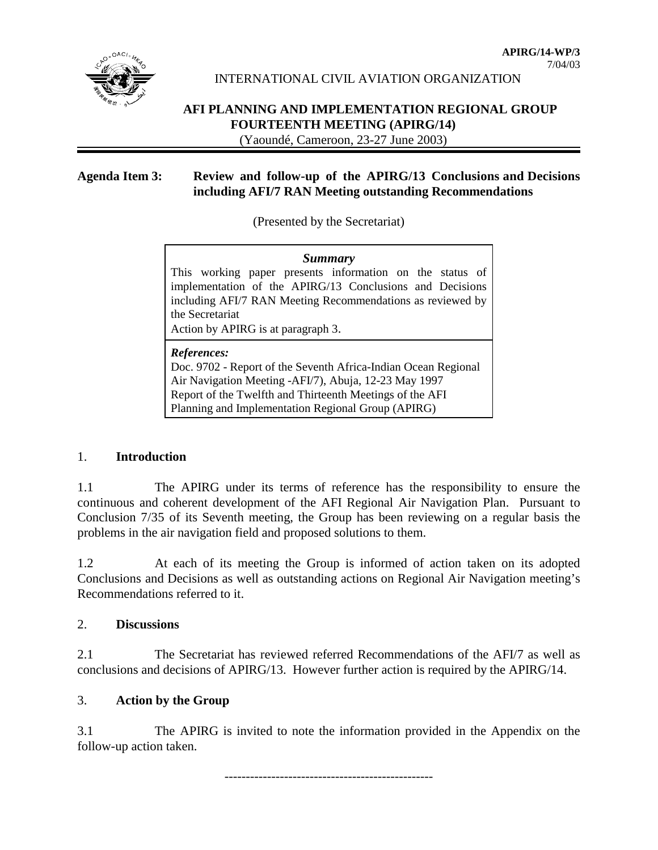

INTERNATIONAL CIVIL AVIATION ORGANIZATION

# **AFI PLANNING AND IMPLEMENTATION REGIONAL GROUP FOURTEENTH MEETING (APIRG/14)**

(Yaoundé, Cameroon, 23-27 June 2003)

# **Agenda Item 3: Review and follow-up of the APIRG/13 Conclusions and Decisions including AFI/7 RAN Meeting outstanding Recommendations**

(Presented by the Secretariat)

| Summary                                                    |  |  |  |  |
|------------------------------------------------------------|--|--|--|--|
| This working paper presents information on the status of   |  |  |  |  |
| implementation of the APIRG/13 Conclusions and Decisions   |  |  |  |  |
| including AFI/7 RAN Meeting Recommendations as reviewed by |  |  |  |  |
| the Secretariat                                            |  |  |  |  |
| Action by APIRG is at paragraph 3.                         |  |  |  |  |
|                                                            |  |  |  |  |

#### *References:*

Doc. 9702 - Report of the Seventh Africa-Indian Ocean Regional Air Navigation Meeting -AFI/7), Abuja, 12-23 May 1997 Report of the Twelfth and Thirteenth Meetings of the AFI Planning and Implementation Regional Group (APIRG)

## 1. **Introduction**

1.1 The APIRG under its terms of reference has the responsibility to ensure the continuous and coherent development of the AFI Regional Air Navigation Plan. Pursuant to Conclusion 7/35 of its Seventh meeting, the Group has been reviewing on a regular basis the problems in the air navigation field and proposed solutions to them.

1.2 At each of its meeting the Group is informed of action taken on its adopted Conclusions and Decisions as well as outstanding actions on Regional Air Navigation meeting's Recommendations referred to it.

## 2. **Discussions**

2.1 The Secretariat has reviewed referred Recommendations of the AFI/7 as well as conclusions and decisions of APIRG/13. However further action is required by the APIRG/14.

## 3. **Action by the Group**

3.1 The APIRG is invited to note the information provided in the Appendix on the follow-up action taken.

-------------------------------------------------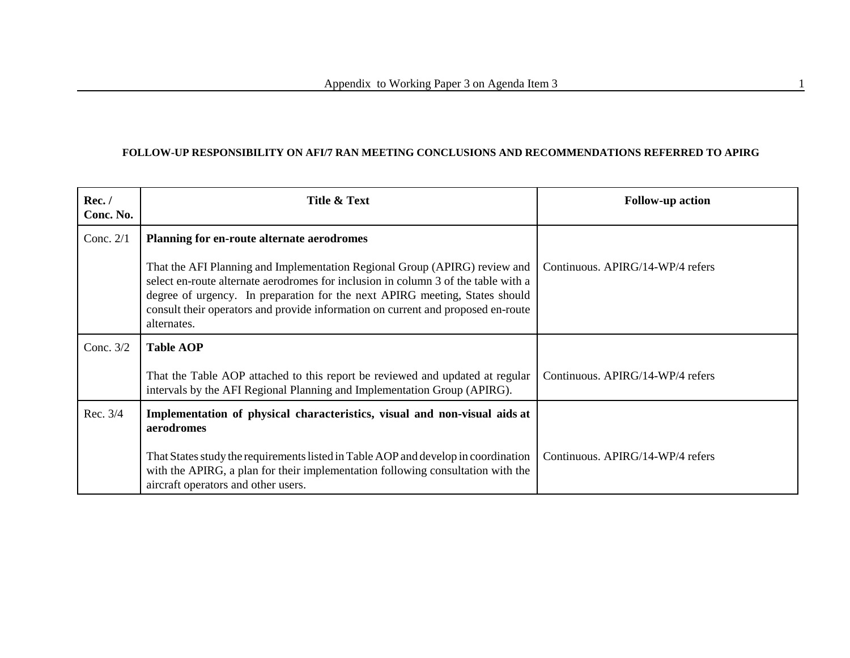#### **FOLLOW-UP RESPONSIBILITY ON AFI/7 RAN MEETING CONCLUSIONS AND RECOMMENDATIONS REFERRED TO APIRG**

| Rec./<br>Conc. No. | Title & Text                                                                                                                                                                                                                                                                                                                                       | <b>Follow-up action</b>          |
|--------------------|----------------------------------------------------------------------------------------------------------------------------------------------------------------------------------------------------------------------------------------------------------------------------------------------------------------------------------------------------|----------------------------------|
| Conc. $2/1$        | Planning for en-route alternate aerodromes                                                                                                                                                                                                                                                                                                         |                                  |
|                    | That the AFI Planning and Implementation Regional Group (APIRG) review and<br>select en-route alternate aerodromes for inclusion in column 3 of the table with a<br>degree of urgency. In preparation for the next APIRG meeting, States should<br>consult their operators and provide information on current and proposed en-route<br>alternates. | Continuous. APIRG/14-WP/4 refers |
| Conc. $3/2$        | <b>Table AOP</b>                                                                                                                                                                                                                                                                                                                                   |                                  |
|                    | That the Table AOP attached to this report be reviewed and updated at regular<br>intervals by the AFI Regional Planning and Implementation Group (APIRG).                                                                                                                                                                                          | Continuous. APIRG/14-WP/4 refers |
| Rec. 3/4           | Implementation of physical characteristics, visual and non-visual aids at<br>aerodromes                                                                                                                                                                                                                                                            |                                  |
|                    | That States study the requirements listed in Table AOP and develop in coordination<br>with the APIRG, a plan for their implementation following consultation with the<br>aircraft operators and other users.                                                                                                                                       | Continuous. APIRG/14-WP/4 refers |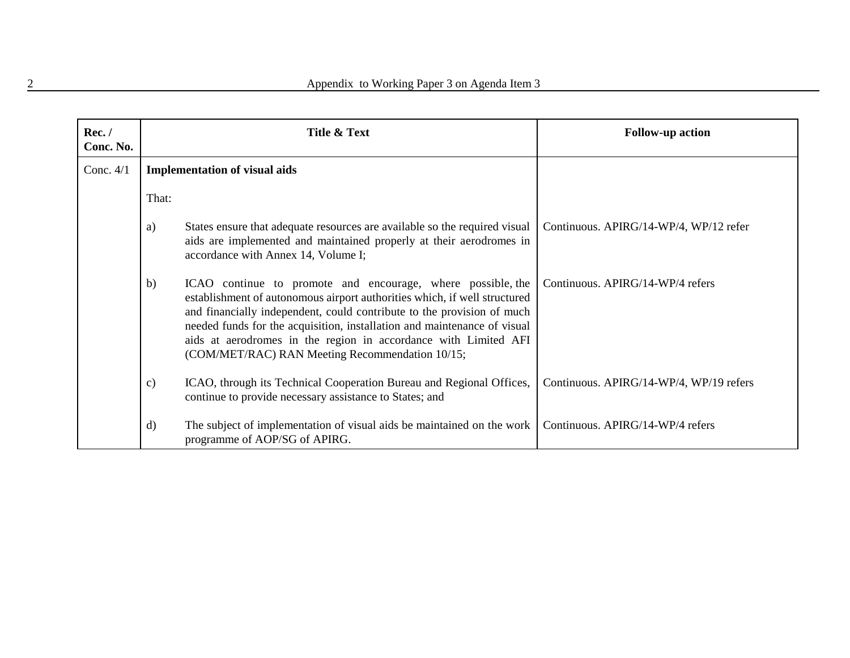| Rec. /<br>Conc. No. |               | Title & Text                                                                                                                                                                                                                                                                                                                                                                                                         | <b>Follow-up action</b>                 |
|---------------------|---------------|----------------------------------------------------------------------------------------------------------------------------------------------------------------------------------------------------------------------------------------------------------------------------------------------------------------------------------------------------------------------------------------------------------------------|-----------------------------------------|
| Conc. $4/1$         |               | <b>Implementation of visual aids</b>                                                                                                                                                                                                                                                                                                                                                                                 |                                         |
|                     | That:         |                                                                                                                                                                                                                                                                                                                                                                                                                      |                                         |
|                     | a)            | States ensure that adequate resources are available so the required visual<br>aids are implemented and maintained properly at their aerodromes in<br>accordance with Annex 14, Volume I;                                                                                                                                                                                                                             | Continuous. APIRG/14-WP/4, WP/12 refer  |
|                     | b)            | ICAO continue to promote and encourage, where possible, the<br>establishment of autonomous airport authorities which, if well structured<br>and financially independent, could contribute to the provision of much<br>needed funds for the acquisition, installation and maintenance of visual<br>aids at aerodromes in the region in accordance with Limited AFI<br>(COM/MET/RAC) RAN Meeting Recommendation 10/15; | Continuous. APIRG/14-WP/4 refers        |
|                     | $\mathbf{c})$ | ICAO, through its Technical Cooperation Bureau and Regional Offices,<br>continue to provide necessary assistance to States; and                                                                                                                                                                                                                                                                                      | Continuous. APIRG/14-WP/4, WP/19 refers |
|                     | d)            | The subject of implementation of visual aids be maintained on the work<br>programme of AOP/SG of APIRG.                                                                                                                                                                                                                                                                                                              | Continuous. APIRG/14-WP/4 refers        |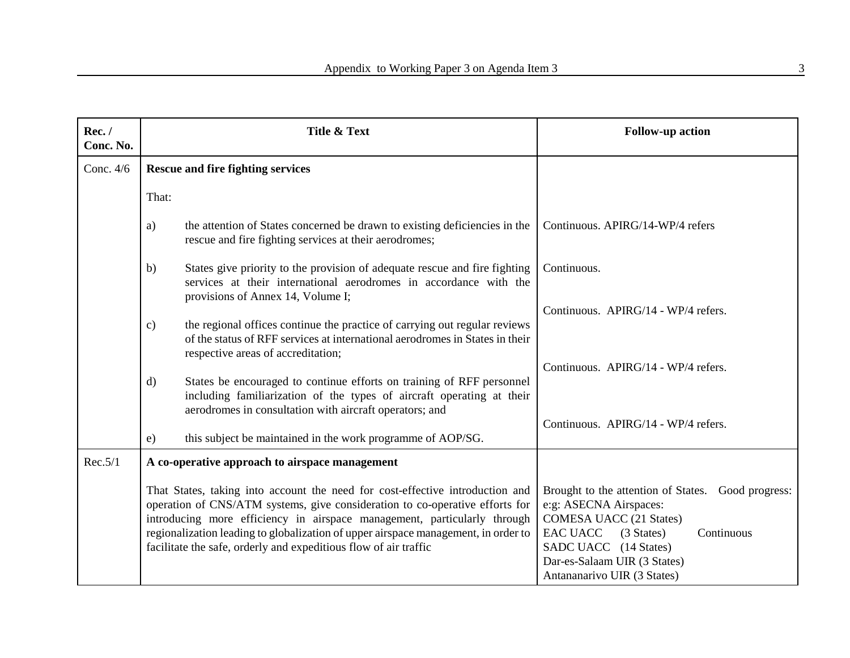| Rec./<br>Conc. No. | Title & Text                                                                                                                                                                                                                                                                                                                                                                                        | <b>Follow-up action</b>                                                                                                                                                                                                                               |
|--------------------|-----------------------------------------------------------------------------------------------------------------------------------------------------------------------------------------------------------------------------------------------------------------------------------------------------------------------------------------------------------------------------------------------------|-------------------------------------------------------------------------------------------------------------------------------------------------------------------------------------------------------------------------------------------------------|
| Conc. 4/6          | <b>Rescue and fire fighting services</b>                                                                                                                                                                                                                                                                                                                                                            |                                                                                                                                                                                                                                                       |
|                    | That:                                                                                                                                                                                                                                                                                                                                                                                               |                                                                                                                                                                                                                                                       |
|                    | the attention of States concerned be drawn to existing deficiencies in the<br>a)<br>rescue and fire fighting services at their aerodromes;                                                                                                                                                                                                                                                          | Continuous. APIRG/14-WP/4 refers                                                                                                                                                                                                                      |
|                    | States give priority to the provision of adequate rescue and fire fighting<br>b)<br>services at their international aerodromes in accordance with the<br>provisions of Annex 14, Volume I;                                                                                                                                                                                                          | Continuous.                                                                                                                                                                                                                                           |
|                    | the regional offices continue the practice of carrying out regular reviews<br>$\mathbf{c})$<br>of the status of RFF services at international aerodromes in States in their<br>respective areas of accreditation;                                                                                                                                                                                   | Continuous. APIRG/14 - WP/4 refers.                                                                                                                                                                                                                   |
|                    | States be encouraged to continue efforts on training of RFF personnel<br>$\mathbf{d}$<br>including familiarization of the types of aircraft operating at their<br>aerodromes in consultation with aircraft operators; and                                                                                                                                                                           | Continuous. APIRG/14 - WP/4 refers.                                                                                                                                                                                                                   |
|                    | this subject be maintained in the work programme of AOP/SG.<br>e)                                                                                                                                                                                                                                                                                                                                   | Continuous. APIRG/14 - WP/4 refers.                                                                                                                                                                                                                   |
| Rec.5/1            | A co-operative approach to airspace management                                                                                                                                                                                                                                                                                                                                                      |                                                                                                                                                                                                                                                       |
|                    | That States, taking into account the need for cost-effective introduction and<br>operation of CNS/ATM systems, give consideration to co-operative efforts for<br>introducing more efficiency in airspace management, particularly through<br>regionalization leading to globalization of upper airspace management, in order to<br>facilitate the safe, orderly and expeditious flow of air traffic | Brought to the attention of States. Good progress:<br>e:g: ASECNA Airspaces:<br><b>COMESA UACC (21 States)</b><br><b>EAC UACC</b><br>(3 States)<br>Continuous<br>SADC UACC (14 States)<br>Dar-es-Salaam UIR (3 States)<br>Antananarivo UIR (3 States) |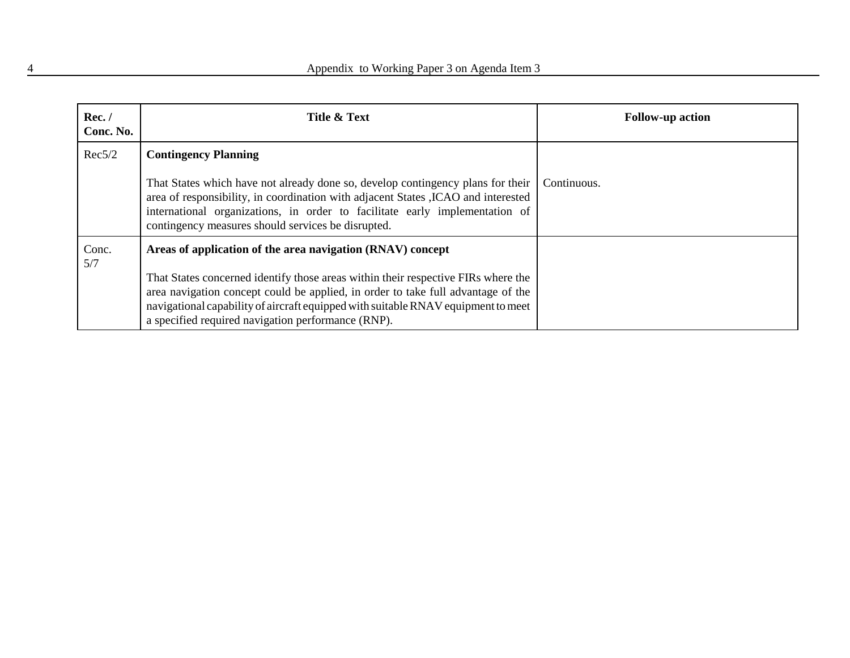| Rec./<br>Conc. No. | Title & Text                                                                                                                                                                                                                                                                                                             | <b>Follow-up action</b> |
|--------------------|--------------------------------------------------------------------------------------------------------------------------------------------------------------------------------------------------------------------------------------------------------------------------------------------------------------------------|-------------------------|
| Rec5/2             | <b>Contingency Planning</b>                                                                                                                                                                                                                                                                                              |                         |
|                    | That States which have not already done so, develop contingency plans for their<br>area of responsibility, in coordination with adjacent States , ICAO and interested<br>international organizations, in order to facilitate early implementation of<br>contingency measures should services be disrupted.               | Continuous.             |
| Conc.<br>5/7       | Areas of application of the area navigation (RNAV) concept<br>That States concerned identify those areas within their respective FIRs where the<br>area navigation concept could be applied, in order to take full advantage of the<br>navigational capability of aircraft equipped with suitable RNAV equipment to meet |                         |
|                    | a specified required navigation performance (RNP).                                                                                                                                                                                                                                                                       |                         |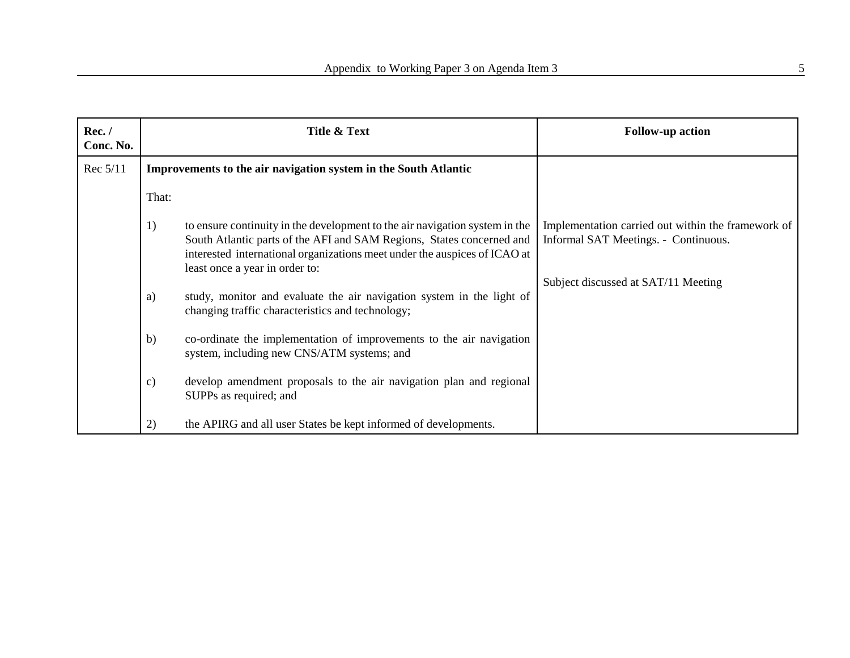| Rec./<br>Conc. No. | Title & Text                                                                                                                                                                                                                                                              | <b>Follow-up action</b>                                                                    |
|--------------------|---------------------------------------------------------------------------------------------------------------------------------------------------------------------------------------------------------------------------------------------------------------------------|--------------------------------------------------------------------------------------------|
| Rec 5/11           | Improvements to the air navigation system in the South Atlantic                                                                                                                                                                                                           |                                                                                            |
|                    | That:                                                                                                                                                                                                                                                                     |                                                                                            |
|                    | to ensure continuity in the development to the air navigation system in the<br>1)<br>South Atlantic parts of the AFI and SAM Regions, States concerned and<br>interested international organizations meet under the auspices of ICAO at<br>least once a year in order to: | Implementation carried out within the framework of<br>Informal SAT Meetings. - Continuous. |
|                    | study, monitor and evaluate the air navigation system in the light of<br>a)<br>changing traffic characteristics and technology;                                                                                                                                           | Subject discussed at SAT/11 Meeting                                                        |
|                    | co-ordinate the implementation of improvements to the air navigation<br>b)<br>system, including new CNS/ATM systems; and                                                                                                                                                  |                                                                                            |
|                    | develop amendment proposals to the air navigation plan and regional<br>c)<br>SUPPs as required; and                                                                                                                                                                       |                                                                                            |
|                    | the APIRG and all user States be kept informed of developments.<br>2)                                                                                                                                                                                                     |                                                                                            |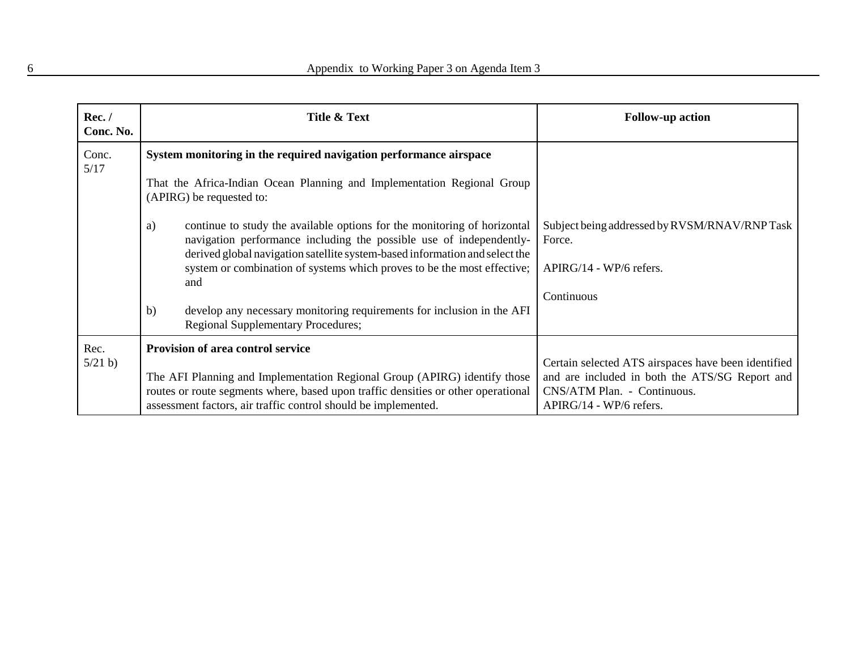| Rec./<br>Conc. No. | Title & Text                                                                                                                                                                                                                         | <b>Follow-up action</b>                                                                                                                                         |
|--------------------|--------------------------------------------------------------------------------------------------------------------------------------------------------------------------------------------------------------------------------------|-----------------------------------------------------------------------------------------------------------------------------------------------------------------|
| Conc.<br>5/17      | System monitoring in the required navigation performance airspace                                                                                                                                                                    |                                                                                                                                                                 |
|                    | That the Africa-Indian Ocean Planning and Implementation Regional Group<br>(APIRG) be requested to:                                                                                                                                  |                                                                                                                                                                 |
|                    | continue to study the available options for the monitoring of horizontal<br>a)<br>navigation performance including the possible use of independently-<br>derived global navigation satellite system-based information and select the | Subject being addressed by RVSM/RNAV/RNPTask<br>Force.                                                                                                          |
|                    | system or combination of systems which proves to be the most effective;<br>and                                                                                                                                                       | APIRG/14 - WP/6 refers.<br>Continuous                                                                                                                           |
|                    | develop any necessary monitoring requirements for inclusion in the AFI<br>b)<br><b>Regional Supplementary Procedures;</b>                                                                                                            |                                                                                                                                                                 |
| Rec.               | <b>Provision of area control service</b>                                                                                                                                                                                             |                                                                                                                                                                 |
| 5/21 b             | The AFI Planning and Implementation Regional Group (APIRG) identify those<br>routes or route segments where, based upon traffic densities or other operational<br>assessment factors, air traffic control should be implemented.     | Certain selected ATS airspaces have been identified<br>and are included in both the ATS/SG Report and<br>CNS/ATM Plan. - Continuous.<br>APIRG/14 - WP/6 refers. |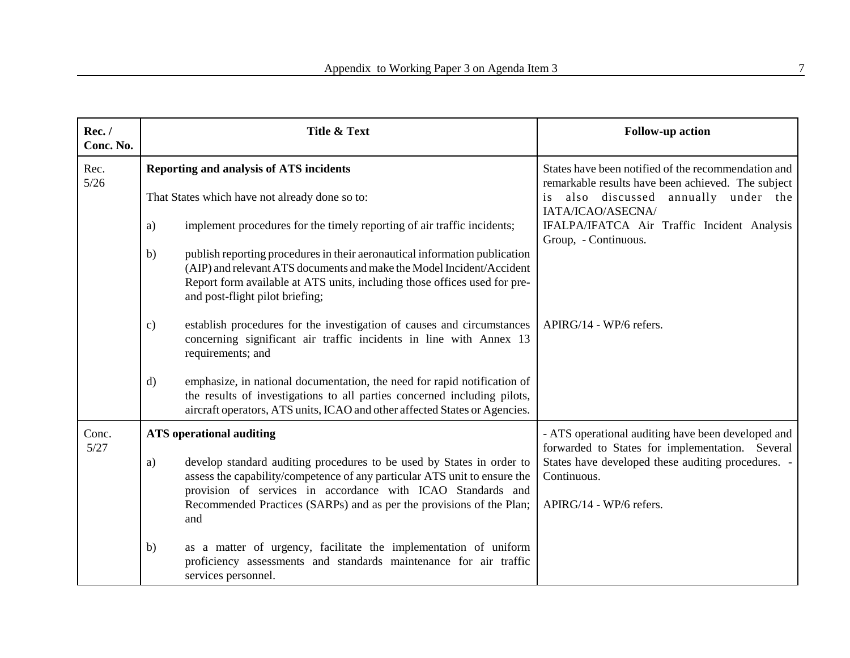| Rec./<br>Conc. No. | <b>Title &amp; Text</b>                                                                                                                                                                                                                                                   | <b>Follow-up action</b>                                                                                                                                                    |
|--------------------|---------------------------------------------------------------------------------------------------------------------------------------------------------------------------------------------------------------------------------------------------------------------------|----------------------------------------------------------------------------------------------------------------------------------------------------------------------------|
| Rec.<br>$5/26$     | Reporting and analysis of ATS incidents                                                                                                                                                                                                                                   | States have been notified of the recommendation and<br>remarkable results have been achieved. The subject                                                                  |
|                    | That States which have not already done so to:                                                                                                                                                                                                                            | also discussed annually under the<br>is.<br>IATA/ICAO/ASECNA/                                                                                                              |
|                    | implement procedures for the timely reporting of air traffic incidents;<br>a)                                                                                                                                                                                             | IFALPA/IFATCA Air Traffic Incident Analysis<br>Group, - Continuous.                                                                                                        |
|                    | publish reporting procedures in their aeronautical information publication<br>b)<br>(AIP) and relevant ATS documents and make the Model Incident/Accident<br>Report form available at ATS units, including those offices used for pre-<br>and post-flight pilot briefing; |                                                                                                                                                                            |
|                    | establish procedures for the investigation of causes and circumstances<br>$\mathbf{c})$<br>concerning significant air traffic incidents in line with Annex 13<br>requirements; and                                                                                        | APIRG/14 - WP/6 refers.                                                                                                                                                    |
|                    | emphasize, in national documentation, the need for rapid notification of<br>$\mathbf{d}$<br>the results of investigations to all parties concerned including pilots,<br>aircraft operators, ATS units, ICAO and other affected States or Agencies.                        |                                                                                                                                                                            |
| Conc.<br>5/27      | <b>ATS</b> operational auditing<br>develop standard auditing procedures to be used by States in order to<br>a)<br>assess the capability/competence of any particular ATS unit to ensure the                                                                               | - ATS operational auditing have been developed and<br>forwarded to States for implementation. Several<br>States have developed these auditing procedures. -<br>Continuous. |
|                    | provision of services in accordance with ICAO Standards and<br>Recommended Practices (SARPs) and as per the provisions of the Plan;<br>and                                                                                                                                | APIRG/14 - WP/6 refers.                                                                                                                                                    |
|                    | as a matter of urgency, facilitate the implementation of uniform<br>b)<br>proficiency assessments and standards maintenance for air traffic<br>services personnel.                                                                                                        |                                                                                                                                                                            |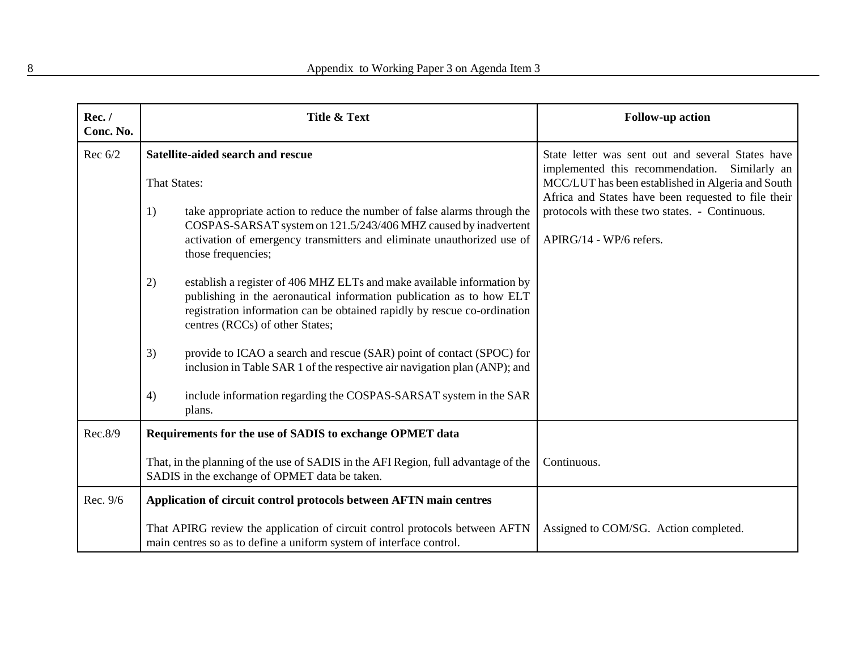| Rec./<br>Conc. No. | <b>Title &amp; Text</b>                                                                                                                                                                                                                                             | <b>Follow-up action</b>                                                                                                                                   |
|--------------------|---------------------------------------------------------------------------------------------------------------------------------------------------------------------------------------------------------------------------------------------------------------------|-----------------------------------------------------------------------------------------------------------------------------------------------------------|
| Rec $6/2$          | Satellite-aided search and rescue                                                                                                                                                                                                                                   | State letter was sent out and several States have                                                                                                         |
|                    | <b>That States:</b>                                                                                                                                                                                                                                                 | implemented this recommendation. Similarly an<br>MCC/LUT has been established in Algeria and South<br>Africa and States have been requested to file their |
|                    | take appropriate action to reduce the number of false alarms through the<br>1)<br>COSPAS-SARSAT system on 121.5/243/406 MHZ caused by inadvertent<br>activation of emergency transmitters and eliminate unauthorized use of<br>those frequencies;                   | protocols with these two states. - Continuous.<br>APIRG/14 - WP/6 refers.                                                                                 |
|                    | establish a register of 406 MHZ ELTs and make available information by<br>2)<br>publishing in the aeronautical information publication as to how ELT<br>registration information can be obtained rapidly by rescue co-ordination<br>centres (RCCs) of other States; |                                                                                                                                                           |
|                    | provide to ICAO a search and rescue (SAR) point of contact (SPOC) for<br>3)<br>inclusion in Table SAR 1 of the respective air navigation plan (ANP); and                                                                                                            |                                                                                                                                                           |
|                    | include information regarding the COSPAS-SARSAT system in the SAR<br>4)<br>plans.                                                                                                                                                                                   |                                                                                                                                                           |
| Rec.8/9            | Requirements for the use of SADIS to exchange OPMET data                                                                                                                                                                                                            |                                                                                                                                                           |
|                    | That, in the planning of the use of SADIS in the AFI Region, full advantage of the<br>SADIS in the exchange of OPMET data be taken.                                                                                                                                 | Continuous.                                                                                                                                               |
| Rec. 9/6           | Application of circuit control protocols between AFTN main centres                                                                                                                                                                                                  |                                                                                                                                                           |
|                    | That APIRG review the application of circuit control protocols between AFTN<br>main centres so as to define a uniform system of interface control.                                                                                                                  | Assigned to COM/SG. Action completed.                                                                                                                     |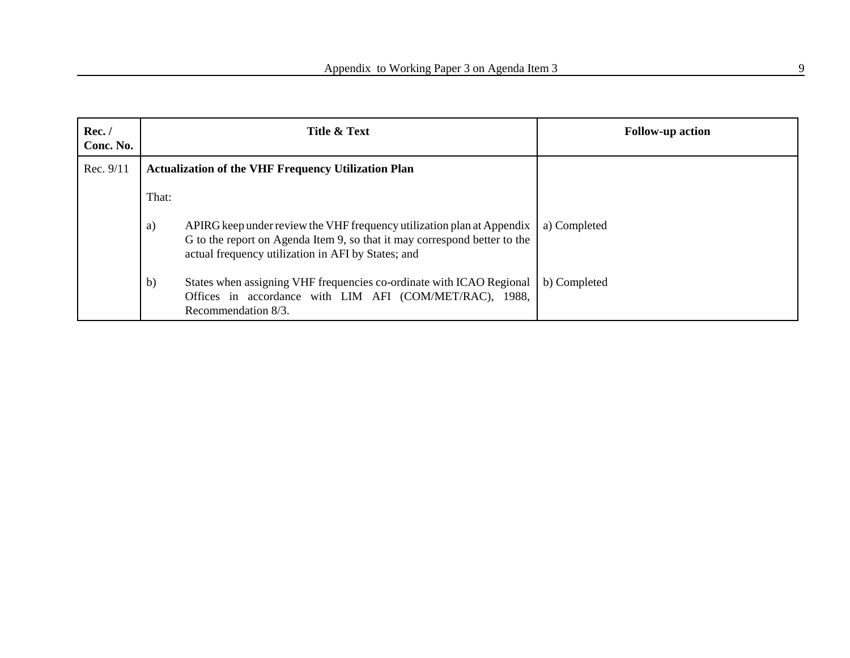| Rec./<br>Conc. No. |                                                            | Title & Text                                                                                                                                                                                              | <b>Follow-up action</b> |
|--------------------|------------------------------------------------------------|-----------------------------------------------------------------------------------------------------------------------------------------------------------------------------------------------------------|-------------------------|
| Rec. 9/11          | <b>Actualization of the VHF Frequency Utilization Plan</b> |                                                                                                                                                                                                           |                         |
|                    | That:                                                      |                                                                                                                                                                                                           |                         |
|                    | a)                                                         | APIRG keep under review the VHF frequency utilization plan at Appendix<br>G to the report on Agenda Item 9, so that it may correspond better to the<br>actual frequency utilization in AFI by States; and | a) Completed            |
|                    | $\mathbf{b}$                                               | States when assigning VHF frequencies co-ordinate with ICAO Regional<br>Offices in accordance with LIM AFI (COM/MET/RAC), 1988,<br>Recommendation 8/3.                                                    | b) Completed            |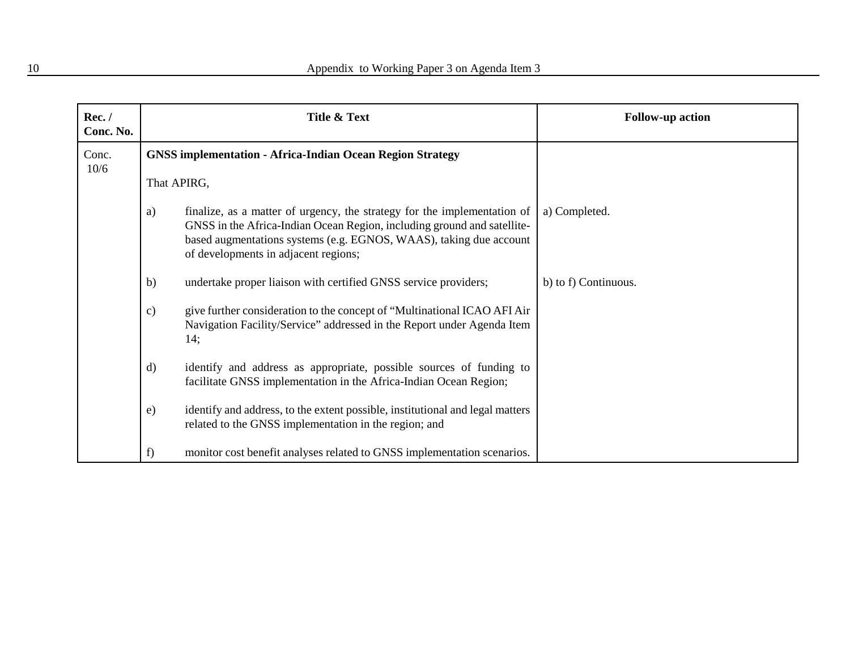| Rec./<br>Conc. No. |               | Title & Text                                                                                                                                                                                                                                                      | <b>Follow-up action</b> |
|--------------------|---------------|-------------------------------------------------------------------------------------------------------------------------------------------------------------------------------------------------------------------------------------------------------------------|-------------------------|
| Conc.<br>10/6      |               | <b>GNSS implementation - Africa-Indian Ocean Region Strategy</b>                                                                                                                                                                                                  |                         |
|                    | That APIRG,   |                                                                                                                                                                                                                                                                   |                         |
|                    | a)            | finalize, as a matter of urgency, the strategy for the implementation of<br>GNSS in the Africa-Indian Ocean Region, including ground and satellite-<br>based augmentations systems (e.g. EGNOS, WAAS), taking due account<br>of developments in adjacent regions; | a) Completed.           |
|                    | b)            | undertake proper liaison with certified GNSS service providers;                                                                                                                                                                                                   | b) to f) Continuous.    |
|                    | $\mathbf{c})$ | give further consideration to the concept of "Multinational ICAO AFI Air<br>Navigation Facility/Service" addressed in the Report under Agenda Item<br>14;                                                                                                         |                         |
|                    | d)            | identify and address as appropriate, possible sources of funding to<br>facilitate GNSS implementation in the Africa-Indian Ocean Region;                                                                                                                          |                         |
|                    | e)            | identify and address, to the extent possible, institutional and legal matters<br>related to the GNSS implementation in the region; and                                                                                                                            |                         |
|                    | f             | monitor cost benefit analyses related to GNSS implementation scenarios.                                                                                                                                                                                           |                         |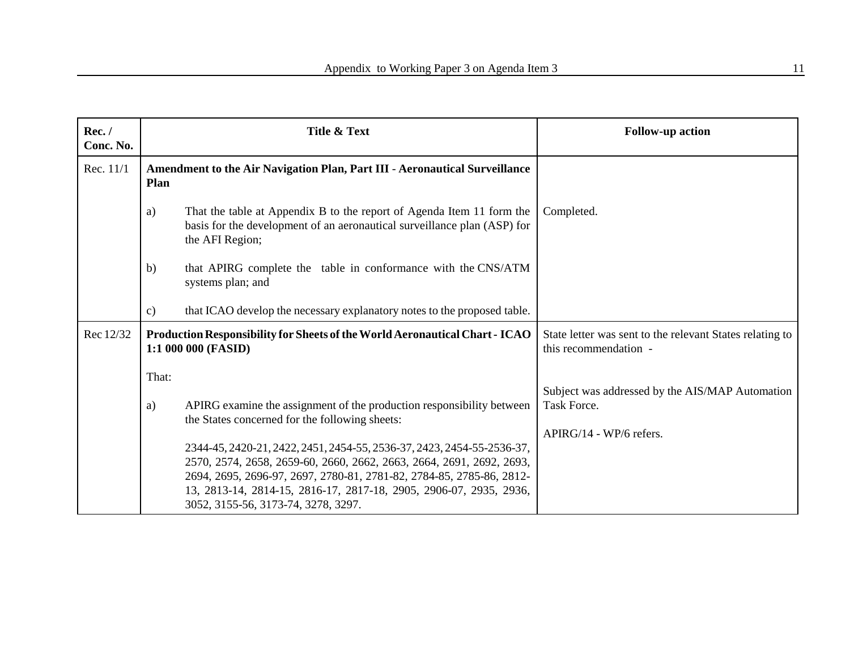| Rec./<br>Conc. No. | Title & Text                                                                                                                                                                                                                                                                                                                        | <b>Follow-up action</b>                                                           |
|--------------------|-------------------------------------------------------------------------------------------------------------------------------------------------------------------------------------------------------------------------------------------------------------------------------------------------------------------------------------|-----------------------------------------------------------------------------------|
| Rec. 11/1          | <b>Amendment to the Air Navigation Plan, Part III - Aeronautical Surveillance</b><br>Plan                                                                                                                                                                                                                                           |                                                                                   |
|                    | That the table at Appendix B to the report of Agenda Item 11 form the<br>a)<br>basis for the development of an aeronautical surveillance plan (ASP) for<br>the AFI Region;                                                                                                                                                          | Completed.                                                                        |
|                    | that APIRG complete the table in conformance with the CNS/ATM<br>b)<br>systems plan; and                                                                                                                                                                                                                                            |                                                                                   |
|                    | that ICAO develop the necessary explanatory notes to the proposed table.<br>$\mathbf{c})$                                                                                                                                                                                                                                           |                                                                                   |
| Rec 12/32          | Production Responsibility for Sheets of the World Aeronautical Chart - ICAO<br>1:1 000 000 (FASID)                                                                                                                                                                                                                                  | State letter was sent to the relevant States relating to<br>this recommendation - |
|                    | That:                                                                                                                                                                                                                                                                                                                               |                                                                                   |
|                    | APIRG examine the assignment of the production responsibility between<br>a)<br>the States concerned for the following sheets:                                                                                                                                                                                                       | Subject was addressed by the AIS/MAP Automation<br>Task Force.                    |
|                    | 2344-45, 2420-21, 2422, 2451, 2454-55, 2536-37, 2423, 2454-55-2536-37,<br>2570, 2574, 2658, 2659-60, 2660, 2662, 2663, 2664, 2691, 2692, 2693,<br>2694, 2695, 2696-97, 2697, 2780-81, 2781-82, 2784-85, 2785-86, 2812-<br>13, 2813-14, 2814-15, 2816-17, 2817-18, 2905, 2906-07, 2935, 2936,<br>3052, 3155-56, 3173-74, 3278, 3297. | $APIRG/14 - WP/6$ refers.                                                         |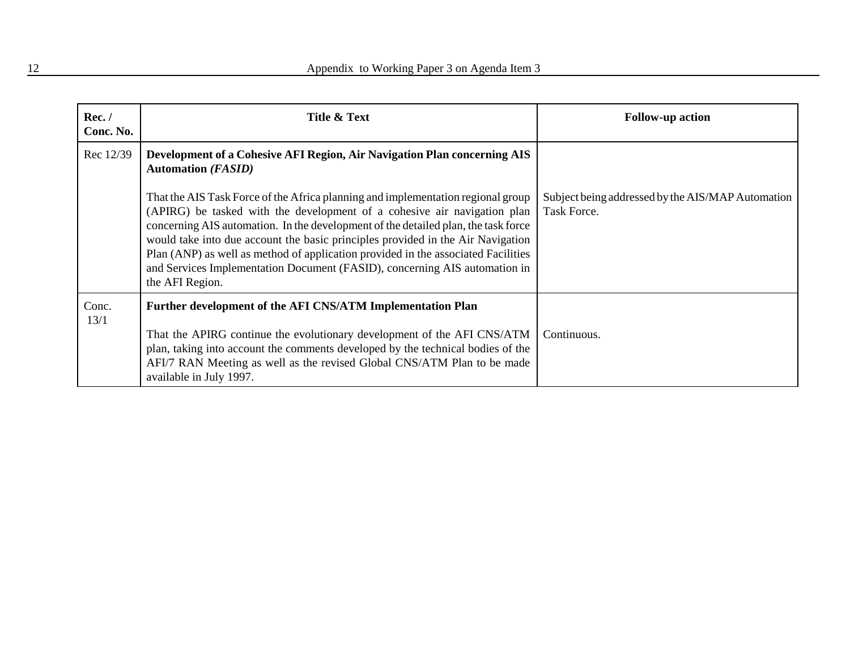| Rec./<br>Conc. No. | Title & Text                                                                                                                                                                                                                                                                                                                                                                                                                                                                                                                | <b>Follow-up action</b>                                          |
|--------------------|-----------------------------------------------------------------------------------------------------------------------------------------------------------------------------------------------------------------------------------------------------------------------------------------------------------------------------------------------------------------------------------------------------------------------------------------------------------------------------------------------------------------------------|------------------------------------------------------------------|
| Rec 12/39          | <b>Development of a Cohesive AFI Region, Air Navigation Plan concerning AIS</b><br><b>Automation (FASID)</b>                                                                                                                                                                                                                                                                                                                                                                                                                |                                                                  |
|                    | That the AIS Task Force of the Africa planning and implementation regional group<br>(APIRG) be tasked with the development of a cohesive air navigation plan<br>concerning AIS automation. In the development of the detailed plan, the task force<br>would take into due account the basic principles provided in the Air Navigation<br>Plan (ANP) as well as method of application provided in the associated Facilities<br>and Services Implementation Document (FASID), concerning AIS automation in<br>the AFI Region. | Subject being addressed by the AIS/MAP Automation<br>Task Force. |
| Conc.<br>13/1      | Further development of the AFI CNS/ATM Implementation Plan                                                                                                                                                                                                                                                                                                                                                                                                                                                                  |                                                                  |
|                    | That the APIRG continue the evolutionary development of the AFI CNS/ATM<br>plan, taking into account the comments developed by the technical bodies of the<br>AFI/7 RAN Meeting as well as the revised Global CNS/ATM Plan to be made<br>available in July 1997.                                                                                                                                                                                                                                                            | Continuous.                                                      |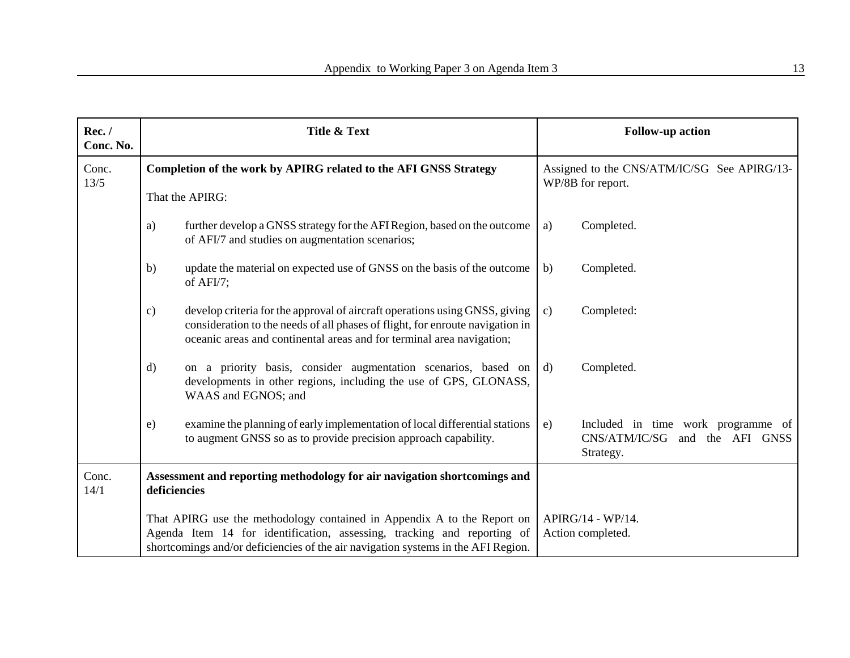| Rec./<br>Conc. No. | Title & Text                                                                                                                                                                                                                            |                                                                                                                                                                                                                                       |                                                                  | <b>Follow-up action</b>                                                              |
|--------------------|-----------------------------------------------------------------------------------------------------------------------------------------------------------------------------------------------------------------------------------------|---------------------------------------------------------------------------------------------------------------------------------------------------------------------------------------------------------------------------------------|------------------------------------------------------------------|--------------------------------------------------------------------------------------|
| Conc.<br>13/5      |                                                                                                                                                                                                                                         | Completion of the work by APIRG related to the AFI GNSS Strategy                                                                                                                                                                      | Assigned to the CNS/ATM/IC/SG See APIRG/13-<br>WP/8B for report. |                                                                                      |
|                    | That the APIRG:                                                                                                                                                                                                                         |                                                                                                                                                                                                                                       |                                                                  |                                                                                      |
|                    | a)                                                                                                                                                                                                                                      | further develop a GNSS strategy for the AFI Region, based on the outcome<br>of AFI/7 and studies on augmentation scenarios;                                                                                                           | a)                                                               | Completed.                                                                           |
|                    | b)<br>of $AFI/7$ ;                                                                                                                                                                                                                      | update the material on expected use of GNSS on the basis of the outcome                                                                                                                                                               | b)                                                               | Completed.                                                                           |
|                    | c)                                                                                                                                                                                                                                      | develop criteria for the approval of aircraft operations using GNSS, giving<br>consideration to the needs of all phases of flight, for enroute navigation in<br>oceanic areas and continental areas and for terminal area navigation; | $\mathbf{c}$ )                                                   | Completed:                                                                           |
|                    | d)                                                                                                                                                                                                                                      | on a priority basis, consider augmentation scenarios, based on<br>developments in other regions, including the use of GPS, GLONASS,<br>WAAS and EGNOS; and                                                                            | d)                                                               | Completed.                                                                           |
|                    | e)                                                                                                                                                                                                                                      | examine the planning of early implementation of local differential stations<br>to augment GNSS so as to provide precision approach capability.                                                                                        | e)                                                               | Included in time work programme of<br>CNS/ATM/IC/SG<br>and the AFI GNSS<br>Strategy. |
| Conc.<br>14/1      | Assessment and reporting methodology for air navigation shortcomings and<br>deficiencies                                                                                                                                                |                                                                                                                                                                                                                                       |                                                                  |                                                                                      |
|                    | That APIRG use the methodology contained in Appendix A to the Report on<br>Agenda Item 14 for identification, assessing, tracking and reporting of<br>shortcomings and/or deficiencies of the air navigation systems in the AFI Region. |                                                                                                                                                                                                                                       |                                                                  | APIRG/14 - WP/14.<br>Action completed.                                               |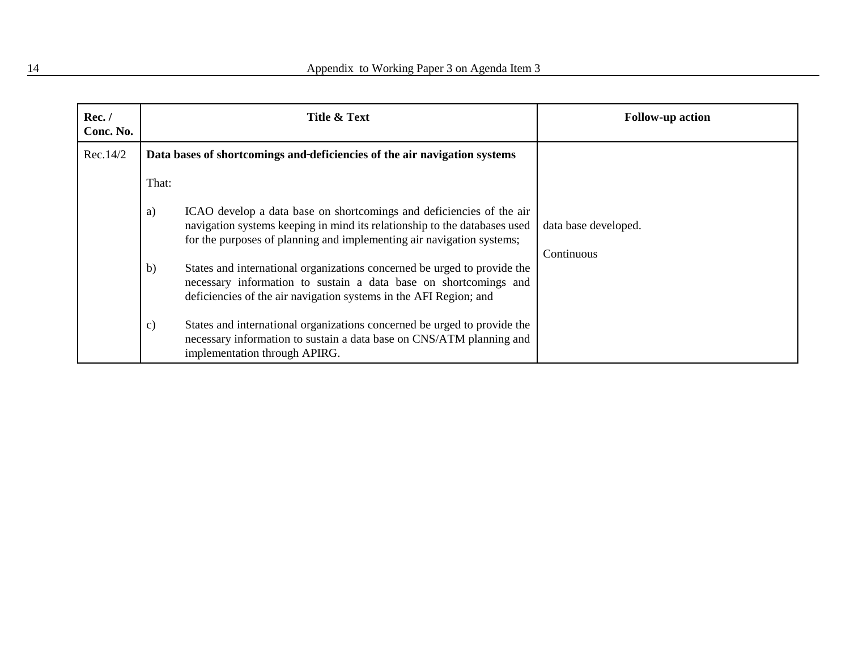| Rec. /<br>Conc. No. |                                                                           | Title & Text                                                                                                                                                                                                               | <b>Follow-up action</b>            |
|---------------------|---------------------------------------------------------------------------|----------------------------------------------------------------------------------------------------------------------------------------------------------------------------------------------------------------------------|------------------------------------|
| Rec.14/2            | Data bases of shortcomings and deficiencies of the air navigation systems |                                                                                                                                                                                                                            |                                    |
|                     | That:                                                                     |                                                                                                                                                                                                                            |                                    |
|                     | a)                                                                        | ICAO develop a data base on shortcomings and deficiencies of the air<br>navigation systems keeping in mind its relationship to the databases used<br>for the purposes of planning and implementing air navigation systems; | data base developed.<br>Continuous |
|                     | b)                                                                        | States and international organizations concerned be urged to provide the<br>necessary information to sustain a data base on shortcomings and<br>deficiencies of the air navigation systems in the AFI Region; and          |                                    |
|                     | c)                                                                        | States and international organizations concerned be urged to provide the<br>necessary information to sustain a data base on CNS/ATM planning and<br>implementation through APIRG.                                          |                                    |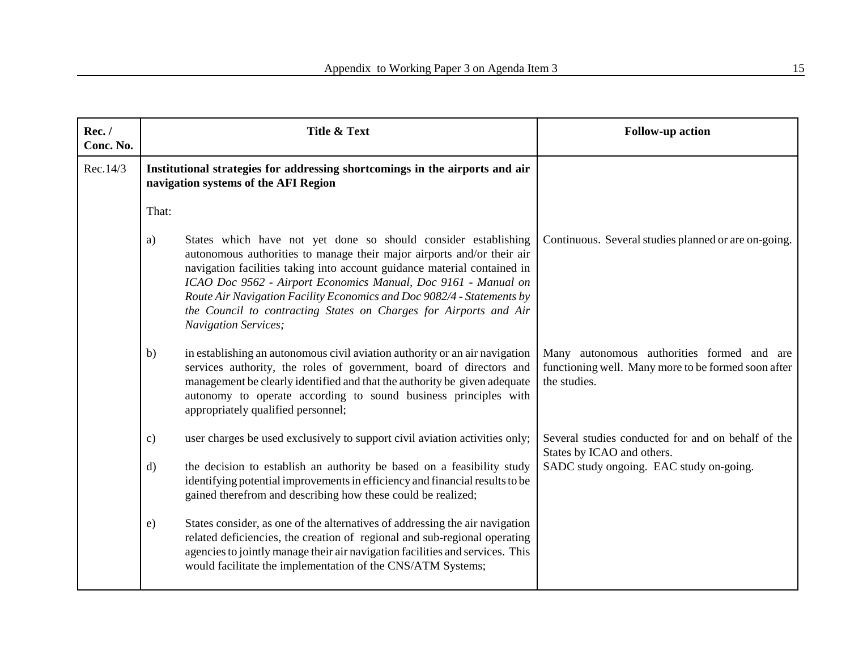| Rec./<br>Conc. No. | <b>Title &amp; Text</b>                                                                                                                                                                                                                                                                                                                                                                                                                                                    | <b>Follow-up action</b>                                                                                           |
|--------------------|----------------------------------------------------------------------------------------------------------------------------------------------------------------------------------------------------------------------------------------------------------------------------------------------------------------------------------------------------------------------------------------------------------------------------------------------------------------------------|-------------------------------------------------------------------------------------------------------------------|
| Rec.14/3           | Institutional strategies for addressing shortcomings in the airports and air<br>navigation systems of the AFI Region                                                                                                                                                                                                                                                                                                                                                       |                                                                                                                   |
|                    | That:                                                                                                                                                                                                                                                                                                                                                                                                                                                                      |                                                                                                                   |
|                    | States which have not yet done so should consider establishing<br>a)<br>autonomous authorities to manage their major airports and/or their air<br>navigation facilities taking into account guidance material contained in<br>ICAO Doc 9562 - Airport Economics Manual, Doc 9161 - Manual on<br>Route Air Navigation Facility Economics and Doc 9082/4 - Statements by<br>the Council to contracting States on Charges for Airports and Air<br><b>Navigation Services;</b> | Continuous. Several studies planned or are on-going.                                                              |
|                    | in establishing an autonomous civil aviation authority or an air navigation<br>b)<br>services authority, the roles of government, board of directors and<br>management be clearly identified and that the authority be given adequate<br>autonomy to operate according to sound business principles with<br>appropriately qualified personnel;                                                                                                                             | Many autonomous authorities formed and are<br>functioning well. Many more to be formed soon after<br>the studies. |
|                    | user charges be used exclusively to support civil aviation activities only;<br>$\mathbf{c})$                                                                                                                                                                                                                                                                                                                                                                               | Several studies conducted for and on behalf of the<br>States by ICAO and others.                                  |
|                    | the decision to establish an authority be based on a feasibility study<br>$\mathbf{d}$<br>identifying potential improvements in efficiency and financial results to be<br>gained therefrom and describing how these could be realized;                                                                                                                                                                                                                                     | SADC study ongoing. EAC study on-going.                                                                           |
|                    | States consider, as one of the alternatives of addressing the air navigation<br>$\epsilon$ )<br>related deficiencies, the creation of regional and sub-regional operating<br>agencies to jointly manage their air navigation facilities and services. This<br>would facilitate the implementation of the CNS/ATM Systems;                                                                                                                                                  |                                                                                                                   |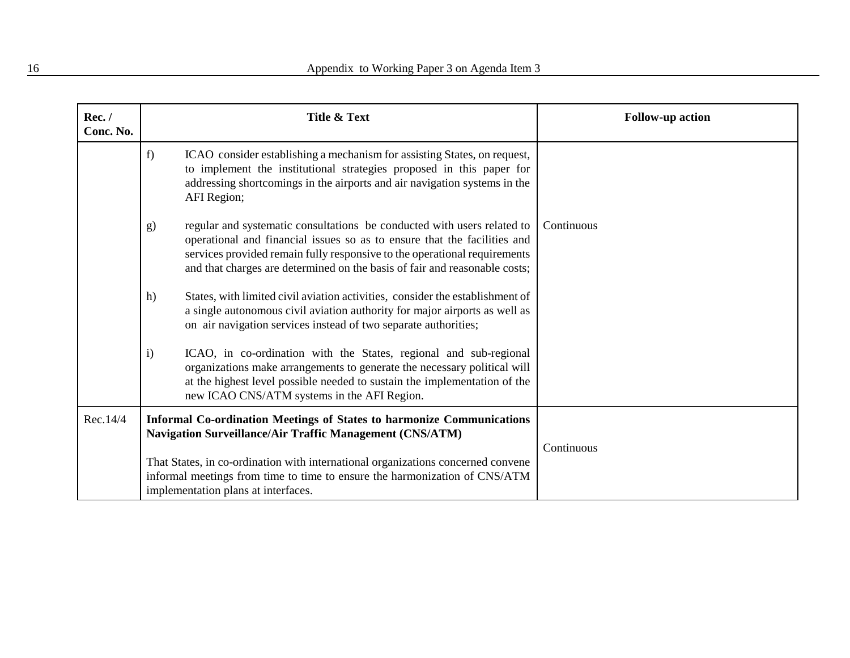| Rec./<br>Conc. No. | Title & Text                                                                                                                                                                                                                                                                                                         | <b>Follow-up action</b> |
|--------------------|----------------------------------------------------------------------------------------------------------------------------------------------------------------------------------------------------------------------------------------------------------------------------------------------------------------------|-------------------------|
|                    | ICAO consider establishing a mechanism for assisting States, on request,<br>f)<br>to implement the institutional strategies proposed in this paper for<br>addressing shortcomings in the airports and air navigation systems in the<br>AFI Region;                                                                   |                         |
|                    | regular and systematic consultations be conducted with users related to<br>g)<br>operational and financial issues so as to ensure that the facilities and<br>services provided remain fully responsive to the operational requirements<br>and that charges are determined on the basis of fair and reasonable costs; | Continuous              |
|                    | States, with limited civil aviation activities, consider the establishment of<br>h)<br>a single autonomous civil aviation authority for major airports as well as<br>on air navigation services instead of two separate authorities;                                                                                 |                         |
|                    | ICAO, in co-ordination with the States, regional and sub-regional<br>$\mathbf{i}$<br>organizations make arrangements to generate the necessary political will<br>at the highest level possible needed to sustain the implementation of the<br>new ICAO CNS/ATM systems in the AFI Region.                            |                         |
| Rec.14/4           | <b>Informal Co-ordination Meetings of States to harmonize Communications</b><br><b>Navigation Surveillance/Air Traffic Management (CNS/ATM)</b>                                                                                                                                                                      | Continuous              |
|                    | That States, in co-ordination with international organizations concerned convene<br>informal meetings from time to time to ensure the harmonization of CNS/ATM<br>implementation plans at interfaces.                                                                                                                |                         |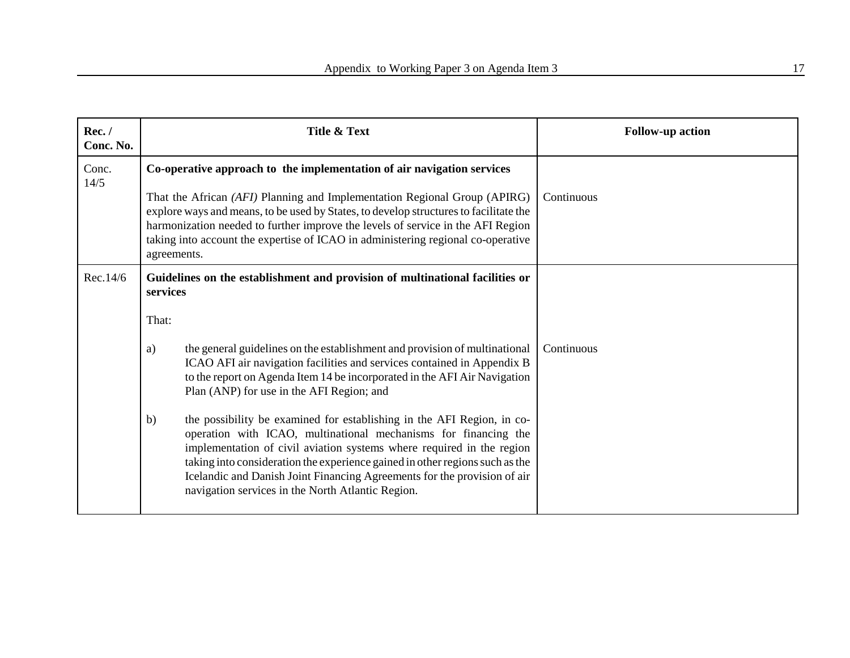| Rec./<br>Conc. No. | Title & Text                                                                                                                                                                                                                                                                                                                                                                                                                              | <b>Follow-up action</b> |
|--------------------|-------------------------------------------------------------------------------------------------------------------------------------------------------------------------------------------------------------------------------------------------------------------------------------------------------------------------------------------------------------------------------------------------------------------------------------------|-------------------------|
| Conc.<br>14/5      | Co-operative approach to the implementation of air navigation services<br>That the African (AFI) Planning and Implementation Regional Group (APIRG)<br>explore ways and means, to be used by States, to develop structures to facilitate the<br>harmonization needed to further improve the levels of service in the AFI Region<br>taking into account the expertise of ICAO in administering regional co-operative<br>agreements.        | Continuous              |
| Rec.14/6           | Guidelines on the establishment and provision of multinational facilities or<br>services<br>That:                                                                                                                                                                                                                                                                                                                                         |                         |
|                    | the general guidelines on the establishment and provision of multinational<br>a)<br>ICAO AFI air navigation facilities and services contained in Appendix B<br>to the report on Agenda Item 14 be incorporated in the AFI Air Navigation<br>Plan (ANP) for use in the AFI Region; and                                                                                                                                                     | Continuous              |
|                    | the possibility be examined for establishing in the AFI Region, in co-<br>b)<br>operation with ICAO, multinational mechanisms for financing the<br>implementation of civil aviation systems where required in the region<br>taking into consideration the experience gained in other regions such as the<br>Icelandic and Danish Joint Financing Agreements for the provision of air<br>navigation services in the North Atlantic Region. |                         |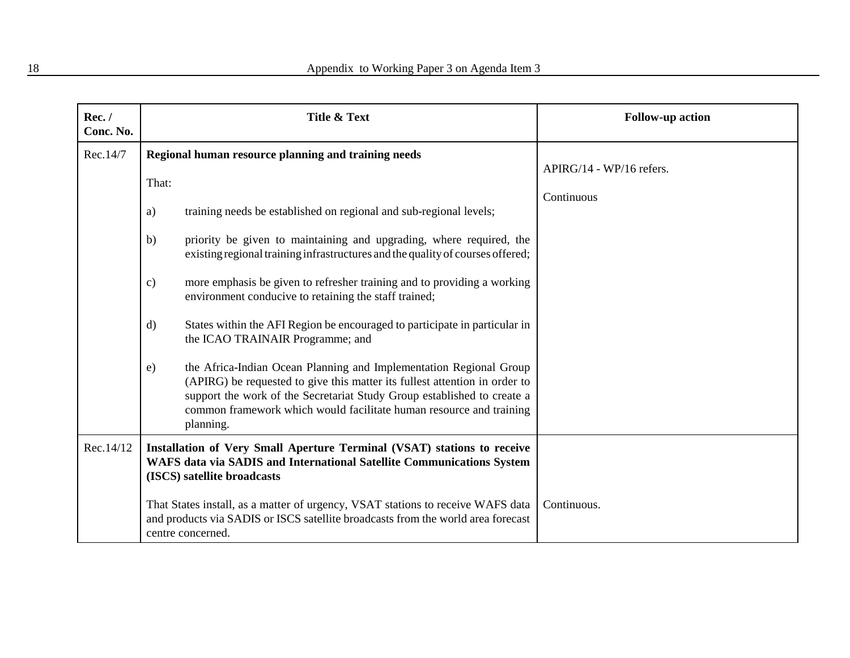| Rec./<br>Conc. No. | Title & Text                                                                                                                                                                                                                                                                                                                                                                                                                                                                                                                                                                                                                                                                                                                                                                                                                                                                                                        | <b>Follow-up action</b>                |
|--------------------|---------------------------------------------------------------------------------------------------------------------------------------------------------------------------------------------------------------------------------------------------------------------------------------------------------------------------------------------------------------------------------------------------------------------------------------------------------------------------------------------------------------------------------------------------------------------------------------------------------------------------------------------------------------------------------------------------------------------------------------------------------------------------------------------------------------------------------------------------------------------------------------------------------------------|----------------------------------------|
| Rec.14/7           | Regional human resource planning and training needs<br>That:<br>training needs be established on regional and sub-regional levels;<br>a)<br>priority be given to maintaining and upgrading, where required, the<br>b)<br>existing regional training infrastructures and the quality of courses offered;<br>more emphasis be given to refresher training and to providing a working<br>$\mathbf{c})$<br>environment conducive to retaining the staff trained;<br>States within the AFI Region be encouraged to participate in particular in<br>$\rm d)$<br>the ICAO TRAINAIR Programme; and<br>the Africa-Indian Ocean Planning and Implementation Regional Group<br>e)<br>(APIRG) be requested to give this matter its fullest attention in order to<br>support the work of the Secretariat Study Group established to create a<br>common framework which would facilitate human resource and training<br>planning. | APIRG/14 - WP/16 refers.<br>Continuous |
| Rec.14/12          | Installation of Very Small Aperture Terminal (VSAT) stations to receive<br>WAFS data via SADIS and International Satellite Communications System<br>(ISCS) satellite broadcasts<br>That States install, as a matter of urgency, VSAT stations to receive WAFS data<br>and products via SADIS or ISCS satellite broadcasts from the world area forecast<br>centre concerned.                                                                                                                                                                                                                                                                                                                                                                                                                                                                                                                                         | Continuous.                            |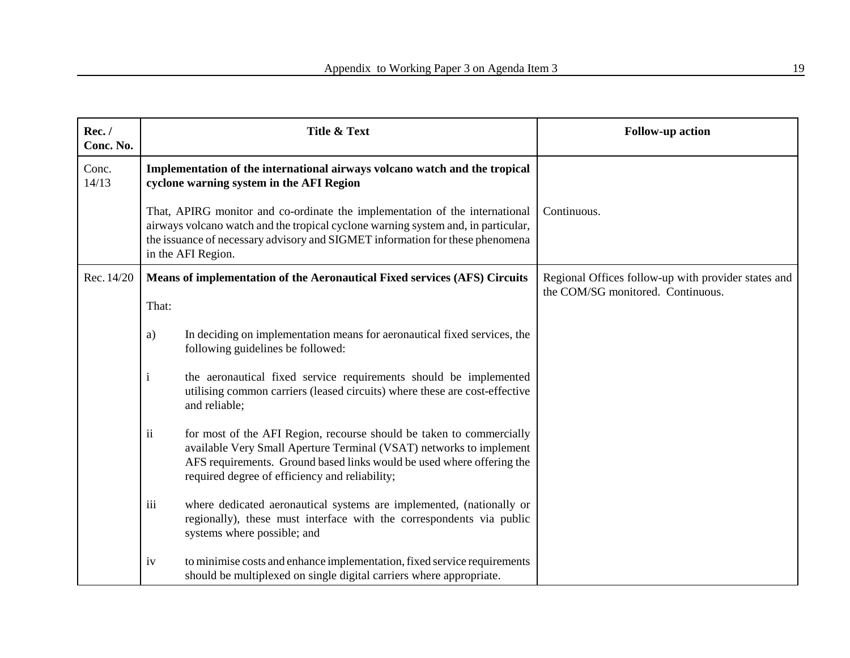| Rec./<br>Conc. No. | Title & Text                                                                                                                                                                                                                                                            |                                                                                                                                                                                                                                                                        | <b>Follow-up action</b>                                                                  |
|--------------------|-------------------------------------------------------------------------------------------------------------------------------------------------------------------------------------------------------------------------------------------------------------------------|------------------------------------------------------------------------------------------------------------------------------------------------------------------------------------------------------------------------------------------------------------------------|------------------------------------------------------------------------------------------|
| Conc.<br>14/13     | Implementation of the international airways volcano watch and the tropical<br>cyclone warning system in the AFI Region                                                                                                                                                  |                                                                                                                                                                                                                                                                        |                                                                                          |
|                    | That, APIRG monitor and co-ordinate the implementation of the international<br>airways volcano watch and the tropical cyclone warning system and, in particular,<br>the issuance of necessary advisory and SIGMET information for these phenomena<br>in the AFI Region. |                                                                                                                                                                                                                                                                        | Continuous.                                                                              |
| Rec. 14/20         | Means of implementation of the Aeronautical Fixed services (AFS) Circuits<br>That:                                                                                                                                                                                      |                                                                                                                                                                                                                                                                        | Regional Offices follow-up with provider states and<br>the COM/SG monitored. Continuous. |
|                    | a)                                                                                                                                                                                                                                                                      | In deciding on implementation means for aeronautical fixed services, the<br>following guidelines be followed:                                                                                                                                                          |                                                                                          |
|                    | $\mathbf{i}$                                                                                                                                                                                                                                                            | the aeronautical fixed service requirements should be implemented<br>utilising common carriers (leased circuits) where these are cost-effective<br>and reliable;                                                                                                       |                                                                                          |
|                    | ii                                                                                                                                                                                                                                                                      | for most of the AFI Region, recourse should be taken to commercially<br>available Very Small Aperture Terminal (VSAT) networks to implement<br>AFS requirements. Ground based links would be used where offering the<br>required degree of efficiency and reliability; |                                                                                          |
|                    | iii                                                                                                                                                                                                                                                                     | where dedicated aeronautical systems are implemented, (nationally or<br>regionally), these must interface with the correspondents via public<br>systems where possible; and                                                                                            |                                                                                          |
|                    | iv                                                                                                                                                                                                                                                                      | to minimise costs and enhance implementation, fixed service requirements<br>should be multiplexed on single digital carriers where appropriate.                                                                                                                        |                                                                                          |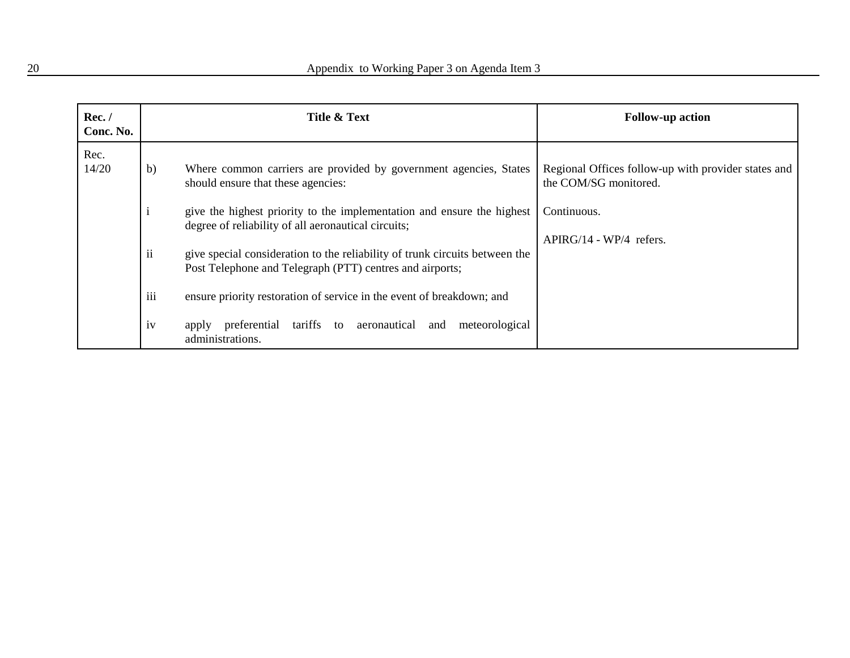| Rec./<br>Conc. No. |     | Title & Text                                                                                                                            | <b>Follow-up action</b>                                                      |
|--------------------|-----|-----------------------------------------------------------------------------------------------------------------------------------------|------------------------------------------------------------------------------|
| Rec.<br>14/20      | b)  | Where common carriers are provided by government agencies, States<br>should ensure that these agencies:                                 | Regional Offices follow-up with provider states and<br>the COM/SG monitored. |
|                    |     | give the highest priority to the implementation and ensure the highest<br>degree of reliability of all aeronautical circuits;           | Continuous.                                                                  |
|                    | ii  | give special consideration to the reliability of trunk circuits between the<br>Post Telephone and Telegraph (PTT) centres and airports; | $APIRG/14 - WP/4$ refers.                                                    |
|                    | iii | ensure priority restoration of service in the event of breakdown; and                                                                   |                                                                              |
|                    | iv  | preferential tariffs to aeronautical and<br>meteorological<br>apply<br>administrations.                                                 |                                                                              |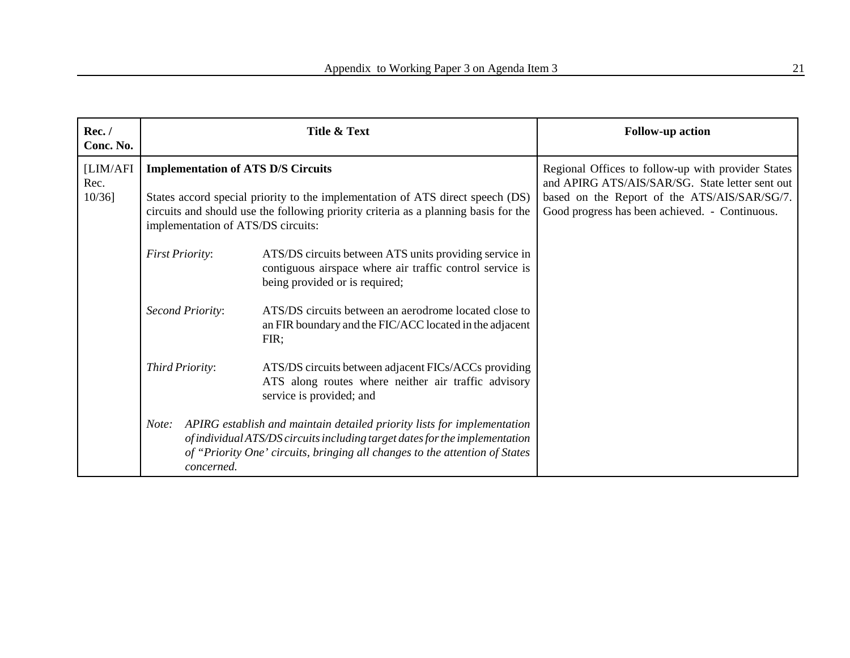| Rec./<br>Conc. No.            |                                                                                                                                                                                                                                                          | Title & Text                                                                                                                                                                                                                          | <b>Follow-up action</b>                                                                                                                                                                                 |
|-------------------------------|----------------------------------------------------------------------------------------------------------------------------------------------------------------------------------------------------------------------------------------------------------|---------------------------------------------------------------------------------------------------------------------------------------------------------------------------------------------------------------------------------------|---------------------------------------------------------------------------------------------------------------------------------------------------------------------------------------------------------|
| [LIM/AFI<br>Rec.<br>$10/36$ ] | <b>Implementation of ATS D/S Circuits</b><br>States accord special priority to the implementation of ATS direct speech (DS)<br>circuits and should use the following priority criteria as a planning basis for the<br>implementation of ATS/DS circuits: |                                                                                                                                                                                                                                       | Regional Offices to follow-up with provider States<br>and APIRG ATS/AIS/SAR/SG. State letter sent out<br>based on the Report of the ATS/AIS/SAR/SG/7.<br>Good progress has been achieved. - Continuous. |
|                               | <b>First Priority:</b>                                                                                                                                                                                                                                   | ATS/DS circuits between ATS units providing service in<br>contiguous airspace where air traffic control service is<br>being provided or is required;                                                                                  |                                                                                                                                                                                                         |
|                               | Second Priority:                                                                                                                                                                                                                                         | ATS/DS circuits between an aerodrome located close to<br>an FIR boundary and the FIC/ACC located in the adjacent<br>FIR;                                                                                                              |                                                                                                                                                                                                         |
|                               | Third Priority:                                                                                                                                                                                                                                          | ATS/DS circuits between adjacent FICs/ACCs providing<br>ATS along routes where neither air traffic advisory<br>service is provided; and                                                                                               |                                                                                                                                                                                                         |
|                               | Note:<br>concerned.                                                                                                                                                                                                                                      | APIRG establish and maintain detailed priority lists for implementation<br>of individual ATS/DS circuits including target dates for the implementation<br>of "Priority One' circuits, bringing all changes to the attention of States |                                                                                                                                                                                                         |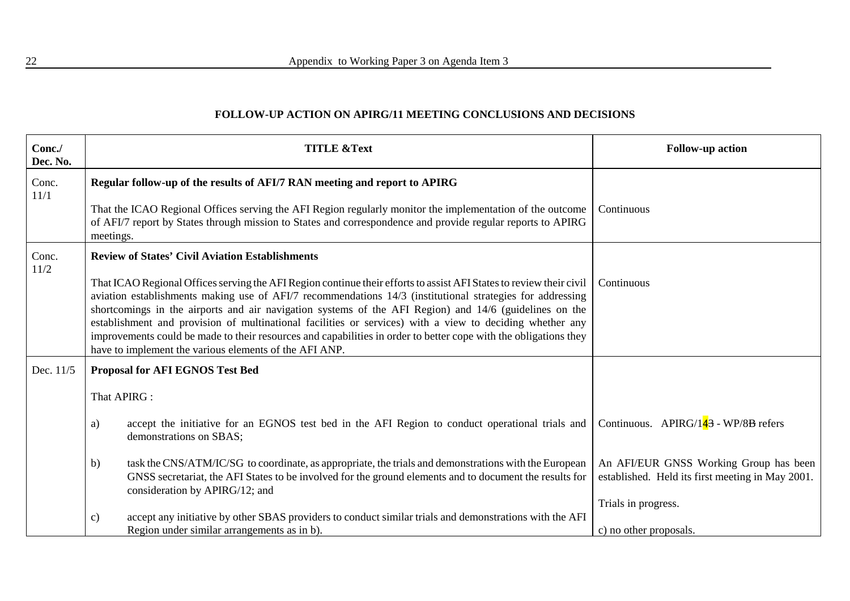#### **FOLLOW-UP ACTION ON APIRG/11 MEETING CONCLUSIONS AND DECISIONS**

| Conc./<br>Dec. No. | <b>TITLE &amp;Text</b>                                                                                                                                                                                                                                                                                                                                                                                                                                                                                                                                                                                                               | <b>Follow-up action</b>                                                                    |
|--------------------|--------------------------------------------------------------------------------------------------------------------------------------------------------------------------------------------------------------------------------------------------------------------------------------------------------------------------------------------------------------------------------------------------------------------------------------------------------------------------------------------------------------------------------------------------------------------------------------------------------------------------------------|--------------------------------------------------------------------------------------------|
| Conc.<br>11/1      | Regular follow-up of the results of AFI/7 RAN meeting and report to APIRG                                                                                                                                                                                                                                                                                                                                                                                                                                                                                                                                                            |                                                                                            |
|                    | That the ICAO Regional Offices serving the AFI Region regularly monitor the implementation of the outcome<br>of AFI/7 report by States through mission to States and correspondence and provide regular reports to APIRG<br>meetings.                                                                                                                                                                                                                                                                                                                                                                                                | Continuous                                                                                 |
| Conc.<br>11/2      | <b>Review of States' Civil Aviation Establishments</b>                                                                                                                                                                                                                                                                                                                                                                                                                                                                                                                                                                               | Continuous                                                                                 |
|                    | That ICAO Regional Offices serving the AFI Region continue their efforts to assist AFI States to review their civil<br>aviation establishments making use of AFI/7 recommendations 14/3 (institutional strategies for addressing<br>shortcomings in the airports and air navigation systems of the AFI Region) and 14/6 (guidelines on the<br>establishment and provision of multinational facilities or services) with a view to deciding whether any<br>improvements could be made to their resources and capabilities in order to better cope with the obligations they<br>have to implement the various elements of the AFI ANP. |                                                                                            |
| Dec. 11/5          | Proposal for AFI EGNOS Test Bed                                                                                                                                                                                                                                                                                                                                                                                                                                                                                                                                                                                                      |                                                                                            |
|                    | That APIRG :                                                                                                                                                                                                                                                                                                                                                                                                                                                                                                                                                                                                                         |                                                                                            |
|                    | accept the initiative for an EGNOS test bed in the AFI Region to conduct operational trials and<br>a)<br>demonstrations on SBAS;                                                                                                                                                                                                                                                                                                                                                                                                                                                                                                     | Continuous. APIRG/143 - WP/8B refers                                                       |
|                    | task the CNS/ATM/IC/SG to coordinate, as appropriate, the trials and demonstrations with the European<br>b)<br>GNSS secretariat, the AFI States to be involved for the ground elements and to document the results for<br>consideration by APIRG/12; and                                                                                                                                                                                                                                                                                                                                                                             | An AFI/EUR GNSS Working Group has been<br>established. Held its first meeting in May 2001. |
|                    |                                                                                                                                                                                                                                                                                                                                                                                                                                                                                                                                                                                                                                      | Trials in progress.                                                                        |
|                    | accept any initiative by other SBAS providers to conduct similar trials and demonstrations with the AFI<br>c)<br>Region under similar arrangements as in b).                                                                                                                                                                                                                                                                                                                                                                                                                                                                         | c) no other proposals.                                                                     |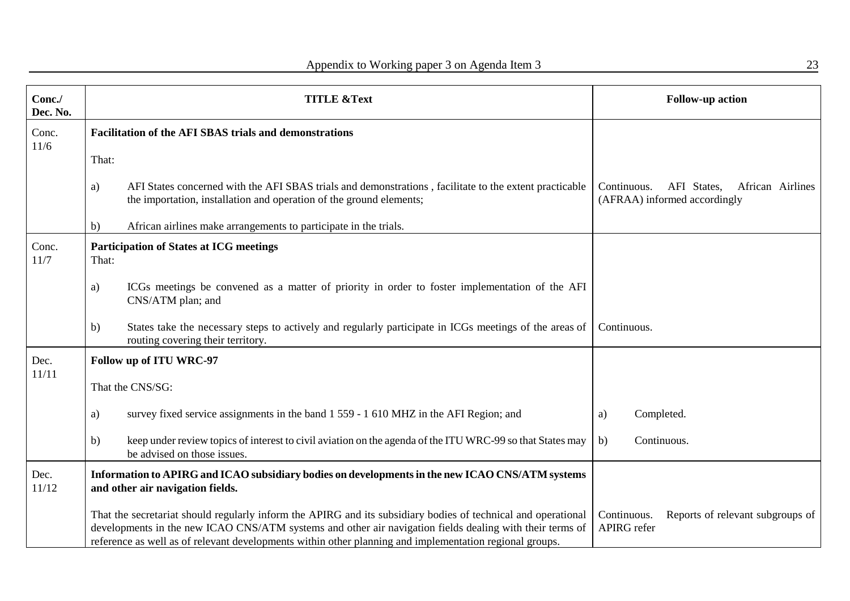| Conc./<br>Dec. No. |       | <b>TITLE &amp;Text</b>                                                                                                                                                                                                                                                                                                               | <b>Follow-up action</b>                                                        |
|--------------------|-------|--------------------------------------------------------------------------------------------------------------------------------------------------------------------------------------------------------------------------------------------------------------------------------------------------------------------------------------|--------------------------------------------------------------------------------|
| Conc.<br>11/6      |       | <b>Facilitation of the AFI SBAS trials and demonstrations</b>                                                                                                                                                                                                                                                                        |                                                                                |
|                    | That: |                                                                                                                                                                                                                                                                                                                                      |                                                                                |
|                    | a)    | AFI States concerned with the AFI SBAS trials and demonstrations, facilitate to the extent practicable<br>the importation, installation and operation of the ground elements;                                                                                                                                                        | AFI States,<br>Continuous.<br>African Airlines<br>(AFRAA) informed accordingly |
|                    | b)    | African airlines make arrangements to participate in the trials.                                                                                                                                                                                                                                                                     |                                                                                |
| Conc.<br>11/7      | That: | <b>Participation of States at ICG meetings</b>                                                                                                                                                                                                                                                                                       |                                                                                |
|                    | a)    | ICGs meetings be convened as a matter of priority in order to foster implementation of the AFI<br>CNS/ATM plan; and                                                                                                                                                                                                                  |                                                                                |
|                    | b)    | States take the necessary steps to actively and regularly participate in ICGs meetings of the areas of<br>routing covering their territory.                                                                                                                                                                                          | Continuous.                                                                    |
| Dec.<br>11/11      |       | Follow up of ITU WRC-97                                                                                                                                                                                                                                                                                                              |                                                                                |
|                    |       | That the CNS/SG:                                                                                                                                                                                                                                                                                                                     |                                                                                |
|                    | a)    | survey fixed service assignments in the band 1 559 - 1 610 MHZ in the AFI Region; and                                                                                                                                                                                                                                                | Completed.<br>a)                                                               |
|                    | b)    | keep under review topics of interest to civil aviation on the agenda of the ITU WRC-99 so that States may<br>be advised on those issues.                                                                                                                                                                                             | b)<br>Continuous.                                                              |
| Dec.<br>11/12      |       | Information to APIRG and ICAO subsidiary bodies on developments in the new ICAO CNS/ATM systems<br>and other air navigation fields.                                                                                                                                                                                                  |                                                                                |
|                    |       | That the secretariat should regularly inform the APIRG and its subsidiary bodies of technical and operational<br>developments in the new ICAO CNS/ATM systems and other air navigation fields dealing with their terms of<br>reference as well as of relevant developments within other planning and implementation regional groups. | Reports of relevant subgroups of<br>Continuous.<br><b>APIRG</b> refer          |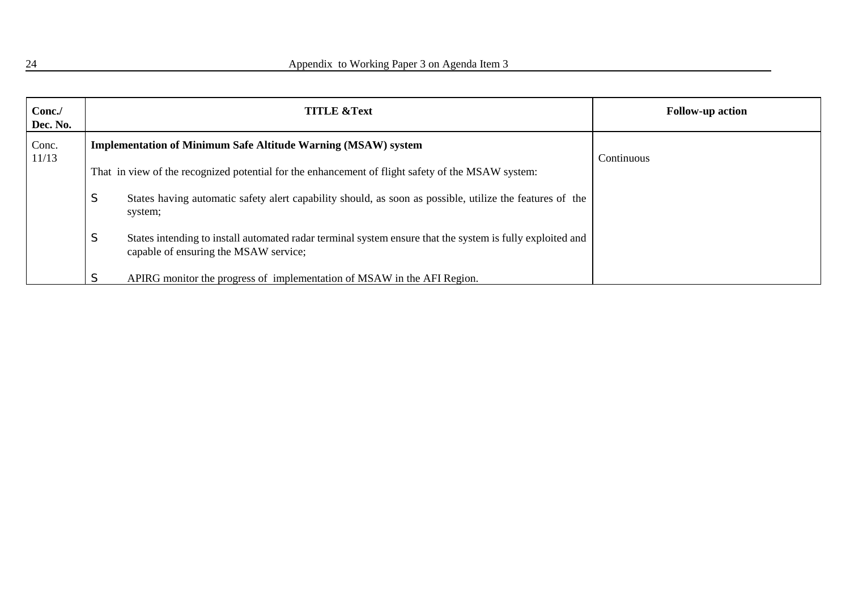| Conc./<br>Dec. No. |             | <b>TITLE &amp;Text</b>                                                                                                                             | <b>Follow-up action</b> |
|--------------------|-------------|----------------------------------------------------------------------------------------------------------------------------------------------------|-------------------------|
| Conc.<br>11/13     |             | <b>Implementation of Minimum Safe Altitude Warning (MSAW) system</b>                                                                               | Continuous              |
|                    |             | That in view of the recognized potential for the enhancement of flight safety of the MSAW system:                                                  |                         |
|                    | $\sim$<br>C | States having automatic safety alert capability should, as soon as possible, utilize the features of the<br>system;                                |                         |
|                    | $\sim$<br>C | States intending to install automated radar terminal system ensure that the system is fully exploited and<br>capable of ensuring the MSAW service; |                         |
|                    |             | APIRG monitor the progress of implementation of MSAW in the AFI Region.                                                                            |                         |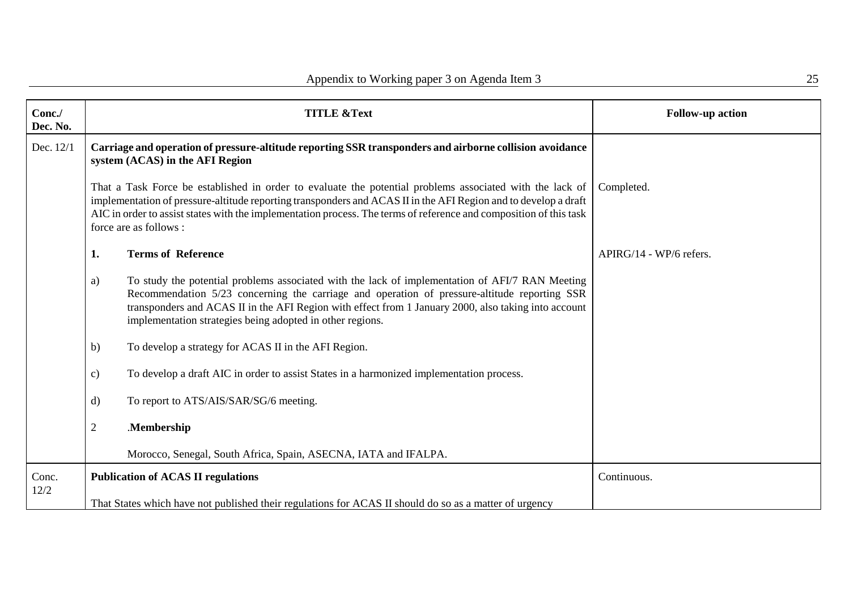| Conc./<br>Dec. No. |                                                                                                                                            | <b>TITLE &amp;Text</b>                                                                                                                                                                                                                                                                                                                                                      | <b>Follow-up action</b> |
|--------------------|--------------------------------------------------------------------------------------------------------------------------------------------|-----------------------------------------------------------------------------------------------------------------------------------------------------------------------------------------------------------------------------------------------------------------------------------------------------------------------------------------------------------------------------|-------------------------|
| Dec. 12/1          | Carriage and operation of pressure-altitude reporting SSR transponders and airborne collision avoidance<br>system (ACAS) in the AFI Region |                                                                                                                                                                                                                                                                                                                                                                             |                         |
|                    |                                                                                                                                            | That a Task Force be established in order to evaluate the potential problems associated with the lack of<br>implementation of pressure-altitude reporting transponders and ACAS II in the AFI Region and to develop a draft<br>AIC in order to assist states with the implementation process. The terms of reference and composition of this task<br>force are as follows : | Completed.              |
|                    | 1.                                                                                                                                         | <b>Terms of Reference</b>                                                                                                                                                                                                                                                                                                                                                   | APIRG/14 - WP/6 refers. |
|                    | a)                                                                                                                                         | To study the potential problems associated with the lack of implementation of AFI/7 RAN Meeting<br>Recommendation 5/23 concerning the carriage and operation of pressure-altitude reporting SSR<br>transponders and ACAS II in the AFI Region with effect from 1 January 2000, also taking into account<br>implementation strategies being adopted in other regions.        |                         |
|                    | $\mathbf{b}$                                                                                                                               | To develop a strategy for ACAS II in the AFI Region.                                                                                                                                                                                                                                                                                                                        |                         |
|                    | $\mathbf{c})$                                                                                                                              | To develop a draft AIC in order to assist States in a harmonized implementation process.                                                                                                                                                                                                                                                                                    |                         |
|                    | $\mathbf{d}$                                                                                                                               | To report to ATS/AIS/SAR/SG/6 meeting.                                                                                                                                                                                                                                                                                                                                      |                         |
|                    | $\overline{2}$                                                                                                                             | .Membership                                                                                                                                                                                                                                                                                                                                                                 |                         |
|                    |                                                                                                                                            | Morocco, Senegal, South Africa, Spain, ASECNA, IATA and IFALPA.                                                                                                                                                                                                                                                                                                             |                         |
| Conc.<br>12/2      |                                                                                                                                            | <b>Publication of ACAS II regulations</b>                                                                                                                                                                                                                                                                                                                                   | Continuous.             |
|                    |                                                                                                                                            | That States which have not published their regulations for ACAS II should do so as a matter of urgency                                                                                                                                                                                                                                                                      |                         |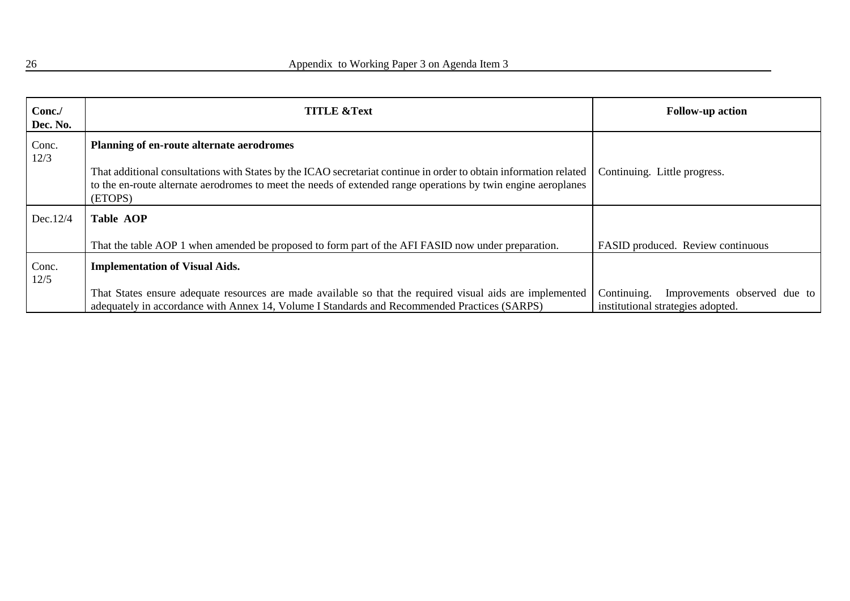| Conc./<br>Dec. No. | <b>TITLE &amp;Text</b>                                                                                                                                                                                                                        | <b>Follow-up action</b>                                                          |
|--------------------|-----------------------------------------------------------------------------------------------------------------------------------------------------------------------------------------------------------------------------------------------|----------------------------------------------------------------------------------|
| Conc.<br>12/3      | Planning of en-route alternate aerodromes                                                                                                                                                                                                     |                                                                                  |
|                    | That additional consultations with States by the ICAO secretariat continue in order to obtain information related<br>to the en-route alternate aerodromes to meet the needs of extended range operations by twin engine aeroplanes<br>(ETOPS) | Continuing. Little progress.                                                     |
| Dec.12/4           | <b>Table AOP</b>                                                                                                                                                                                                                              |                                                                                  |
|                    | That the table AOP 1 when amended be proposed to form part of the AFI FASID now under preparation.                                                                                                                                            | FASID produced. Review continuous                                                |
| Conc.<br>12/5      | <b>Implementation of Visual Aids.</b>                                                                                                                                                                                                         |                                                                                  |
|                    | That States ensure adequate resources are made available so that the required visual aids are implemented<br>adequately in accordance with Annex 14, Volume I Standards and Recommended Practices (SARPS)                                     | Continuing.<br>Improvements observed due to<br>institutional strategies adopted. |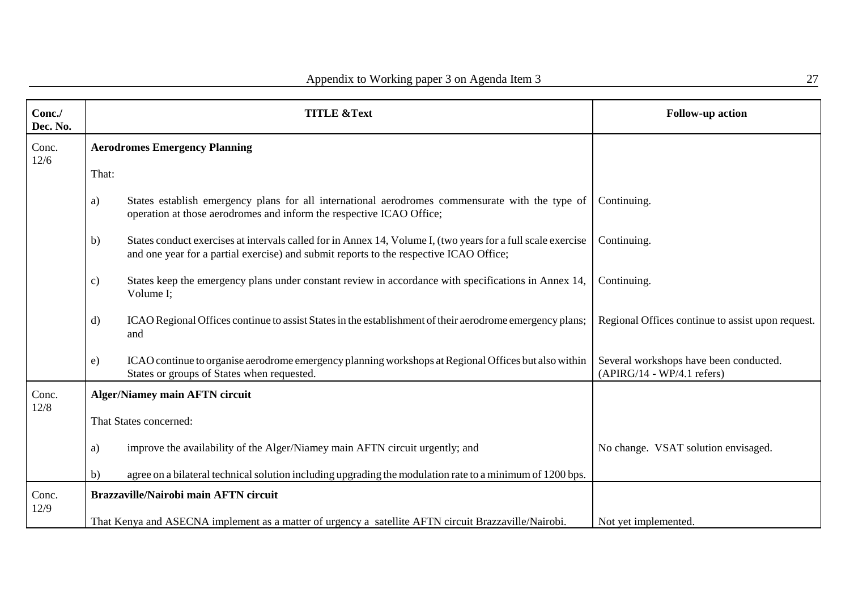| Conc./<br>Dec. No. | <b>TITLE &amp;Text</b>                                                                                                                                                                                       | <b>Follow-up action</b>                                                |
|--------------------|--------------------------------------------------------------------------------------------------------------------------------------------------------------------------------------------------------------|------------------------------------------------------------------------|
| Conc.<br>12/6      | <b>Aerodromes Emergency Planning</b>                                                                                                                                                                         |                                                                        |
|                    | That:                                                                                                                                                                                                        |                                                                        |
|                    | States establish emergency plans for all international aerodromes commensurate with the type of<br>a)<br>operation at those aerodromes and inform the respective ICAO Office;                                | Continuing.                                                            |
|                    | States conduct exercises at intervals called for in Annex 14, Volume I, (two years for a full scale exercise<br>b)<br>and one year for a partial exercise) and submit reports to the respective ICAO Office; | Continuing.                                                            |
|                    | States keep the emergency plans under constant review in accordance with specifications in Annex 14,<br>c)<br>Volume I;                                                                                      | Continuing.                                                            |
|                    | ICAO Regional Offices continue to assist States in the establishment of their aerodrome emergency plans;<br>$\mathbf{d}$<br>and                                                                              | Regional Offices continue to assist upon request.                      |
|                    | ICAO continue to organise aerodrome emergency planning workshops at Regional Offices but also within<br>e)<br>States or groups of States when requested.                                                     | Several workshops have been conducted.<br>$(APIRG/14 - WP/4.1 refers)$ |
| Conc.              | <b>Alger/Niamey main AFTN circuit</b>                                                                                                                                                                        |                                                                        |
| 12/8               | That States concerned:                                                                                                                                                                                       |                                                                        |
|                    | improve the availability of the Alger/Niamey main AFTN circuit urgently; and<br>a)                                                                                                                           | No change. VSAT solution envisaged.                                    |
|                    | agree on a bilateral technical solution including upgrading the modulation rate to a minimum of 1200 bps.<br>b)                                                                                              |                                                                        |
| Conc.<br>12/9      | <b>Brazzaville/Nairobi main AFTN circuit</b>                                                                                                                                                                 |                                                                        |
|                    | That Kenya and ASECNA implement as a matter of urgency a satellite AFTN circuit Brazzaville/Nairobi.                                                                                                         | Not yet implemented.                                                   |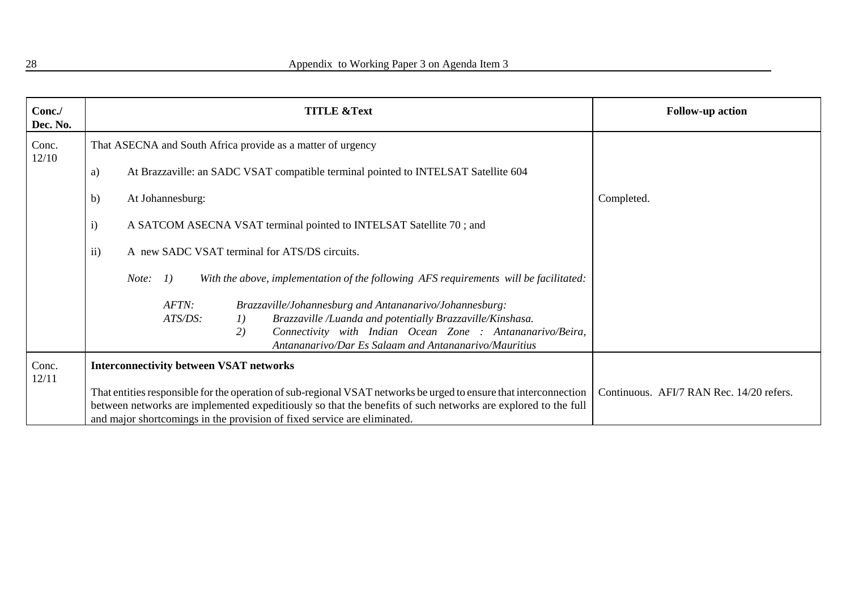| Conc./<br>Dec. No. | <b>TITLE &amp;Text</b>                                                                                                                                                                                                                                                                                         | <b>Follow-up action</b>                  |
|--------------------|----------------------------------------------------------------------------------------------------------------------------------------------------------------------------------------------------------------------------------------------------------------------------------------------------------------|------------------------------------------|
| Conc.<br>12/10     | That ASECNA and South Africa provide as a matter of urgency                                                                                                                                                                                                                                                    |                                          |
|                    | At Brazzaville: an SADC VSAT compatible terminal pointed to INTELSAT Satellite 604<br>a)                                                                                                                                                                                                                       |                                          |
|                    | At Johannesburg:<br>b)                                                                                                                                                                                                                                                                                         | Completed.                               |
|                    | A SATCOM ASECNA VSAT terminal pointed to INTELSAT Satellite 70; and<br>$\mathbf{i}$                                                                                                                                                                                                                            |                                          |
|                    | $\overline{ii}$ )<br>A new SADC VSAT terminal for ATS/DS circuits.                                                                                                                                                                                                                                             |                                          |
|                    | With the above, implementation of the following AFS requirements will be facilitated:<br>1)<br>Note:                                                                                                                                                                                                           |                                          |
|                    | AFTN:<br>Brazzaville/Johannesburg and Antananarivo/Johannesburg:<br>ATS/DS:<br>Brazzaville /Luanda and potentially Brazzaville/Kinshasa.<br><i>1</i> )<br>Connectivity with Indian Ocean Zone : Antananarivo/Beira,<br>2)<br>Antananarivo/Dar Es Salaam and Antananarivo/Mauritius                             |                                          |
| Conc.<br>12/11     | <b>Interconnectivity between VSAT networks</b>                                                                                                                                                                                                                                                                 |                                          |
|                    | That entities responsible for the operation of sub-regional VSAT networks be urged to ensure that interconnection<br>between networks are implemented expeditiously so that the benefits of such networks are explored to the full<br>and major shortcomings in the provision of fixed service are eliminated. | Continuous. AFI/7 RAN Rec. 14/20 refers. |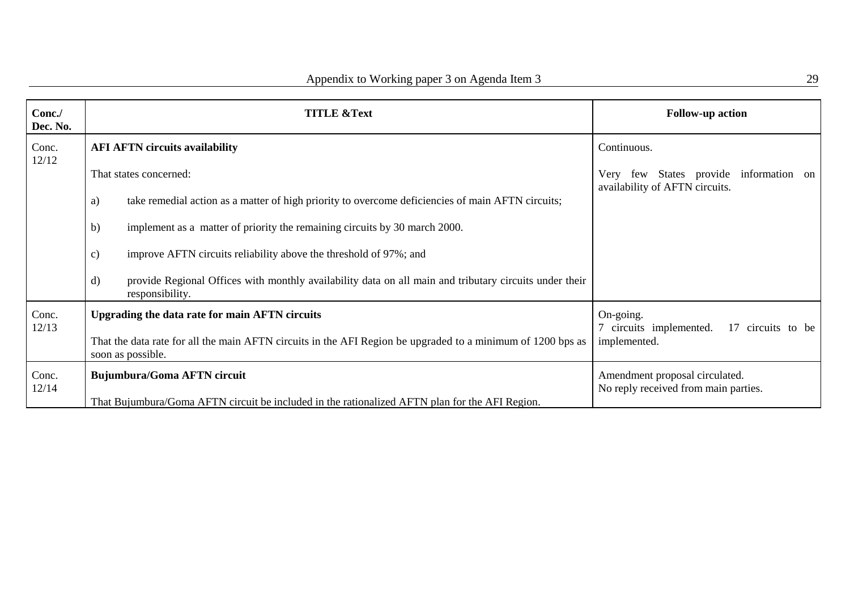| Conc./<br>Dec. No. | <b>TITLE &amp;Text</b>                                                                                                                    | <b>Follow-up action</b>                                                  |
|--------------------|-------------------------------------------------------------------------------------------------------------------------------------------|--------------------------------------------------------------------------|
| Conc.<br>12/12     | <b>AFI AFTN circuits availability</b>                                                                                                     | Continuous.                                                              |
|                    | That states concerned:                                                                                                                    | Very few States provide information on<br>availability of AFTN circuits. |
|                    | take remedial action as a matter of high priority to overcome deficiencies of main AFTN circuits;<br>a)                                   |                                                                          |
|                    | implement as a matter of priority the remaining circuits by 30 march 2000.<br>b)                                                          |                                                                          |
|                    | improve AFTN circuits reliability above the threshold of 97%; and<br>$\mathbf{c})$                                                        |                                                                          |
|                    | $\mathbf{d}$<br>provide Regional Offices with monthly availability data on all main and tributary circuits under their<br>responsibility. |                                                                          |
| Conc.<br>12/13     | Upgrading the data rate for main AFTN circuits                                                                                            | On-going.<br>17 circuits to be                                           |
|                    | That the data rate for all the main AFTN circuits in the AFI Region be upgraded to a minimum of 1200 bps as<br>soon as possible.          | 7 circuits implemented.<br>implemented.                                  |
| Conc.              | <b>Bujumbura/Goma AFTN circuit</b>                                                                                                        | Amendment proposal circulated.                                           |
| 12/14              | That Bujumbura/Goma AFTN circuit be included in the rationalized AFTN plan for the AFI Region.                                            | No reply received from main parties.                                     |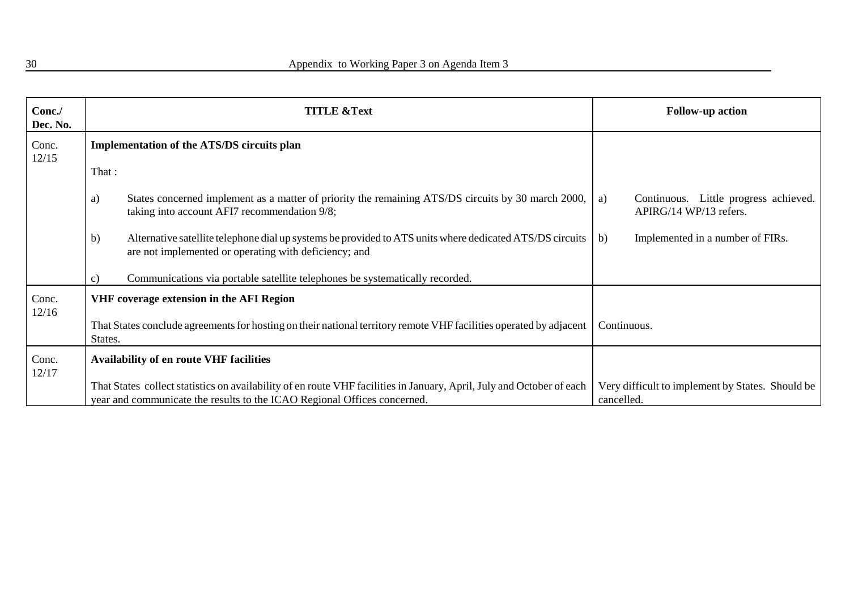| Conc./<br>Dec. No. | <b>TITLE &amp;Text</b> |                                                                                                                                                                                                   | <b>Follow-up action</b> |                                                                 |
|--------------------|------------------------|---------------------------------------------------------------------------------------------------------------------------------------------------------------------------------------------------|-------------------------|-----------------------------------------------------------------|
| Conc.<br>12/15     |                        | <b>Implementation of the ATS/DS circuits plan</b>                                                                                                                                                 |                         |                                                                 |
|                    | That:                  |                                                                                                                                                                                                   |                         |                                                                 |
|                    | a)                     | States concerned implement as a matter of priority the remaining ATS/DS circuits by 30 march 2000,<br>taking into account AFI7 recommendation 9/8;                                                | a)                      | Continuous. Little progress achieved.<br>APIRG/14 WP/13 refers. |
|                    | b)                     | Alternative satellite telephone dial up systems be provided to ATS units where dedicated ATS/DS circuits<br>are not implemented or operating with deficiency; and                                 | b)                      | Implemented in a number of FIRs.                                |
|                    | c)                     | Communications via portable satellite telephones be systematically recorded.                                                                                                                      |                         |                                                                 |
| Conc.              |                        | VHF coverage extension in the AFI Region                                                                                                                                                          |                         |                                                                 |
| 12/16              | States.                | That States conclude agreements for hosting on their national territory remote VHF facilities operated by adjacent                                                                                | Continuous.             |                                                                 |
| Conc.<br>12/17     |                        | <b>Availability of en route VHF facilities</b>                                                                                                                                                    |                         |                                                                 |
|                    |                        | That States collect statistics on availability of en route VHF facilities in January, April, July and October of each<br>year and communicate the results to the ICAO Regional Offices concerned. | cancelled.              | Very difficult to implement by States. Should be                |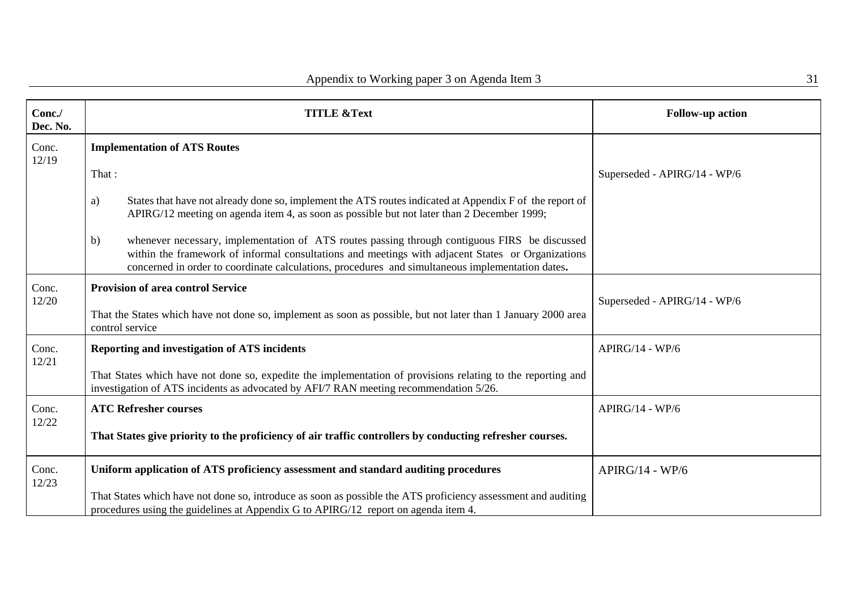| Conc./<br>Dec. No. | <b>TITLE &amp;Text</b>                                                                                                                                                                                                                                                                                       | <b>Follow-up action</b>      |
|--------------------|--------------------------------------------------------------------------------------------------------------------------------------------------------------------------------------------------------------------------------------------------------------------------------------------------------------|------------------------------|
| Conc.<br>12/19     | <b>Implementation of ATS Routes</b>                                                                                                                                                                                                                                                                          |                              |
|                    | That:                                                                                                                                                                                                                                                                                                        | Superseded - APIRG/14 - WP/6 |
|                    | States that have not already done so, implement the ATS routes indicated at Appendix F of the report of<br>a)<br>APIRG/12 meeting on agenda item 4, as soon as possible but not later than 2 December 1999;                                                                                                  |                              |
|                    | whenever necessary, implementation of ATS routes passing through contiguous FIRS be discussed<br>b)<br>within the framework of informal consultations and meetings with adjacent States or Organizations<br>concerned in order to coordinate calculations, procedures and simultaneous implementation dates. |                              |
| Conc.<br>12/20     | <b>Provision of area control Service</b>                                                                                                                                                                                                                                                                     | Superseded - APIRG/14 - WP/6 |
|                    | That the States which have not done so, implement as soon as possible, but not later than 1 January 2000 area<br>control service                                                                                                                                                                             |                              |
| Conc.<br>12/21     | <b>Reporting and investigation of ATS incidents</b>                                                                                                                                                                                                                                                          | $APIRG/14 - WP/6$            |
|                    | That States which have not done so, expedite the implementation of provisions relating to the reporting and<br>investigation of ATS incidents as advocated by AFI/7 RAN meeting recommendation 5/26.                                                                                                         |                              |
| Conc.<br>12/22     | <b>ATC Refresher courses</b>                                                                                                                                                                                                                                                                                 | $APIRG/14 - WP/6$            |
|                    | That States give priority to the proficiency of air traffic controllers by conducting refresher courses.                                                                                                                                                                                                     |                              |
| Conc.<br>12/23     | Uniform application of ATS proficiency assessment and standard auditing procedures                                                                                                                                                                                                                           | $APIRG/14 - WP/6$            |
|                    | That States which have not done so, introduce as soon as possible the ATS proficiency assessment and auditing<br>procedures using the guidelines at Appendix G to APIRG/12 report on agenda item 4.                                                                                                          |                              |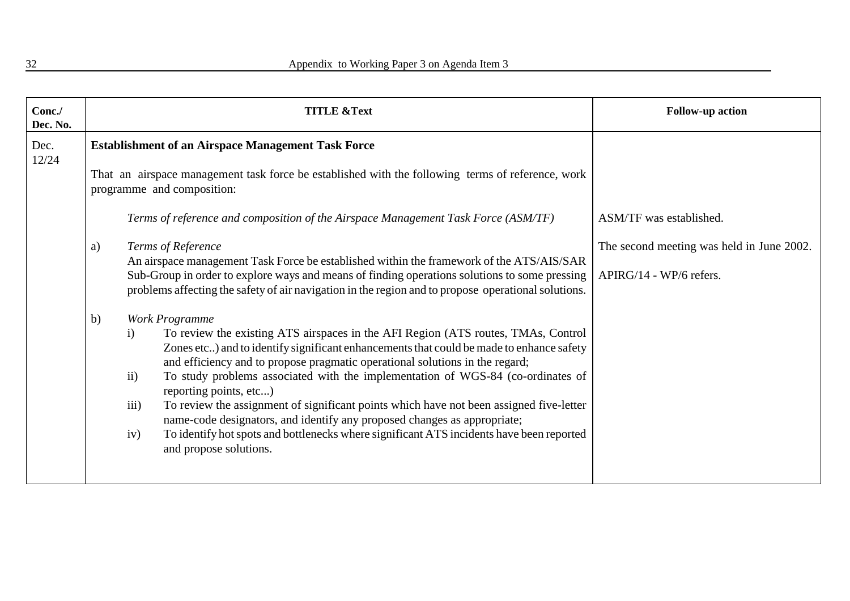| Conc./<br>Dec. No. |                                                                                                                                                                                                                                                                                   | <b>TITLE &amp;Text</b>                                                                                                                                                                                                                                                                                                                                                                                                                                                                                                                                                                                                                                                                                                                    | <b>Follow-up action</b>                                              |
|--------------------|-----------------------------------------------------------------------------------------------------------------------------------------------------------------------------------------------------------------------------------------------------------------------------------|-------------------------------------------------------------------------------------------------------------------------------------------------------------------------------------------------------------------------------------------------------------------------------------------------------------------------------------------------------------------------------------------------------------------------------------------------------------------------------------------------------------------------------------------------------------------------------------------------------------------------------------------------------------------------------------------------------------------------------------------|----------------------------------------------------------------------|
| Dec.<br>12/24      | <b>Establishment of an Airspace Management Task Force</b><br>That an airspace management task force be established with the following terms of reference, work<br>programme and composition:<br>Terms of reference and composition of the Airspace Management Task Force (ASM/TF) |                                                                                                                                                                                                                                                                                                                                                                                                                                                                                                                                                                                                                                                                                                                                           | ASM/TF was established.                                              |
|                    | a)                                                                                                                                                                                                                                                                                | Terms of Reference<br>An airspace management Task Force be established within the framework of the ATS/AIS/SAR<br>Sub-Group in order to explore ways and means of finding operations solutions to some pressing<br>problems affecting the safety of air navigation in the region and to propose operational solutions.                                                                                                                                                                                                                                                                                                                                                                                                                    | The second meeting was held in June 2002.<br>APIRG/14 - WP/6 refers. |
|                    | $\mathbf{b}$                                                                                                                                                                                                                                                                      | Work Programme<br>To review the existing ATS airspaces in the AFI Region (ATS routes, TMAs, Control<br>$\mathbf{i}$<br>Zones etc) and to identify significant enhancements that could be made to enhance safety<br>and efficiency and to propose pragmatic operational solutions in the regard;<br>To study problems associated with the implementation of WGS-84 (co-ordinates of<br>$\mathbf{ii}$<br>reporting points, etc)<br>iii)<br>To review the assignment of significant points which have not been assigned five-letter<br>name-code designators, and identify any proposed changes as appropriate;<br>To identify hot spots and bottlenecks where significant ATS incidents have been reported<br>iv)<br>and propose solutions. |                                                                      |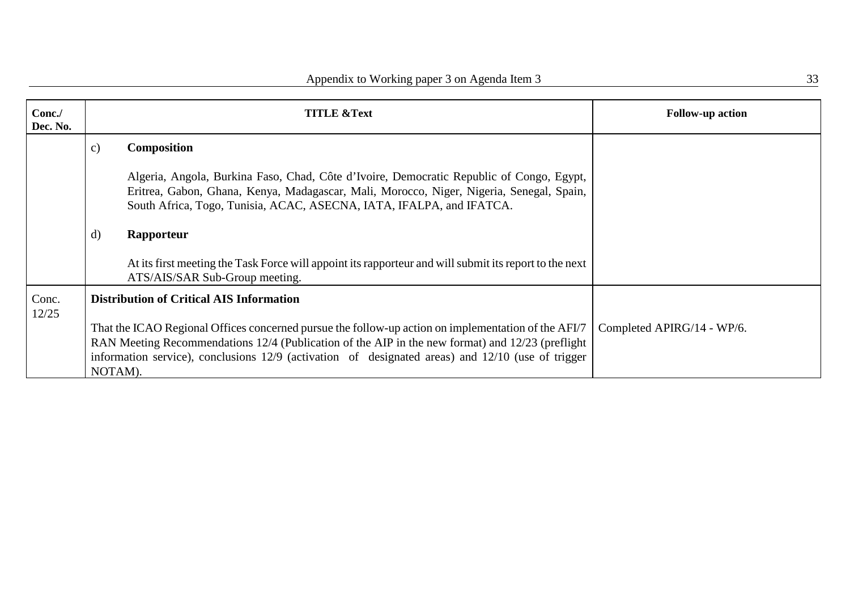|               | <b>TITLE &amp;Text</b>                                                                                                                                                                                                                                       | <b>Follow-up action</b>                                                                                                                                                                                                                                                                                                                                                                  |
|---------------|--------------------------------------------------------------------------------------------------------------------------------------------------------------------------------------------------------------------------------------------------------------|------------------------------------------------------------------------------------------------------------------------------------------------------------------------------------------------------------------------------------------------------------------------------------------------------------------------------------------------------------------------------------------|
| $\mathbf{c})$ | <b>Composition</b>                                                                                                                                                                                                                                           |                                                                                                                                                                                                                                                                                                                                                                                          |
|               | Algeria, Angola, Burkina Faso, Chad, Côte d'Ivoire, Democratic Republic of Congo, Egypt,<br>Eritrea, Gabon, Ghana, Kenya, Madagascar, Mali, Morocco, Niger, Nigeria, Senegal, Spain,<br>South Africa, Togo, Tunisia, ACAC, ASECNA, IATA, IFALPA, and IFATCA. |                                                                                                                                                                                                                                                                                                                                                                                          |
|               |                                                                                                                                                                                                                                                              |                                                                                                                                                                                                                                                                                                                                                                                          |
|               | At its first meeting the Task Force will appoint its rapporteur and will submit its report to the next<br>ATS/AIS/SAR Sub-Group meeting.                                                                                                                     |                                                                                                                                                                                                                                                                                                                                                                                          |
|               |                                                                                                                                                                                                                                                              |                                                                                                                                                                                                                                                                                                                                                                                          |
|               |                                                                                                                                                                                                                                                              | Completed APIRG/14 - WP/6.                                                                                                                                                                                                                                                                                                                                                               |
|               |                                                                                                                                                                                                                                                              |                                                                                                                                                                                                                                                                                                                                                                                          |
|               |                                                                                                                                                                                                                                                              |                                                                                                                                                                                                                                                                                                                                                                                          |
|               | d)                                                                                                                                                                                                                                                           | Rapporteur<br><b>Distribution of Critical AIS Information</b><br>That the ICAO Regional Offices concerned pursue the follow-up action on implementation of the AFI/7<br>RAN Meeting Recommendations 12/4 (Publication of the AIP in the new format) and 12/23 (preflight<br>information service), conclusions 12/9 (activation of designated areas) and 12/10 (use of trigger<br>NOTAM). |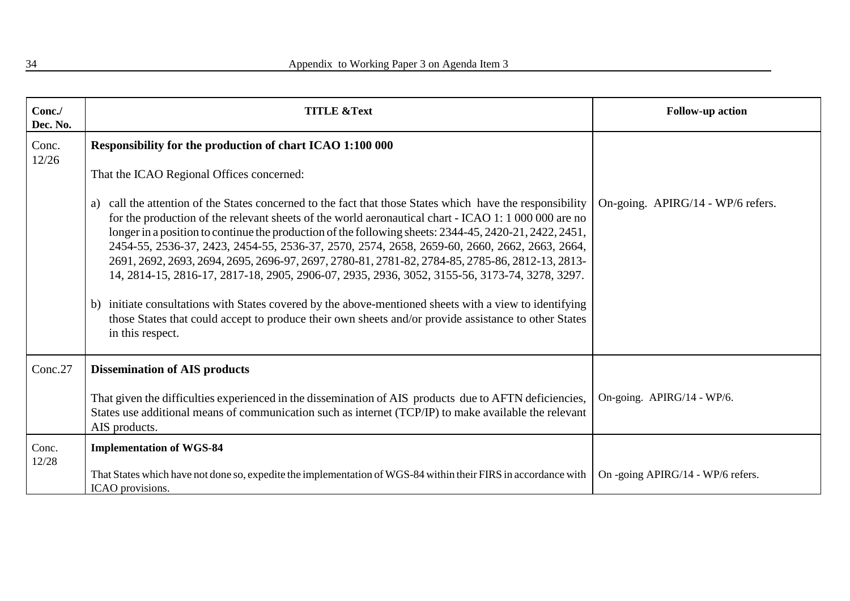| Conc./<br>Dec. No. | <b>TITLE &amp;Text</b>                                                                                                                                                                                                                                                                                                                                                                                                                                                                                                                                                                                                                                                                                                                                                                                                                                                      | <b>Follow-up action</b>           |
|--------------------|-----------------------------------------------------------------------------------------------------------------------------------------------------------------------------------------------------------------------------------------------------------------------------------------------------------------------------------------------------------------------------------------------------------------------------------------------------------------------------------------------------------------------------------------------------------------------------------------------------------------------------------------------------------------------------------------------------------------------------------------------------------------------------------------------------------------------------------------------------------------------------|-----------------------------------|
| Conc.<br>12/26     | Responsibility for the production of chart ICAO 1:100 000<br>That the ICAO Regional Offices concerned:                                                                                                                                                                                                                                                                                                                                                                                                                                                                                                                                                                                                                                                                                                                                                                      |                                   |
|                    | call the attention of the States concerned to the fact that those States which have the responsibility<br>a)<br>for the production of the relevant sheets of the world aeronautical chart - ICAO 1: 1 000 000 are no<br>longer in a position to continue the production of the following sheets: 2344-45, 2420-21, 2422, 2451,<br>2454-55, 2536-37, 2423, 2454-55, 2536-37, 2570, 2574, 2658, 2659-60, 2660, 2662, 2663, 2664,<br>2691, 2692, 2693, 2694, 2695, 2696-97, 2697, 2780-81, 2781-82, 2784-85, 2785-86, 2812-13, 2813-<br>14, 2814-15, 2816-17, 2817-18, 2905, 2906-07, 2935, 2936, 3052, 3155-56, 3173-74, 3278, 3297.<br>initiate consultations with States covered by the above-mentioned sheets with a view to identifying<br>b)<br>those States that could accept to produce their own sheets and/or provide assistance to other States<br>in this respect. | On-going. APIRG/14 - WP/6 refers. |
| Conc.27            | <b>Dissemination of AIS products</b>                                                                                                                                                                                                                                                                                                                                                                                                                                                                                                                                                                                                                                                                                                                                                                                                                                        |                                   |
|                    | That given the difficulties experienced in the dissemination of AIS products due to AFTN deficiencies,<br>States use additional means of communication such as internet (TCP/IP) to make available the relevant<br>AIS products.                                                                                                                                                                                                                                                                                                                                                                                                                                                                                                                                                                                                                                            | On-going. APIRG/14 - WP/6.        |
| Conc.<br>12/28     | <b>Implementation of WGS-84</b>                                                                                                                                                                                                                                                                                                                                                                                                                                                                                                                                                                                                                                                                                                                                                                                                                                             |                                   |
|                    | That States which have not done so, expedite the implementation of WGS-84 within their FIRS in accordance with<br>ICAO provisions.                                                                                                                                                                                                                                                                                                                                                                                                                                                                                                                                                                                                                                                                                                                                          | On -going APIRG/14 - WP/6 refers. |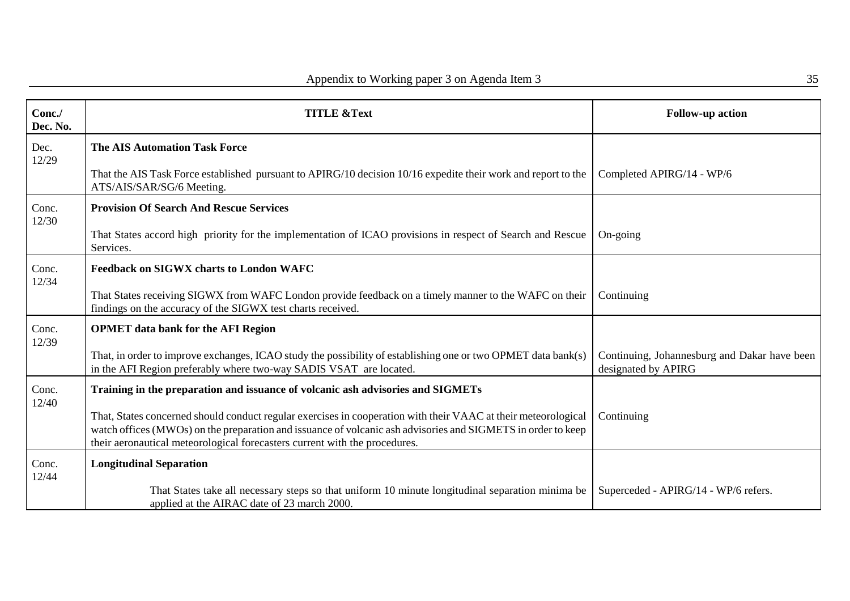| Conc./<br>Dec. No. | <b>TITLE &amp;Text</b>                                                                                                                                                                                                                                                                                       | <b>Follow-up action</b>                                             |
|--------------------|--------------------------------------------------------------------------------------------------------------------------------------------------------------------------------------------------------------------------------------------------------------------------------------------------------------|---------------------------------------------------------------------|
| Dec.<br>12/29      | <b>The AIS Automation Task Force</b>                                                                                                                                                                                                                                                                         |                                                                     |
|                    | That the AIS Task Force established pursuant to APIRG/10 decision 10/16 expedite their work and report to the<br>ATS/AIS/SAR/SG/6 Meeting.                                                                                                                                                                   | Completed APIRG/14 - WP/6                                           |
| Conc.<br>12/30     | <b>Provision Of Search And Rescue Services</b>                                                                                                                                                                                                                                                               |                                                                     |
|                    | That States accord high priority for the implementation of ICAO provisions in respect of Search and Rescue<br>Services.                                                                                                                                                                                      | $On-going$                                                          |
| Conc.<br>12/34     | <b>Feedback on SIGWX charts to London WAFC</b>                                                                                                                                                                                                                                                               |                                                                     |
|                    | That States receiving SIGWX from WAFC London provide feedback on a timely manner to the WAFC on their<br>findings on the accuracy of the SIGWX test charts received.                                                                                                                                         | Continuing                                                          |
| Conc.<br>12/39     | <b>OPMET</b> data bank for the AFI Region                                                                                                                                                                                                                                                                    |                                                                     |
|                    | That, in order to improve exchanges, ICAO study the possibility of establishing one or two OPMET data bank(s)<br>in the AFI Region preferably where two-way SADIS VSAT are located.                                                                                                                          | Continuing, Johannesburg and Dakar have been<br>designated by APIRG |
| Conc.<br>12/40     | Training in the preparation and issuance of volcanic ash advisories and SIGMETs                                                                                                                                                                                                                              |                                                                     |
|                    | That, States concerned should conduct regular exercises in cooperation with their VAAC at their meteorological<br>watch offices (MWOs) on the preparation and issuance of volcanic ash advisories and SIGMETS in order to keep<br>their aeronautical meteorological forecasters current with the procedures. | Continuing                                                          |
| Conc.<br>12/44     | <b>Longitudinal Separation</b>                                                                                                                                                                                                                                                                               |                                                                     |
|                    | That States take all necessary steps so that uniform 10 minute longitudinal separation minima be<br>applied at the AIRAC date of 23 march 2000.                                                                                                                                                              | Superceded - APIRG/14 - WP/6 refers.                                |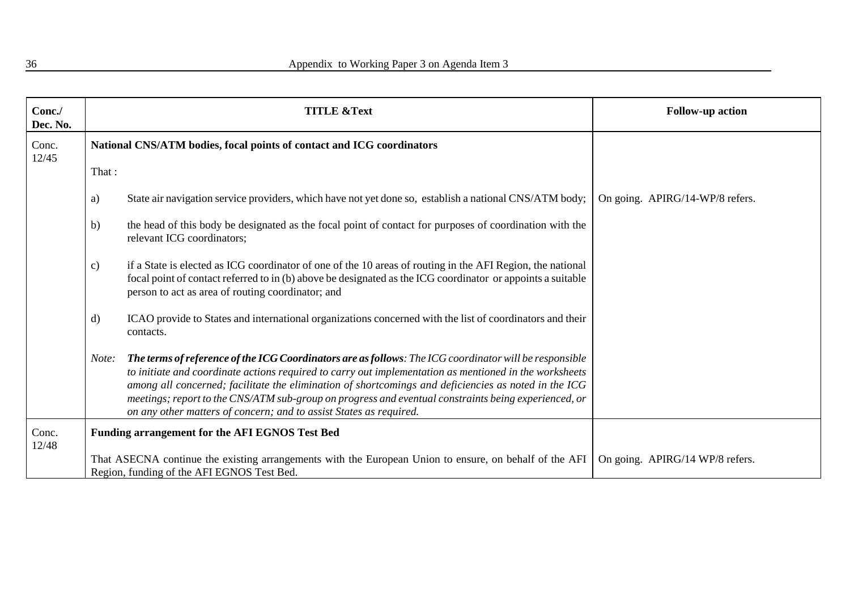| Conc./<br>Dec. No. |         | <b>TITLE &amp;Text</b>                                                                                                                                                                                                                                                                                                                                                                                                                                                                                 | <b>Follow-up action</b>         |
|--------------------|---------|--------------------------------------------------------------------------------------------------------------------------------------------------------------------------------------------------------------------------------------------------------------------------------------------------------------------------------------------------------------------------------------------------------------------------------------------------------------------------------------------------------|---------------------------------|
| Conc.<br>12/45     |         | National CNS/ATM bodies, focal points of contact and ICG coordinators                                                                                                                                                                                                                                                                                                                                                                                                                                  |                                 |
|                    | That:   |                                                                                                                                                                                                                                                                                                                                                                                                                                                                                                        |                                 |
|                    | a)      | State air navigation service providers, which have not yet done so, establish a national CNS/ATM body;                                                                                                                                                                                                                                                                                                                                                                                                 | On going. APIRG/14-WP/8 refers. |
|                    | b)      | the head of this body be designated as the focal point of contact for purposes of coordination with the<br>relevant ICG coordinators;                                                                                                                                                                                                                                                                                                                                                                  |                                 |
|                    | c)      | if a State is elected as ICG coordinator of one of the 10 areas of routing in the AFI Region, the national<br>focal point of contact referred to in (b) above be designated as the ICG coordinator or appoints a suitable<br>person to act as area of routing coordinator; and                                                                                                                                                                                                                         |                                 |
|                    | $\rm d$ | ICAO provide to States and international organizations concerned with the list of coordinators and their<br>contacts.                                                                                                                                                                                                                                                                                                                                                                                  |                                 |
|                    | Note:   | The terms of reference of the ICG Coordinators are as follows: The ICG coordinator will be responsible<br>to initiate and coordinate actions required to carry out implementation as mentioned in the worksheets<br>among all concerned; facilitate the elimination of shortcomings and deficiencies as noted in the ICG<br>meetings; report to the CNS/ATM sub-group on progress and eventual constraints being experienced, or<br>on any other matters of concern; and to assist States as required. |                                 |
| Conc.              |         | Funding arrangement for the AFI EGNOS Test Bed                                                                                                                                                                                                                                                                                                                                                                                                                                                         |                                 |
| 12/48              |         | That ASECNA continue the existing arrangements with the European Union to ensure, on behalf of the AFI<br>Region, funding of the AFI EGNOS Test Bed.                                                                                                                                                                                                                                                                                                                                                   | On going. APIRG/14 WP/8 refers. |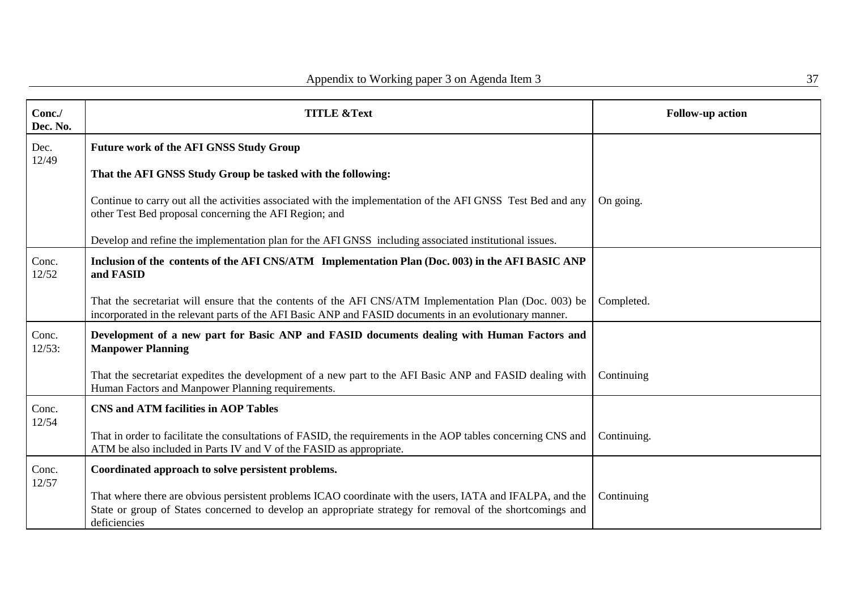| Conc./<br>Dec. No. | <b>TITLE &amp;Text</b>                                                                                                                                                                                                                 | <b>Follow-up action</b> |
|--------------------|----------------------------------------------------------------------------------------------------------------------------------------------------------------------------------------------------------------------------------------|-------------------------|
| Dec.<br>12/49      | <b>Future work of the AFI GNSS Study Group</b>                                                                                                                                                                                         |                         |
|                    | That the AFI GNSS Study Group be tasked with the following:                                                                                                                                                                            |                         |
|                    | Continue to carry out all the activities associated with the implementation of the AFI GNSS Test Bed and any<br>other Test Bed proposal concerning the AFI Region; and                                                                 | On going.               |
|                    | Develop and refine the implementation plan for the AFI GNSS including associated institutional issues.                                                                                                                                 |                         |
| Conc.<br>12/52     | Inclusion of the contents of the AFI CNS/ATM Implementation Plan (Doc. 003) in the AFI BASIC ANP<br>and FASID                                                                                                                          |                         |
|                    | That the secretariat will ensure that the contents of the AFI CNS/ATM Implementation Plan (Doc. 003) be<br>incorporated in the relevant parts of the AFI Basic ANP and FASID documents in an evolutionary manner.                      | Completed.              |
| Conc.<br>12/53:    | Development of a new part for Basic ANP and FASID documents dealing with Human Factors and<br><b>Manpower Planning</b>                                                                                                                 |                         |
|                    | That the secretariat expedites the development of a new part to the AFI Basic ANP and FASID dealing with<br>Human Factors and Manpower Planning requirements.                                                                          | Continuing              |
| Conc.<br>12/54     | <b>CNS and ATM facilities in AOP Tables</b>                                                                                                                                                                                            |                         |
|                    | That in order to facilitate the consultations of FASID, the requirements in the AOP tables concerning CNS and<br>ATM be also included in Parts IV and V of the FASID as appropriate.                                                   | Continuing.             |
| Conc.<br>12/57     | Coordinated approach to solve persistent problems.                                                                                                                                                                                     |                         |
|                    | That where there are obvious persistent problems ICAO coordinate with the users, IATA and IFALPA, and the<br>State or group of States concerned to develop an appropriate strategy for removal of the shortcomings and<br>deficiencies | Continuing              |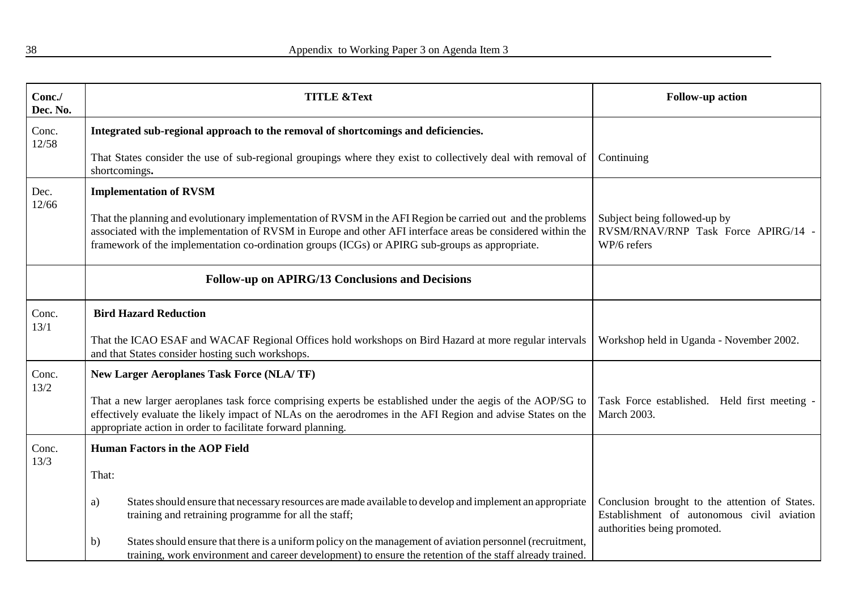| Conc./<br>Dec. No. | <b>TITLE &amp;Text</b>                                                                                                                                                                                                                                                                                                        | <b>Follow-up action</b>                                                                                                     |
|--------------------|-------------------------------------------------------------------------------------------------------------------------------------------------------------------------------------------------------------------------------------------------------------------------------------------------------------------------------|-----------------------------------------------------------------------------------------------------------------------------|
| Conc.<br>12/58     | Integrated sub-regional approach to the removal of shortcomings and deficiencies.                                                                                                                                                                                                                                             |                                                                                                                             |
|                    | That States consider the use of sub-regional groupings where they exist to collectively deal with removal of<br>shortcomings.                                                                                                                                                                                                 | Continuing                                                                                                                  |
| Dec.<br>12/66      | <b>Implementation of RVSM</b>                                                                                                                                                                                                                                                                                                 |                                                                                                                             |
|                    | That the planning and evolutionary implementation of RVSM in the AFI Region be carried out and the problems<br>associated with the implementation of RVSM in Europe and other AFI interface areas be considered within the<br>framework of the implementation co-ordination groups (ICGs) or APIRG sub-groups as appropriate. | Subject being followed-up by<br>RVSM/RNAV/RNP Task Force APIRG/14 -<br>WP/6 refers                                          |
|                    | <b>Follow-up on APIRG/13 Conclusions and Decisions</b>                                                                                                                                                                                                                                                                        |                                                                                                                             |
| Conc.<br>13/1      | <b>Bird Hazard Reduction</b>                                                                                                                                                                                                                                                                                                  |                                                                                                                             |
|                    | That the ICAO ESAF and WACAF Regional Offices hold workshops on Bird Hazard at more regular intervals<br>and that States consider hosting such workshops.                                                                                                                                                                     | Workshop held in Uganda - November 2002.                                                                                    |
| Conc.<br>13/2      | <b>New Larger Aeroplanes Task Force (NLA/TF)</b>                                                                                                                                                                                                                                                                              |                                                                                                                             |
|                    | That a new larger aeroplanes task force comprising experts be established under the aegis of the AOP/SG to<br>effectively evaluate the likely impact of NLAs on the aerodromes in the AFI Region and advise States on the<br>appropriate action in order to facilitate forward planning.                                      | Task Force established. Held first meeting -<br><b>March 2003.</b>                                                          |
| Conc.<br>13/3      | <b>Human Factors in the AOP Field</b>                                                                                                                                                                                                                                                                                         |                                                                                                                             |
|                    | That:                                                                                                                                                                                                                                                                                                                         |                                                                                                                             |
|                    | States should ensure that necessary resources are made available to develop and implement an appropriate<br>a)<br>training and retraining programme for all the staff;                                                                                                                                                        | Conclusion brought to the attention of States.<br>Establishment of autonomous civil aviation<br>authorities being promoted. |
|                    | States should ensure that there is a uniform policy on the management of aviation personnel (recruitment,<br>b)<br>training, work environment and career development) to ensure the retention of the staff already trained.                                                                                                   |                                                                                                                             |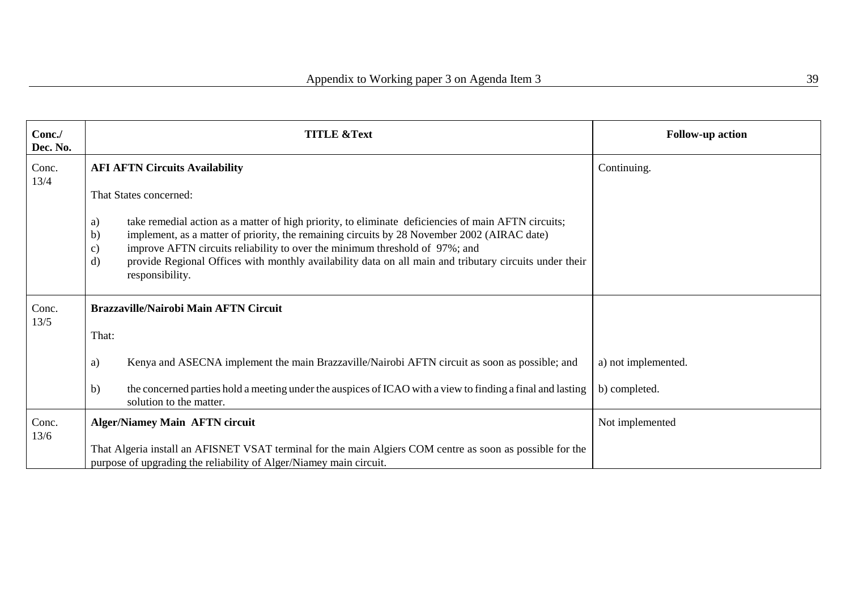| Conc./<br>Dec. No. | <b>TITLE &amp;Text</b>                                                                                                                                                                                                                                                                                                                                                                                                                           | <b>Follow-up action</b> |
|--------------------|--------------------------------------------------------------------------------------------------------------------------------------------------------------------------------------------------------------------------------------------------------------------------------------------------------------------------------------------------------------------------------------------------------------------------------------------------|-------------------------|
| Conc.<br>13/4      | <b>AFI AFTN Circuits Availability</b>                                                                                                                                                                                                                                                                                                                                                                                                            | Continuing.             |
|                    | That States concerned:                                                                                                                                                                                                                                                                                                                                                                                                                           |                         |
|                    | take remedial action as a matter of high priority, to eliminate deficiencies of main AFTN circuits;<br>a)<br>implement, as a matter of priority, the remaining circuits by 28 November 2002 (AIRAC date)<br>b)<br>improve AFTN circuits reliability to over the minimum threshold of 97%; and<br>c)<br>provide Regional Offices with monthly availability data on all main and tributary circuits under their<br>$\mathbf{d}$<br>responsibility. |                         |
| Conc.              | <b>Brazzaville/Nairobi Main AFTN Circuit</b>                                                                                                                                                                                                                                                                                                                                                                                                     |                         |
| 13/5               | That:                                                                                                                                                                                                                                                                                                                                                                                                                                            |                         |
|                    | Kenya and ASECNA implement the main Brazzaville/Nairobi AFTN circuit as soon as possible; and<br>a)                                                                                                                                                                                                                                                                                                                                              | a) not implemented.     |
|                    | the concerned parties hold a meeting under the auspices of ICAO with a view to finding a final and lasting<br>b)<br>solution to the matter.                                                                                                                                                                                                                                                                                                      | b) completed.           |
| Conc.<br>13/6      | <b>Alger/Niamey Main AFTN circuit</b>                                                                                                                                                                                                                                                                                                                                                                                                            | Not implemented         |
|                    | That Algeria install an AFISNET VSAT terminal for the main Algiers COM centre as soon as possible for the<br>purpose of upgrading the reliability of Alger/Niamey main circuit.                                                                                                                                                                                                                                                                  |                         |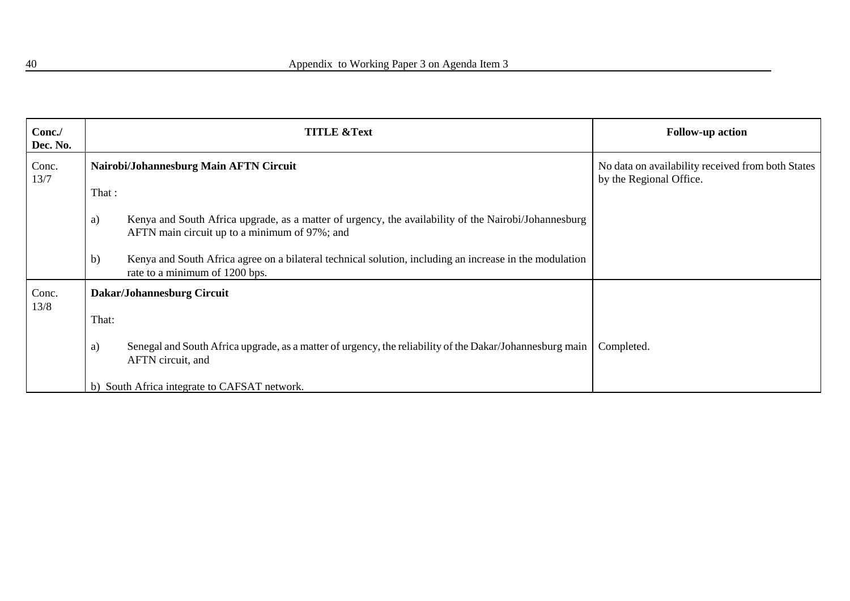| Conc./<br>Dec. No. |              | <b>TITLE &amp;Text</b>                                                                                                                                | <b>Follow-up action</b>                                                      |
|--------------------|--------------|-------------------------------------------------------------------------------------------------------------------------------------------------------|------------------------------------------------------------------------------|
| Conc.<br>13/7      | That:        | Nairobi/Johannesburg Main AFTN Circuit                                                                                                                | No data on availability received from both States<br>by the Regional Office. |
|                    | a)           | Kenya and South Africa upgrade, as a matter of urgency, the availability of the Nairobi/Johannesburg<br>AFTN main circuit up to a minimum of 97%; and |                                                                              |
|                    | $\mathbf{b}$ | Kenya and South Africa agree on a bilateral technical solution, including an increase in the modulation<br>rate to a minimum of 1200 bps.             |                                                                              |
| Conc.<br>13/8      |              | Dakar/Johannesburg Circuit                                                                                                                            |                                                                              |
|                    | That:        |                                                                                                                                                       |                                                                              |
|                    | a)           | Senegal and South Africa upgrade, as a matter of urgency, the reliability of the Dakar/Johannesburg main<br>AFTN circuit, and                         | Completed.                                                                   |
|                    |              | b) South Africa integrate to CAFSAT network.                                                                                                          |                                                                              |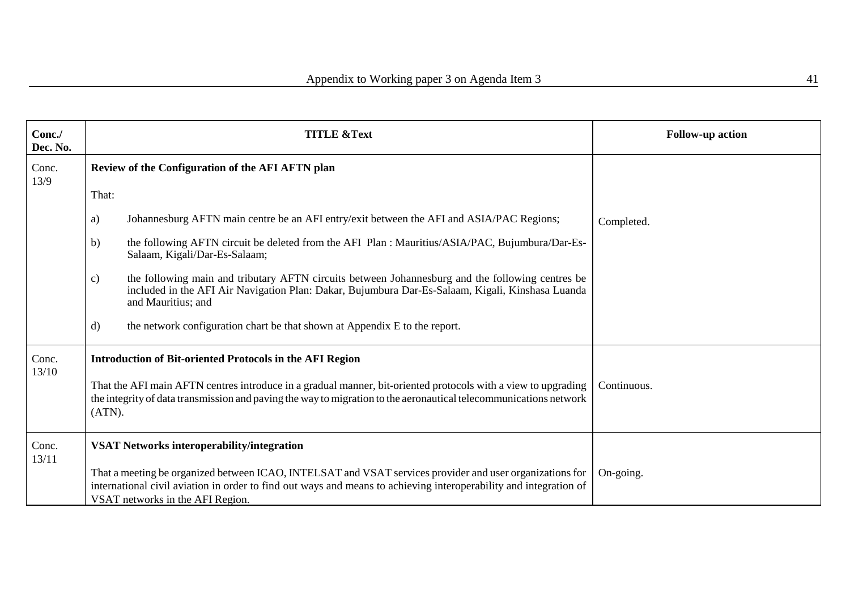| Conc./<br>Dec. No. | <b>TITLE &amp;Text</b>                                                                                                                                                                                                                                            | <b>Follow-up action</b> |
|--------------------|-------------------------------------------------------------------------------------------------------------------------------------------------------------------------------------------------------------------------------------------------------------------|-------------------------|
| Conc.<br>13/9      | Review of the Configuration of the AFI AFTN plan                                                                                                                                                                                                                  |                         |
|                    | That:                                                                                                                                                                                                                                                             |                         |
|                    | Johannesburg AFTN main centre be an AFI entry/exit between the AFI and ASIA/PAC Regions;<br>a)                                                                                                                                                                    | Completed.              |
|                    | the following AFTN circuit be deleted from the AFI Plan : Mauritius/ASIA/PAC, Bujumbura/Dar-Es-<br>b)<br>Salaam, Kigali/Dar-Es-Salaam;                                                                                                                            |                         |
|                    | the following main and tributary AFTN circuits between Johannesburg and the following centres be<br>c)<br>included in the AFI Air Navigation Plan: Dakar, Bujumbura Dar-Es-Salaam, Kigali, Kinshasa Luanda<br>and Mauritius; and                                  |                         |
|                    | the network configuration chart be that shown at Appendix E to the report.<br>$\rm d$                                                                                                                                                                             |                         |
| Conc.              | <b>Introduction of Bit-oriented Protocols in the AFI Region</b>                                                                                                                                                                                                   |                         |
| 13/10              | That the AFI main AFTN centres introduce in a gradual manner, bit-oriented protocols with a view to upgrading<br>the integrity of data transmission and paving the way to migration to the aeronautical telecommunications network<br>(ATN).                      | Continuous.             |
| Conc.<br>13/11     | <b>VSAT Networks interoperability/integration</b>                                                                                                                                                                                                                 |                         |
|                    | That a meeting be organized between ICAO, INTELSAT and VSAT services provider and user organizations for<br>international civil aviation in order to find out ways and means to achieving interoperability and integration of<br>VSAT networks in the AFI Region. | On-going.               |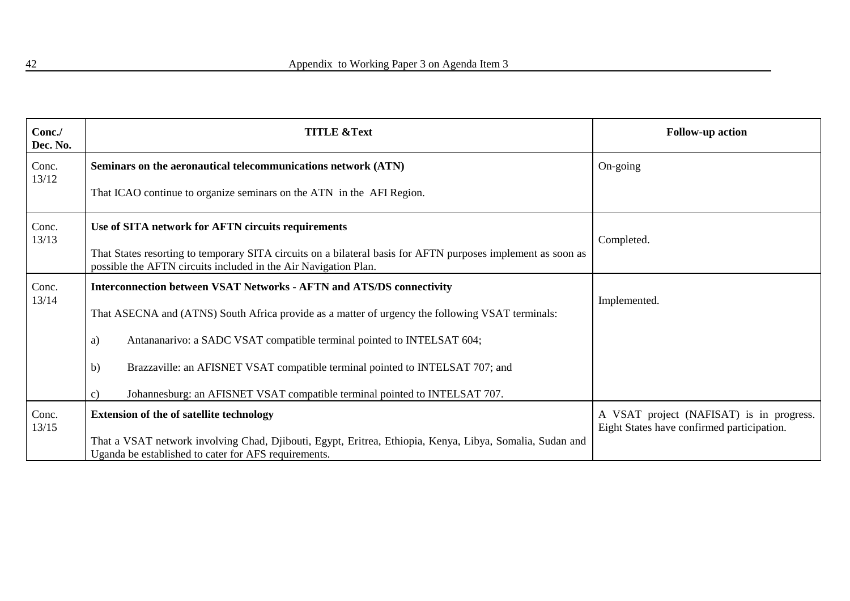| Conc./<br>Dec. No. | <b>TITLE &amp;Text</b>                                                                                                                                                          | <b>Follow-up action</b>                                                                |
|--------------------|---------------------------------------------------------------------------------------------------------------------------------------------------------------------------------|----------------------------------------------------------------------------------------|
| Conc.              | Seminars on the aeronautical telecommunications network (ATN)                                                                                                                   | On-going                                                                               |
| 13/12              | That ICAO continue to organize seminars on the ATN in the AFI Region.                                                                                                           |                                                                                        |
| Conc.              | Use of SITA network for AFTN circuits requirements                                                                                                                              |                                                                                        |
| 13/13              | That States resorting to temporary SITA circuits on a bilateral basis for AFTN purposes implement as soon as<br>possible the AFTN circuits included in the Air Navigation Plan. | Completed.                                                                             |
| Conc.              | <b>Interconnection between VSAT Networks - AFTN and ATS/DS connectivity</b>                                                                                                     |                                                                                        |
| 13/14              | That ASECNA and (ATNS) South Africa provide as a matter of urgency the following VSAT terminals:                                                                                | Implemented.                                                                           |
|                    | Antananarivo: a SADC VSAT compatible terminal pointed to INTELSAT 604;<br>a)                                                                                                    |                                                                                        |
|                    | Brazzaville: an AFISNET VSAT compatible terminal pointed to INTELSAT 707; and<br>b)                                                                                             |                                                                                        |
|                    | Johannesburg: an AFISNET VSAT compatible terminal pointed to INTELSAT 707.<br>$\mathbf{c})$                                                                                     |                                                                                        |
| Conc.<br>13/15     | <b>Extension of the of satellite technology</b>                                                                                                                                 | A VSAT project (NAFISAT) is in progress.<br>Eight States have confirmed participation. |
|                    | That a VSAT network involving Chad, Djibouti, Egypt, Eritrea, Ethiopia, Kenya, Libya, Somalia, Sudan and<br>Uganda be established to cater for AFS requirements.                |                                                                                        |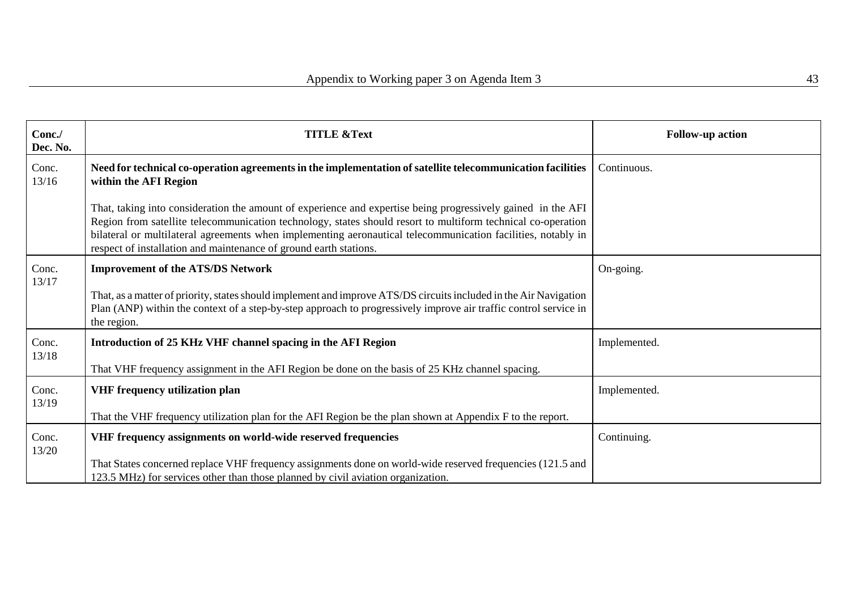| Conc./<br>Dec. No. | <b>TITLE &amp;Text</b>                                                                                                                                                                                                                                                                                                                                                                                            | <b>Follow-up action</b> |
|--------------------|-------------------------------------------------------------------------------------------------------------------------------------------------------------------------------------------------------------------------------------------------------------------------------------------------------------------------------------------------------------------------------------------------------------------|-------------------------|
| Conc.<br>13/16     | Need for technical co-operation agreements in the implementation of satellite telecommunication facilities<br>within the AFI Region                                                                                                                                                                                                                                                                               | Continuous.             |
|                    | That, taking into consideration the amount of experience and expertise being progressively gained in the AFI<br>Region from satellite telecommunication technology, states should resort to multiform technical co-operation<br>bilateral or multilateral agreements when implementing aeronautical telecommunication facilities, notably in<br>respect of installation and maintenance of ground earth stations. |                         |
| Conc.<br>13/17     | <b>Improvement of the ATS/DS Network</b>                                                                                                                                                                                                                                                                                                                                                                          | On-going.               |
|                    | That, as a matter of priority, states should implement and improve ATS/DS circuits included in the Air Navigation<br>Plan (ANP) within the context of a step-by-step approach to progressively improve air traffic control service in<br>the region.                                                                                                                                                              |                         |
| Conc.              | Introduction of 25 KHz VHF channel spacing in the AFI Region                                                                                                                                                                                                                                                                                                                                                      | Implemented.            |
| 13/18              | That VHF frequency assignment in the AFI Region be done on the basis of 25 KHz channel spacing.                                                                                                                                                                                                                                                                                                                   |                         |
| Conc.<br>13/19     | VHF frequency utilization plan                                                                                                                                                                                                                                                                                                                                                                                    | Implemented.            |
|                    | That the VHF frequency utilization plan for the AFI Region be the plan shown at Appendix F to the report.                                                                                                                                                                                                                                                                                                         |                         |
| Conc.<br>13/20     | VHF frequency assignments on world-wide reserved frequencies                                                                                                                                                                                                                                                                                                                                                      | Continuing.             |
|                    | That States concerned replace VHF frequency assignments done on world-wide reserved frequencies (121.5 and<br>123.5 MHz) for services other than those planned by civil aviation organization.                                                                                                                                                                                                                    |                         |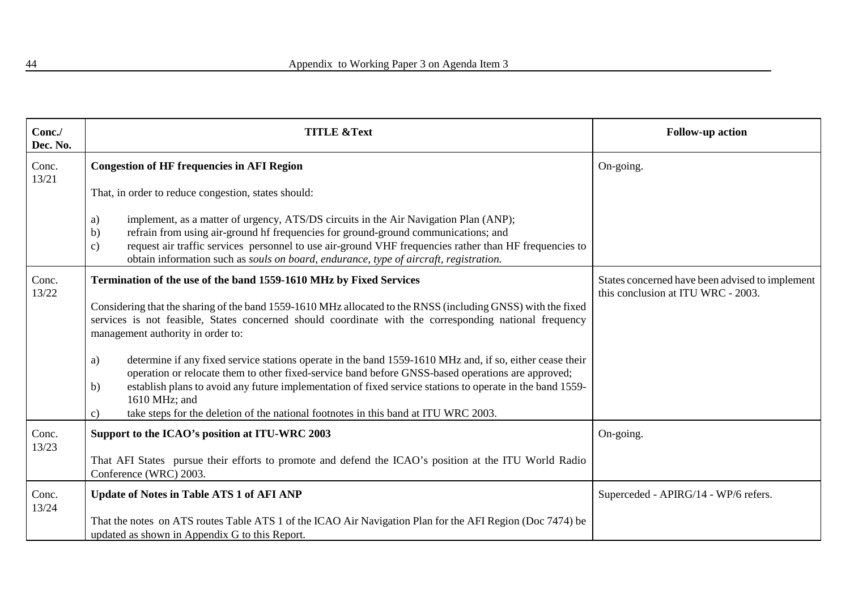| Conc./<br>Dec. No. | <b>TITLE &amp;Text</b>                                                                                                                                                                                                                                                                                                                                                                                                                                                   | <b>Follow-up action</b>                                                               |
|--------------------|--------------------------------------------------------------------------------------------------------------------------------------------------------------------------------------------------------------------------------------------------------------------------------------------------------------------------------------------------------------------------------------------------------------------------------------------------------------------------|---------------------------------------------------------------------------------------|
| Conc.<br>13/21     | <b>Congestion of HF frequencies in AFI Region</b>                                                                                                                                                                                                                                                                                                                                                                                                                        | On-going.                                                                             |
|                    | That, in order to reduce congestion, states should:                                                                                                                                                                                                                                                                                                                                                                                                                      |                                                                                       |
|                    | implement, as a matter of urgency, ATS/DS circuits in the Air Navigation Plan (ANP);<br>a)<br>refrain from using air-ground hf frequencies for ground-ground communications; and<br>b)<br>request air traffic services personnel to use air-ground VHF frequencies rather than HF frequencies to<br>$\mathbf{c})$<br>obtain information such as souls on board, endurance, type of aircraft, registration.                                                               |                                                                                       |
| Conc.<br>13/22     | Termination of the use of the band 1559-1610 MHz by Fixed Services                                                                                                                                                                                                                                                                                                                                                                                                       | States concerned have been advised to implement<br>this conclusion at ITU WRC - 2003. |
|                    | Considering that the sharing of the band 1559-1610 MHz allocated to the RNSS (including GNSS) with the fixed<br>services is not feasible, States concerned should coordinate with the corresponding national frequency<br>management authority in order to:                                                                                                                                                                                                              |                                                                                       |
|                    | determine if any fixed service stations operate in the band 1559-1610 MHz and, if so, either cease their<br>a)<br>operation or relocate them to other fixed-service band before GNSS-based operations are approved;<br>establish plans to avoid any future implementation of fixed service stations to operate in the band 1559-<br>$\mathbf{b}$<br>1610 MHz; and<br>take steps for the deletion of the national footnotes in this band at ITU WRC 2003.<br>$\mathbf{c}$ |                                                                                       |
| Conc.<br>13/23     | Support to the ICAO's position at ITU-WRC 2003                                                                                                                                                                                                                                                                                                                                                                                                                           | On-going.                                                                             |
|                    | That AFI States pursue their efforts to promote and defend the ICAO's position at the ITU World Radio<br>Conference (WRC) 2003.                                                                                                                                                                                                                                                                                                                                          |                                                                                       |
| Conc.<br>13/24     | <b>Update of Notes in Table ATS 1 of AFI ANP</b>                                                                                                                                                                                                                                                                                                                                                                                                                         | Superceded - APIRG/14 - WP/6 refers.                                                  |
|                    | That the notes on ATS routes Table ATS 1 of the ICAO Air Navigation Plan for the AFI Region (Doc 7474) be<br>updated as shown in Appendix G to this Report.                                                                                                                                                                                                                                                                                                              |                                                                                       |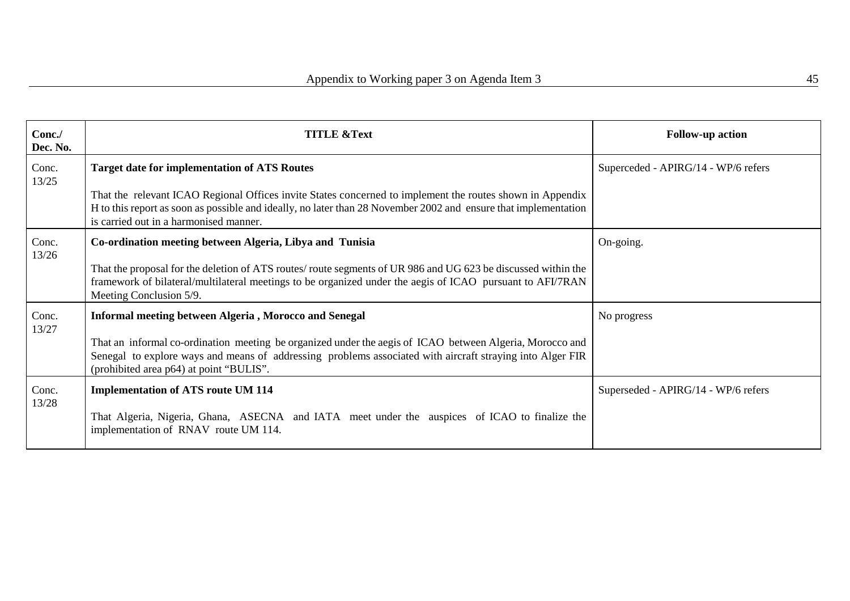| Conc./<br>Dec. No. | <b>TITLE &amp;Text</b>                                                                                                                                                                                                                                                 | <b>Follow-up action</b>             |
|--------------------|------------------------------------------------------------------------------------------------------------------------------------------------------------------------------------------------------------------------------------------------------------------------|-------------------------------------|
| Conc.<br>13/25     | <b>Target date for implementation of ATS Routes</b>                                                                                                                                                                                                                    | Superceded - APIRG/14 - WP/6 refers |
|                    | That the relevant ICAO Regional Offices invite States concerned to implement the routes shown in Appendix<br>H to this report as soon as possible and ideally, no later than 28 November 2002 and ensure that implementation<br>is carried out in a harmonised manner. |                                     |
| Conc.<br>13/26     | Co-ordination meeting between Algeria, Libya and Tunisia                                                                                                                                                                                                               | On-going.                           |
|                    | That the proposal for the deletion of ATS routes/ route segments of UR 986 and UG 623 be discussed within the<br>framework of bilateral/multilateral meetings to be organized under the aegis of ICAO pursuant to AFI/7RAN<br>Meeting Conclusion 5/9.                  |                                     |
| Conc.<br>13/27     | <b>Informal meeting between Algeria, Morocco and Senegal</b>                                                                                                                                                                                                           | No progress                         |
|                    | That an informal co-ordination meeting be organized under the aegis of ICAO between Algeria, Morocco and<br>Senegal to explore ways and means of addressing problems associated with aircraft straying into Alger FIR<br>(prohibited area p64) at point "BULIS".       |                                     |
| Conc.<br>13/28     | <b>Implementation of ATS route UM 114</b>                                                                                                                                                                                                                              | Superseded - APIRG/14 - WP/6 refers |
|                    | That Algeria, Nigeria, Ghana, ASECNA and IATA meet under the auspices of ICAO to finalize the<br>implementation of RNAV route UM 114.                                                                                                                                  |                                     |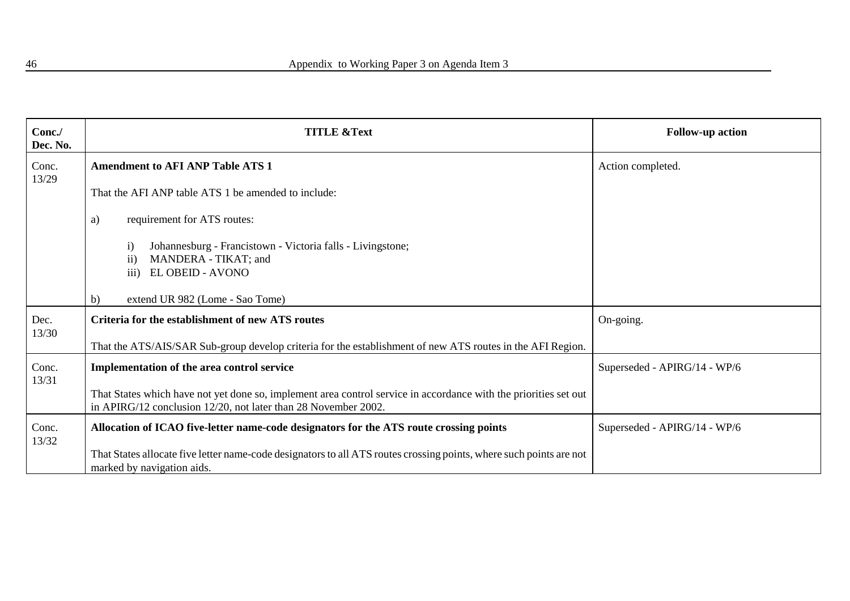| Conc./<br>Dec. No. | <b>TITLE &amp;Text</b>                                                                                                                                                             | <b>Follow-up action</b>      |
|--------------------|------------------------------------------------------------------------------------------------------------------------------------------------------------------------------------|------------------------------|
| Conc.<br>13/29     | <b>Amendment to AFI ANP Table ATS 1</b>                                                                                                                                            | Action completed.            |
|                    | That the AFI ANP table ATS 1 be amended to include:                                                                                                                                |                              |
|                    | requirement for ATS routes:<br>a)                                                                                                                                                  |                              |
|                    | Johannesburg - Francistown - Victoria falls - Livingstone;<br>$\mathbf{i}$<br>MANDERA - TIKAT; and<br>$\mathbf{ii}$<br>iii)<br>EL OBEID - AVONO                                    |                              |
|                    | extend UR 982 (Lome - Sao Tome)<br>b)                                                                                                                                              |                              |
| Dec.<br>13/30      | <b>Criteria for the establishment of new ATS routes</b>                                                                                                                            | On-going.                    |
|                    | That the ATS/AIS/SAR Sub-group develop criteria for the establishment of new ATS routes in the AFI Region.                                                                         |                              |
| Conc.<br>13/31     | Implementation of the area control service                                                                                                                                         | Superseded - APIRG/14 - WP/6 |
|                    | That States which have not yet done so, implement area control service in accordance with the priorities set out<br>in APIRG/12 conclusion 12/20, not later than 28 November 2002. |                              |
| Conc.<br>13/32     | Allocation of ICAO five-letter name-code designators for the ATS route crossing points                                                                                             | Superseded - APIRG/14 - WP/6 |
|                    | That States allocate five letter name-code designators to all ATS routes crossing points, where such points are not<br>marked by navigation aids.                                  |                              |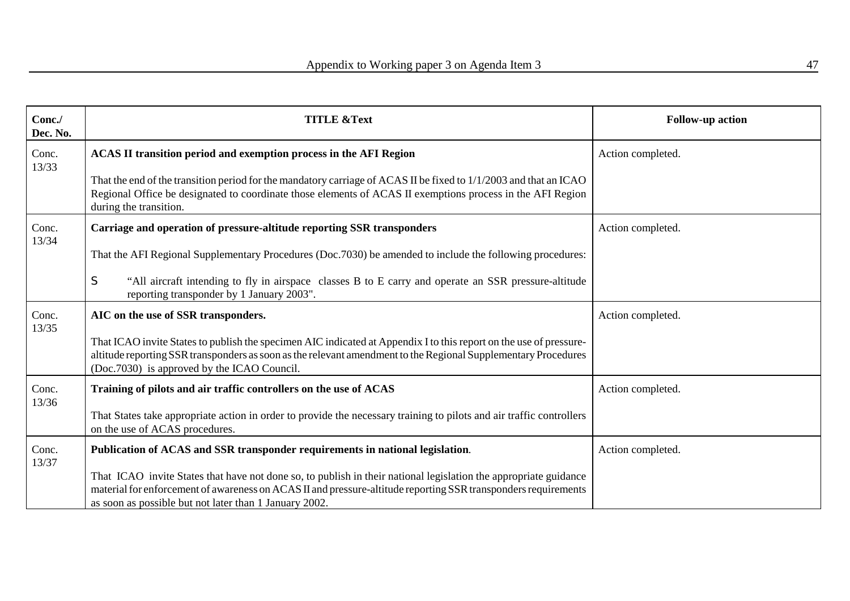| Conc./<br>Dec. No. | <b>TITLE &amp;Text</b>                                                                                                                                                                                                                                                                       | <b>Follow-up action</b> |
|--------------------|----------------------------------------------------------------------------------------------------------------------------------------------------------------------------------------------------------------------------------------------------------------------------------------------|-------------------------|
| Conc.<br>13/33     | ACAS II transition period and exemption process in the AFI Region                                                                                                                                                                                                                            | Action completed.       |
|                    | That the end of the transition period for the mandatory carriage of ACAS II be fixed to 1/1/2003 and that an ICAO<br>Regional Office be designated to coordinate those elements of ACAS II exemptions process in the AFI Region<br>during the transition.                                    |                         |
| Conc.<br>13/34     | Carriage and operation of pressure-altitude reporting SSR transponders                                                                                                                                                                                                                       | Action completed.       |
|                    | That the AFI Regional Supplementary Procedures (Doc.7030) be amended to include the following procedures:                                                                                                                                                                                    |                         |
|                    | S<br>"All aircraft intending to fly in airspace classes B to E carry and operate an SSR pressure-altitude<br>reporting transponder by 1 January 2003".                                                                                                                                       |                         |
| Conc.<br>13/35     | AIC on the use of SSR transponders.                                                                                                                                                                                                                                                          | Action completed.       |
|                    | That ICAO invite States to publish the specimen AIC indicated at Appendix I to this report on the use of pressure-<br>altitude reporting SSR transponders as soon as the relevant amendment to the Regional Supplementary Procedures<br>(Doc. 7030) is approved by the ICAO Council.         |                         |
| Conc.<br>13/36     | Training of pilots and air traffic controllers on the use of ACAS                                                                                                                                                                                                                            | Action completed.       |
|                    | That States take appropriate action in order to provide the necessary training to pilots and air traffic controllers<br>on the use of ACAS procedures.                                                                                                                                       |                         |
| Conc.<br>13/37     | Publication of ACAS and SSR transponder requirements in national legislation.                                                                                                                                                                                                                | Action completed.       |
|                    | That ICAO invite States that have not done so, to publish in their national legislation the appropriate guidance<br>material for enforcement of awareness on ACAS II and pressure-altitude reporting SSR transponders requirements<br>as soon as possible but not later than 1 January 2002. |                         |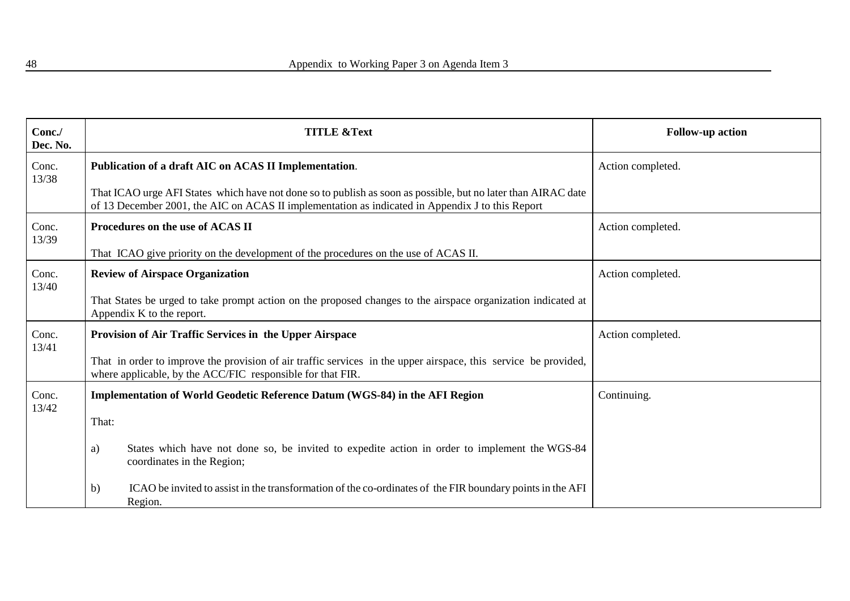| Conc./<br>Dec. No. | <b>TITLE &amp;Text</b>                                                                                                                                                                                            | <b>Follow-up action</b> |
|--------------------|-------------------------------------------------------------------------------------------------------------------------------------------------------------------------------------------------------------------|-------------------------|
| Conc.<br>13/38     | Publication of a draft AIC on ACAS II Implementation.                                                                                                                                                             | Action completed.       |
|                    | That ICAO urge AFI States which have not done so to publish as soon as possible, but no later than AIRAC date<br>of 13 December 2001, the AIC on ACAS II implementation as indicated in Appendix J to this Report |                         |
| Conc.<br>13/39     | Procedures on the use of ACAS II                                                                                                                                                                                  | Action completed.       |
|                    | That ICAO give priority on the development of the procedures on the use of ACAS II.                                                                                                                               |                         |
| Conc.<br>13/40     | <b>Review of Airspace Organization</b>                                                                                                                                                                            | Action completed.       |
|                    | That States be urged to take prompt action on the proposed changes to the airspace organization indicated at<br>Appendix K to the report.                                                                         |                         |
| Conc.<br>13/41     | Provision of Air Traffic Services in the Upper Airspace                                                                                                                                                           | Action completed.       |
|                    | That in order to improve the provision of air traffic services in the upper airspace, this service be provided,<br>where applicable, by the ACC/FIC responsible for that FIR.                                     |                         |
| Conc.<br>13/42     | Implementation of World Geodetic Reference Datum (WGS-84) in the AFI Region                                                                                                                                       | Continuing.             |
|                    | That:                                                                                                                                                                                                             |                         |
|                    | States which have not done so, be invited to expedite action in order to implement the WGS-84<br>a)<br>coordinates in the Region;                                                                                 |                         |
|                    | ICAO be invited to assist in the transformation of the co-ordinates of the FIR boundary points in the AFI<br>b)<br>Region.                                                                                        |                         |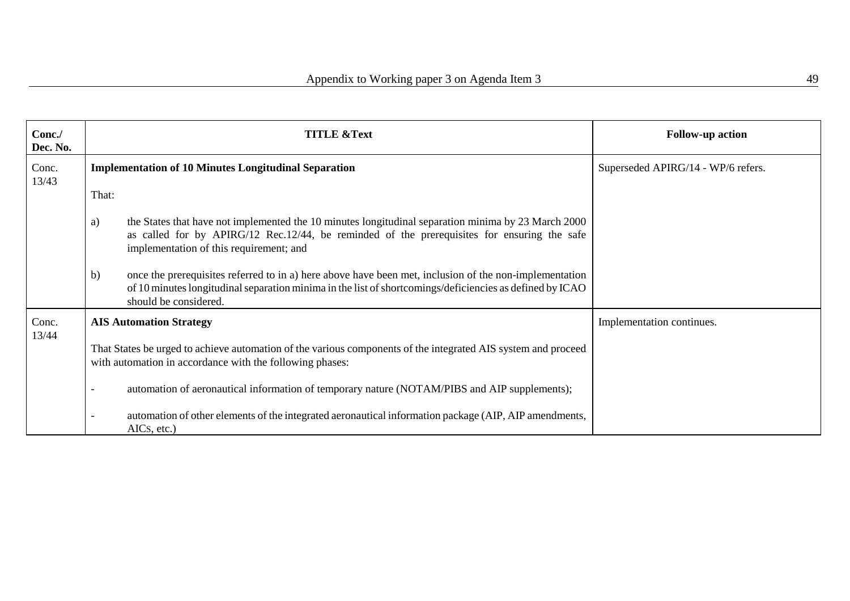| Conc./<br>Dec. No. | <b>TITLE &amp;Text</b>                                                                                                                                                                                                                              | <b>Follow-up action</b>            |
|--------------------|-----------------------------------------------------------------------------------------------------------------------------------------------------------------------------------------------------------------------------------------------------|------------------------------------|
| Conc.<br>13/43     | <b>Implementation of 10 Minutes Longitudinal Separation</b>                                                                                                                                                                                         | Superseded APIRG/14 - WP/6 refers. |
|                    | That:                                                                                                                                                                                                                                               |                                    |
|                    | the States that have not implemented the 10 minutes longitudinal separation minima by 23 March 2000<br>a)<br>as called for by APIRG/12 Rec.12/44, be reminded of the prerequisites for ensuring the safe<br>implementation of this requirement; and |                                    |
|                    | b)<br>once the prerequisites referred to in a) here above have been met, inclusion of the non-implementation<br>of 10 minutes longitudinal separation minima in the list of shortcomings/deficiencies as defined by ICAO<br>should be considered.   |                                    |
| Conc.<br>13/44     | <b>AIS Automation Strategy</b>                                                                                                                                                                                                                      | Implementation continues.          |
|                    | That States be urged to achieve automation of the various components of the integrated AIS system and proceed<br>with automation in accordance with the following phases:                                                                           |                                    |
|                    | automation of aeronautical information of temporary nature (NOTAM/PIBS and AIP supplements);                                                                                                                                                        |                                    |
|                    | automation of other elements of the integrated aeronautical information package (AIP, AIP amendments,<br>AICs, etc.)                                                                                                                                |                                    |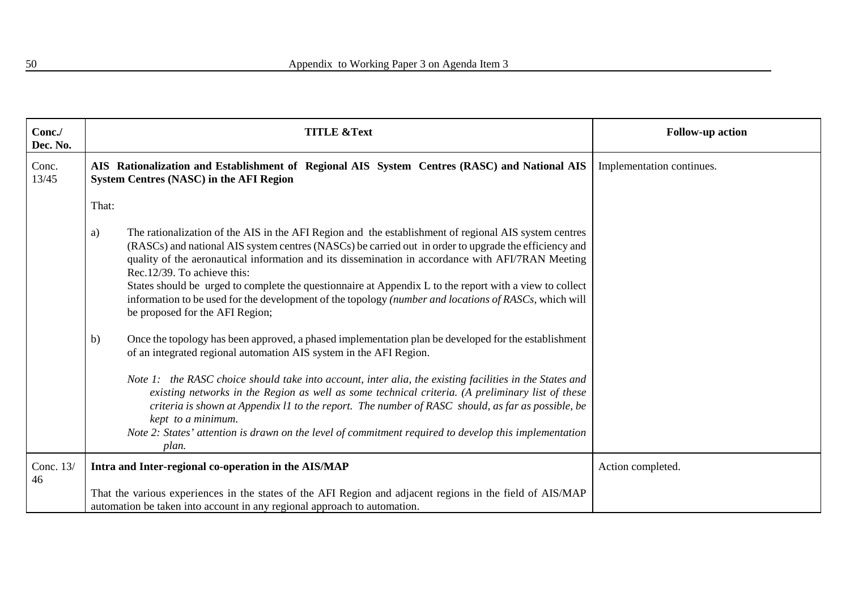| Conc./<br>Dec. No. | <b>TITLE &amp;Text</b>                                                                                                                                                                                                                                                                                                                                                                                                                                                                                                                                                                                                                                                                                                                                                                                                                                                                                                                                                                                                                                                                                                                                                                                                                                  | <b>Follow-up action</b>   |
|--------------------|---------------------------------------------------------------------------------------------------------------------------------------------------------------------------------------------------------------------------------------------------------------------------------------------------------------------------------------------------------------------------------------------------------------------------------------------------------------------------------------------------------------------------------------------------------------------------------------------------------------------------------------------------------------------------------------------------------------------------------------------------------------------------------------------------------------------------------------------------------------------------------------------------------------------------------------------------------------------------------------------------------------------------------------------------------------------------------------------------------------------------------------------------------------------------------------------------------------------------------------------------------|---------------------------|
| Conc.<br>13/45     | AIS Rationalization and Establishment of Regional AIS System Centres (RASC) and National AIS<br><b>System Centres (NASC) in the AFI Region</b>                                                                                                                                                                                                                                                                                                                                                                                                                                                                                                                                                                                                                                                                                                                                                                                                                                                                                                                                                                                                                                                                                                          | Implementation continues. |
|                    | That:                                                                                                                                                                                                                                                                                                                                                                                                                                                                                                                                                                                                                                                                                                                                                                                                                                                                                                                                                                                                                                                                                                                                                                                                                                                   |                           |
|                    | The rationalization of the AIS in the AFI Region and the establishment of regional AIS system centres<br>a)<br>(RASCs) and national AIS system centres (NASCs) be carried out in order to upgrade the efficiency and<br>quality of the aeronautical information and its dissemination in accordance with AFI/7RAN Meeting<br>Rec. 12/39. To achieve this:<br>States should be urged to complete the questionnaire at Appendix L to the report with a view to collect<br>information to be used for the development of the topology (number and locations of RASCs, which will<br>be proposed for the AFI Region;<br>Once the topology has been approved, a phased implementation plan be developed for the establishment<br>b)<br>of an integrated regional automation AIS system in the AFI Region.<br>Note 1: the RASC choice should take into account, inter alia, the existing facilities in the States and<br>existing networks in the Region as well as some technical criteria. (A preliminary list of these<br>criteria is shown at Appendix 11 to the report. The number of RASC should, as far as possible, be<br>kept to a minimum.<br>Note 2: States' attention is drawn on the level of commitment required to develop this implementation |                           |
|                    | plan.                                                                                                                                                                                                                                                                                                                                                                                                                                                                                                                                                                                                                                                                                                                                                                                                                                                                                                                                                                                                                                                                                                                                                                                                                                                   |                           |
| Conc. 13/<br>46    | Intra and Inter-regional co-operation in the AIS/MAP<br>That the various experiences in the states of the AFI Region and adjacent regions in the field of AIS/MAP                                                                                                                                                                                                                                                                                                                                                                                                                                                                                                                                                                                                                                                                                                                                                                                                                                                                                                                                                                                                                                                                                       | Action completed.         |
|                    | automation be taken into account in any regional approach to automation.                                                                                                                                                                                                                                                                                                                                                                                                                                                                                                                                                                                                                                                                                                                                                                                                                                                                                                                                                                                                                                                                                                                                                                                |                           |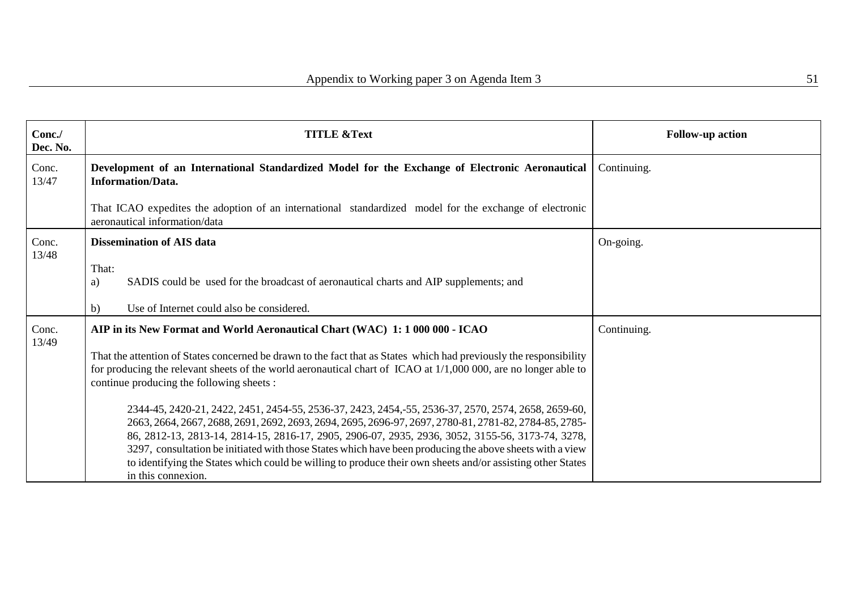| Conc./<br>Dec. No. | <b>TITLE &amp;Text</b>                                                                                                                                                                                                                                                                                                                                                                                                                                                                                                                                           | <b>Follow-up action</b> |
|--------------------|------------------------------------------------------------------------------------------------------------------------------------------------------------------------------------------------------------------------------------------------------------------------------------------------------------------------------------------------------------------------------------------------------------------------------------------------------------------------------------------------------------------------------------------------------------------|-------------------------|
| Conc.<br>13/47     | Development of an International Standardized Model for the Exchange of Electronic Aeronautical<br><b>Information/Data.</b>                                                                                                                                                                                                                                                                                                                                                                                                                                       | Continuing.             |
|                    | That ICAO expedites the adoption of an international standardized model for the exchange of electronic<br>aeronautical information/data                                                                                                                                                                                                                                                                                                                                                                                                                          |                         |
| Conc.              | <b>Dissemination of AIS data</b>                                                                                                                                                                                                                                                                                                                                                                                                                                                                                                                                 | On-going.               |
| 13/48              | That:<br>SADIS could be used for the broadcast of aeronautical charts and AIP supplements; and<br>a)<br>Use of Internet could also be considered.<br>b)                                                                                                                                                                                                                                                                                                                                                                                                          |                         |
| Conc.<br>13/49     | AIP in its New Format and World Aeronautical Chart (WAC) 1: 1 000 000 - ICAO                                                                                                                                                                                                                                                                                                                                                                                                                                                                                     | Continuing.             |
|                    | That the attention of States concerned be drawn to the fact that as States which had previously the responsibility<br>for producing the relevant sheets of the world aeronautical chart of ICAO at 1/1,000 000, are no longer able to<br>continue producing the following sheets :                                                                                                                                                                                                                                                                               |                         |
|                    | 2344-45, 2420-21, 2422, 2451, 2454-55, 2536-37, 2423, 2454, 55, 2536-37, 2570, 2574, 2658, 2659-60,<br>2663, 2664, 2667, 2688, 2691, 2692, 2693, 2694, 2695, 2696-97, 2697, 2780-81, 2781-82, 2784-85, 2785-<br>86, 2812-13, 2813-14, 2814-15, 2816-17, 2905, 2906-07, 2935, 2936, 3052, 3155-56, 3173-74, 3278,<br>3297, consultation be initiated with those States which have been producing the above sheets with a view<br>to identifying the States which could be willing to produce their own sheets and/or assisting other States<br>in this connexion. |                         |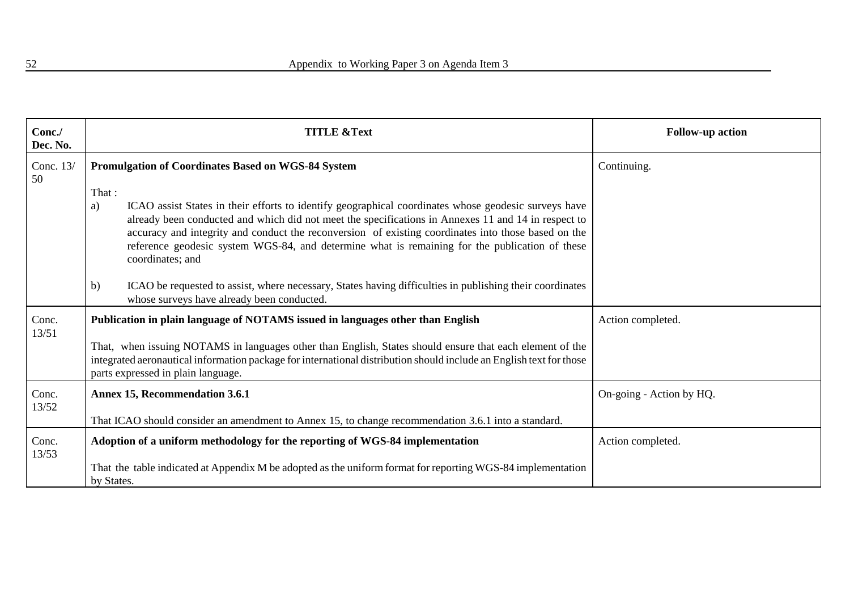| Conc./<br>Dec. No. | <b>TITLE &amp;Text</b>                                                                                                                                                                                                                                                                                                                                                                                                                                   | <b>Follow-up action</b>  |
|--------------------|----------------------------------------------------------------------------------------------------------------------------------------------------------------------------------------------------------------------------------------------------------------------------------------------------------------------------------------------------------------------------------------------------------------------------------------------------------|--------------------------|
| Conc. 13/<br>50    | <b>Promulgation of Coordinates Based on WGS-84 System</b>                                                                                                                                                                                                                                                                                                                                                                                                | Continuing.              |
|                    | That :<br>ICAO assist States in their efforts to identify geographical coordinates whose geodesic surveys have<br>a)<br>already been conducted and which did not meet the specifications in Annexes 11 and 14 in respect to<br>accuracy and integrity and conduct the reconversion of existing coordinates into those based on the<br>reference geodesic system WGS-84, and determine what is remaining for the publication of these<br>coordinates; and |                          |
|                    | ICAO be requested to assist, where necessary, States having difficulties in publishing their coordinates<br>b)<br>whose surveys have already been conducted.                                                                                                                                                                                                                                                                                             |                          |
| Conc.<br>13/51     | Publication in plain language of NOTAMS issued in languages other than English<br>That, when issuing NOTAMS in languages other than English, States should ensure that each element of the<br>integrated aeronautical information package for international distribution should include an English text for those<br>parts expressed in plain language.                                                                                                  | Action completed.        |
| Conc.<br>13/52     | <b>Annex 15, Recommendation 3.6.1</b><br>That ICAO should consider an amendment to Annex 15, to change recommendation 3.6.1 into a standard.                                                                                                                                                                                                                                                                                                             | On-going - Action by HQ. |
| Conc.<br>13/53     | Adoption of a uniform methodology for the reporting of WGS-84 implementation<br>That the table indicated at Appendix M be adopted as the uniform format for reporting WGS-84 implementation<br>by States.                                                                                                                                                                                                                                                | Action completed.        |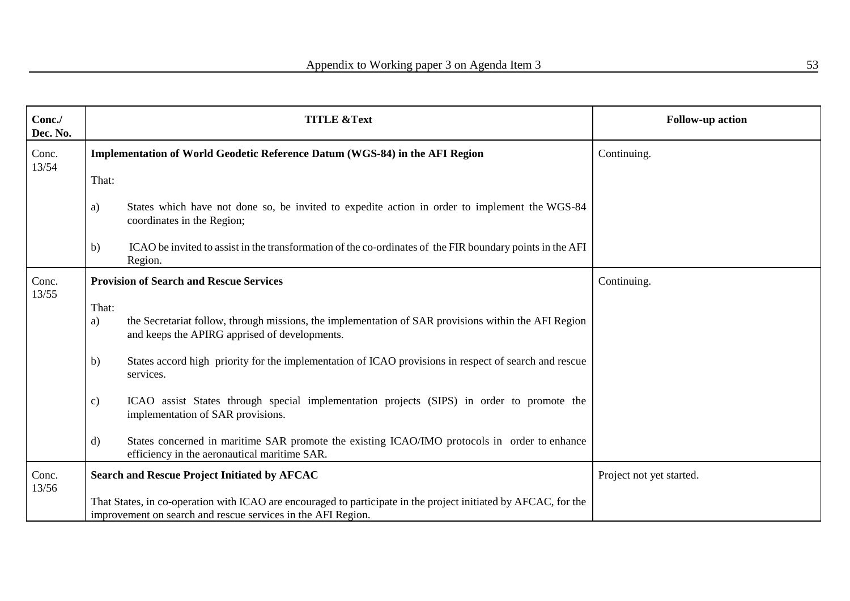| Conc./<br>Dec. No. |              | <b>TITLE &amp;Text</b>                                                                                                                                                          | <b>Follow-up action</b>  |
|--------------------|--------------|---------------------------------------------------------------------------------------------------------------------------------------------------------------------------------|--------------------------|
| Conc.<br>13/54     |              | Implementation of World Geodetic Reference Datum (WGS-84) in the AFI Region                                                                                                     | Continuing.              |
|                    | That:        |                                                                                                                                                                                 |                          |
|                    | a)           | States which have not done so, be invited to expedite action in order to implement the WGS-84<br>coordinates in the Region;                                                     |                          |
|                    | b)           | ICAO be invited to assist in the transformation of the co-ordinates of the FIR boundary points in the AFI<br>Region.                                                            |                          |
| Conc.<br>13/55     |              | <b>Provision of Search and Rescue Services</b>                                                                                                                                  | Continuing.              |
|                    | That:        |                                                                                                                                                                                 |                          |
|                    | a)           | the Secretariat follow, through missions, the implementation of SAR provisions within the AFI Region<br>and keeps the APIRG apprised of developments.                           |                          |
|                    | b)           | States accord high priority for the implementation of ICAO provisions in respect of search and rescue<br>services.                                                              |                          |
|                    | c)           | ICAO assist States through special implementation projects (SIPS) in order to promote the<br>implementation of SAR provisions.                                                  |                          |
|                    | $\mathbf{d}$ | States concerned in maritime SAR promote the existing ICAO/IMO protocols in order to enhance<br>efficiency in the aeronautical maritime SAR.                                    |                          |
| Conc.<br>13/56     |              | <b>Search and Rescue Project Initiated by AFCAC</b>                                                                                                                             | Project not yet started. |
|                    |              | That States, in co-operation with ICAO are encouraged to participate in the project initiated by AFCAC, for the<br>improvement on search and rescue services in the AFI Region. |                          |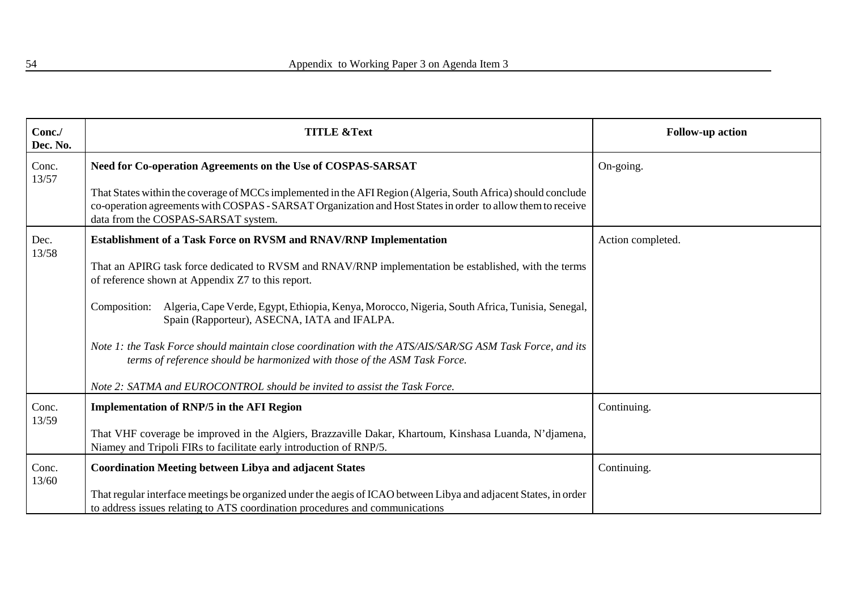| Conc./<br>Dec. No. | <b>TITLE &amp;Text</b>                                                                                                                                                                                                                                              | <b>Follow-up action</b> |
|--------------------|---------------------------------------------------------------------------------------------------------------------------------------------------------------------------------------------------------------------------------------------------------------------|-------------------------|
| Conc.<br>13/57     | Need for Co-operation Agreements on the Use of COSPAS-SARSAT                                                                                                                                                                                                        | On-going.               |
|                    | That States within the coverage of MCCs implemented in the AFI Region (Algeria, South Africa) should conclude<br>co-operation agreements with COSPAS - SARSAT Organization and Host States in order to allow them to receive<br>data from the COSPAS-SARSAT system. |                         |
| Dec.               | Establishment of a Task Force on RVSM and RNAV/RNP Implementation                                                                                                                                                                                                   | Action completed.       |
| 13/58              | That an APIRG task force dedicated to RVSM and RNAV/RNP implementation be established, with the terms<br>of reference shown at Appendix Z7 to this report.                                                                                                          |                         |
|                    | Algeria, Cape Verde, Egypt, Ethiopia, Kenya, Morocco, Nigeria, South Africa, Tunisia, Senegal,<br>Composition:<br>Spain (Rapporteur), ASECNA, IATA and IFALPA.                                                                                                      |                         |
|                    | Note 1: the Task Force should maintain close coordination with the ATS/AIS/SAR/SG ASM Task Force, and its<br>terms of reference should be harmonized with those of the ASM Task Force.                                                                              |                         |
|                    | Note 2: SATMA and EUROCONTROL should be invited to assist the Task Force.                                                                                                                                                                                           |                         |
| Conc.<br>13/59     | <b>Implementation of RNP/5 in the AFI Region</b>                                                                                                                                                                                                                    | Continuing.             |
|                    | That VHF coverage be improved in the Algiers, Brazzaville Dakar, Khartoum, Kinshasa Luanda, N'djamena,<br>Niamey and Tripoli FIRs to facilitate early introduction of RNP/5.                                                                                        |                         |
| Conc.              | <b>Coordination Meeting between Libya and adjacent States</b>                                                                                                                                                                                                       | Continuing.             |
| 13/60              | That regular interface meetings be organized under the aegis of ICAO between Libya and adjacent States, in order<br>to address issues relating to ATS coordination procedures and communications                                                                    |                         |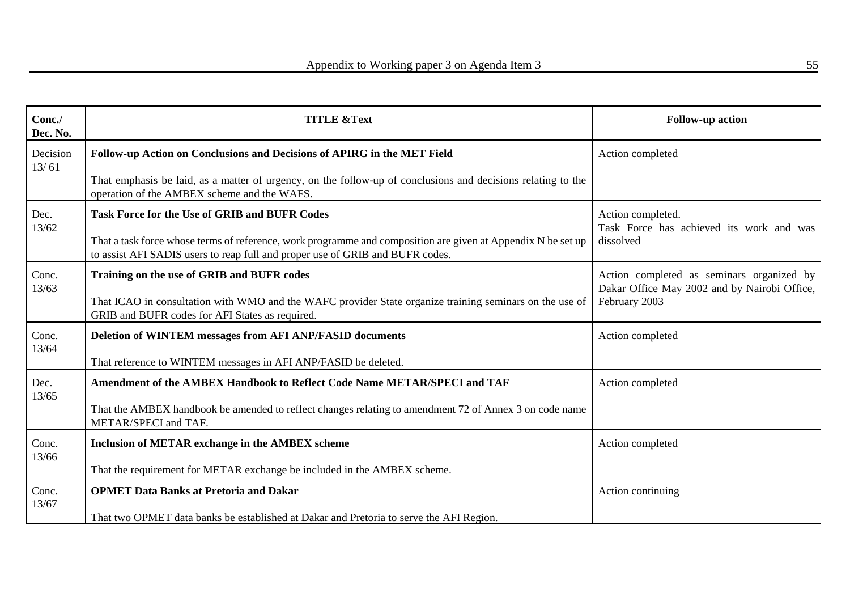| Conc./<br>Dec. No. | <b>TITLE &amp;Text</b>                                                                                                                                                                        | <b>Follow-up action</b>                                                                   |
|--------------------|-----------------------------------------------------------------------------------------------------------------------------------------------------------------------------------------------|-------------------------------------------------------------------------------------------|
| Decision<br>13/61  | Follow-up Action on Conclusions and Decisions of APIRG in the MET Field                                                                                                                       | Action completed                                                                          |
|                    | That emphasis be laid, as a matter of urgency, on the follow-up of conclusions and decisions relating to the<br>operation of the AMBEX scheme and the WAFS.                                   |                                                                                           |
| Dec.<br>13/62      | <b>Task Force for the Use of GRIB and BUFR Codes</b>                                                                                                                                          | Action completed.<br>Task Force has achieved its work and was                             |
|                    | That a task force whose terms of reference, work programme and composition are given at Appendix N be set up<br>to assist AFI SADIS users to reap full and proper use of GRIB and BUFR codes. | dissolved                                                                                 |
| Conc.<br>13/63     | Training on the use of GRIB and BUFR codes                                                                                                                                                    | Action completed as seminars organized by<br>Dakar Office May 2002 and by Nairobi Office, |
|                    | That ICAO in consultation with WMO and the WAFC provider State organize training seminars on the use of<br>GRIB and BUFR codes for AFI States as required.                                    | February 2003                                                                             |
| Conc.<br>13/64     | <b>Deletion of WINTEM messages from AFI ANP/FASID documents</b>                                                                                                                               | Action completed                                                                          |
|                    | That reference to WINTEM messages in AFI ANP/FASID be deleted.                                                                                                                                |                                                                                           |
| Dec.<br>13/65      | Amendment of the AMBEX Handbook to Reflect Code Name METAR/SPECI and TAF                                                                                                                      | Action completed                                                                          |
|                    | That the AMBEX handbook be amended to reflect changes relating to amendment 72 of Annex 3 on code name<br>METAR/SPECI and TAF.                                                                |                                                                                           |
| Conc.<br>13/66     | <b>Inclusion of METAR exchange in the AMBEX scheme</b>                                                                                                                                        | Action completed                                                                          |
|                    | That the requirement for METAR exchange be included in the AMBEX scheme.                                                                                                                      |                                                                                           |
| Conc.<br>13/67     | <b>OPMET Data Banks at Pretoria and Dakar</b>                                                                                                                                                 | Action continuing                                                                         |
|                    | That two OPMET data banks be established at Dakar and Pretoria to serve the AFI Region.                                                                                                       |                                                                                           |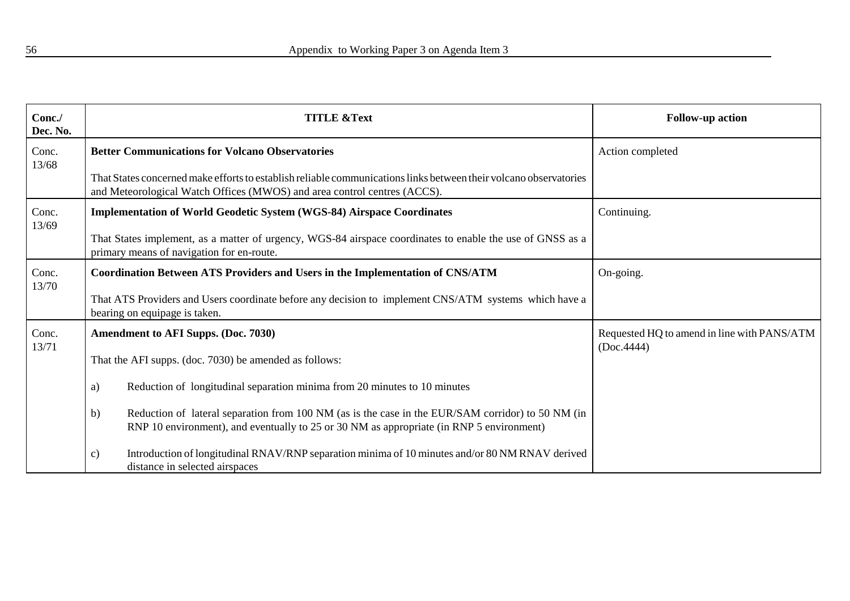| Conc./<br>Dec. No. | <b>TITLE &amp;Text</b>                                                                                                                                                                              | <b>Follow-up action</b>                                   |
|--------------------|-----------------------------------------------------------------------------------------------------------------------------------------------------------------------------------------------------|-----------------------------------------------------------|
| Conc.<br>13/68     | <b>Better Communications for Volcano Observatories</b>                                                                                                                                              | Action completed                                          |
|                    | That States concerned make efforts to establish reliable communications links between their volcano observatories<br>and Meteorological Watch Offices (MWOS) and area control centres (ACCS).       |                                                           |
| Conc.<br>13/69     | <b>Implementation of World Geodetic System (WGS-84) Airspace Coordinates</b>                                                                                                                        | Continuing.                                               |
|                    | That States implement, as a matter of urgency, WGS-84 airspace coordinates to enable the use of GNSS as a<br>primary means of navigation for en-route.                                              |                                                           |
| Conc.<br>13/70     | <b>Coordination Between ATS Providers and Users in the Implementation of CNS/ATM</b>                                                                                                                | On-going.                                                 |
|                    | That ATS Providers and Users coordinate before any decision to implement CNS/ATM systems which have a<br>bearing on equipage is taken.                                                              |                                                           |
| Conc.<br>13/71     | <b>Amendment to AFI Supps. (Doc. 7030)</b>                                                                                                                                                          | Requested HQ to amend in line with PANS/ATM<br>(Doc.4444) |
|                    | That the AFI supps. (doc. 7030) be amended as follows:                                                                                                                                              |                                                           |
|                    | Reduction of longitudinal separation minima from 20 minutes to 10 minutes<br>a)                                                                                                                     |                                                           |
|                    | Reduction of lateral separation from 100 NM (as is the case in the EUR/SAM corridor) to 50 NM (in<br>b)<br>RNP 10 environment), and eventually to 25 or 30 NM as appropriate (in RNP 5 environment) |                                                           |
|                    | Introduction of longitudinal RNAV/RNP separation minima of 10 minutes and/or 80 NM RNAV derived<br>c)<br>distance in selected airspaces                                                             |                                                           |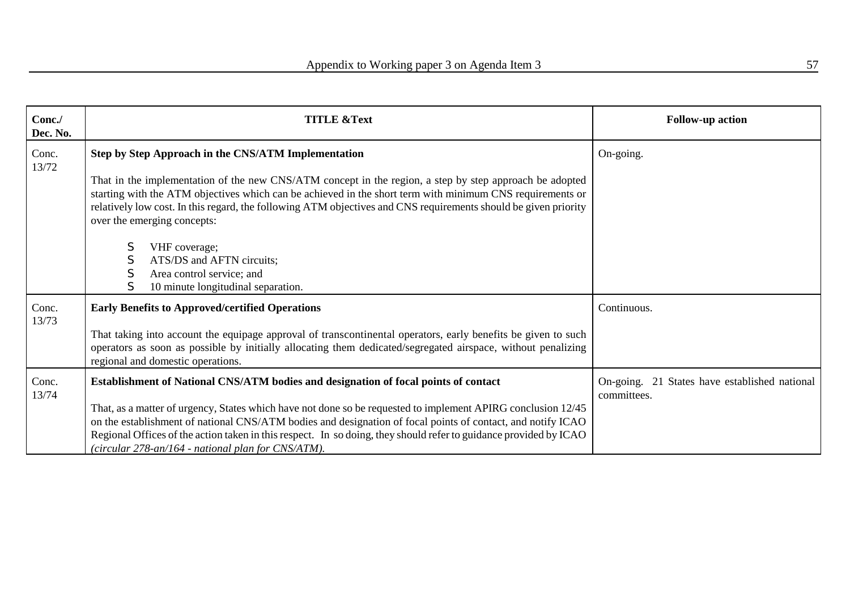| Conc./<br>Dec. No. | <b>TITLE &amp;Text</b>                                                                                                                                                                                                                                                                                                                                                                                 | <b>Follow-up action</b>                                      |
|--------------------|--------------------------------------------------------------------------------------------------------------------------------------------------------------------------------------------------------------------------------------------------------------------------------------------------------------------------------------------------------------------------------------------------------|--------------------------------------------------------------|
| Conc.<br>13/72     | Step by Step Approach in the CNS/ATM Implementation                                                                                                                                                                                                                                                                                                                                                    | On-going.                                                    |
|                    | That in the implementation of the new CNS/ATM concept in the region, a step by step approach be adopted<br>starting with the ATM objectives which can be achieved in the short term with minimum CNS requirements or<br>relatively low cost. In this regard, the following ATM objectives and CNS requirements should be given priority<br>over the emerging concepts:                                 |                                                              |
|                    | S<br>VHF coverage;<br>ATS/DS and AFTN circuits;<br>Area control service; and<br>10 minute longitudinal separation.                                                                                                                                                                                                                                                                                     |                                                              |
| Conc.              | <b>Early Benefits to Approved/certified Operations</b>                                                                                                                                                                                                                                                                                                                                                 | Continuous.                                                  |
| 13/73              | That taking into account the equipage approval of transcontinental operators, early benefits be given to such<br>operators as soon as possible by initially allocating them dedicated/segregated airspace, without penalizing<br>regional and domestic operations.                                                                                                                                     |                                                              |
| Conc.<br>13/74     | Establishment of National CNS/ATM bodies and designation of focal points of contact                                                                                                                                                                                                                                                                                                                    | On-going. 21 States have established national<br>committees. |
|                    | That, as a matter of urgency, States which have not done so be requested to implement APIRG conclusion 12/45<br>on the establishment of national CNS/ATM bodies and designation of focal points of contact, and notify ICAO<br>Regional Offices of the action taken in this respect. In so doing, they should refer to guidance provided by ICAO<br>(circular 278-an/164 - national plan for CNS/ATM). |                                                              |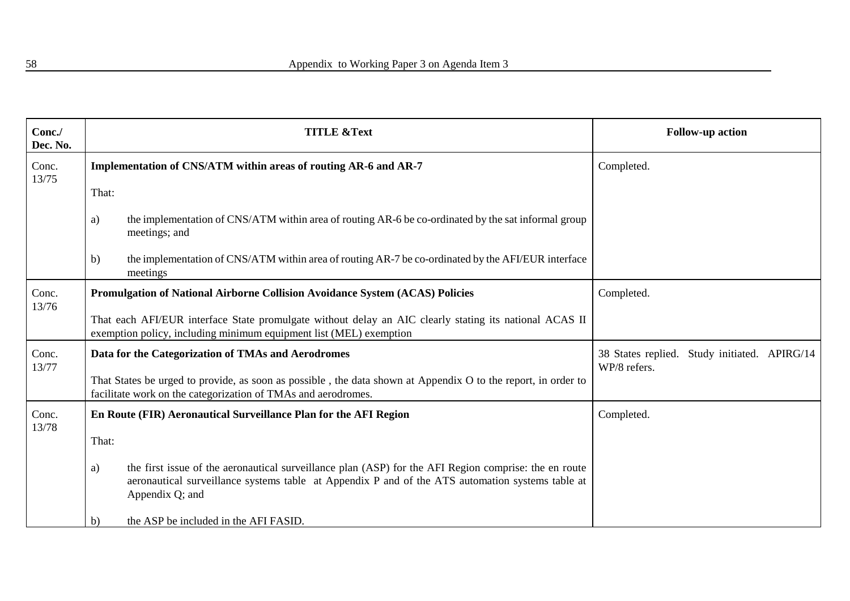| Conc./<br>Dec. No. | <b>TITLE &amp;Text</b>                                                                                                                                                                                                             | <b>Follow-up action</b>                                         |
|--------------------|------------------------------------------------------------------------------------------------------------------------------------------------------------------------------------------------------------------------------------|-----------------------------------------------------------------|
| Conc.<br>13/75     | Implementation of CNS/ATM within areas of routing AR-6 and AR-7                                                                                                                                                                    | Completed.                                                      |
|                    | That:                                                                                                                                                                                                                              |                                                                 |
|                    | the implementation of CNS/ATM within area of routing AR-6 be co-ordinated by the sat informal group<br>a)<br>meetings; and                                                                                                         |                                                                 |
|                    | the implementation of CNS/ATM within area of routing AR-7 be co-ordinated by the AFI/EUR interface<br>$\mathbf{b}$<br>meetings                                                                                                     |                                                                 |
| Conc.<br>13/76     | Promulgation of National Airborne Collision Avoidance System (ACAS) Policies                                                                                                                                                       | Completed.                                                      |
|                    | That each AFI/EUR interface State promulgate without delay an AIC clearly stating its national ACAS II<br>exemption policy, including minimum equipment list (MEL) exemption                                                       |                                                                 |
| Conc.<br>13/77     | Data for the Categorization of TMAs and Aerodromes                                                                                                                                                                                 | 38 States replied.<br>Study initiated. APIRG/14<br>WP/8 refers. |
|                    | That States be urged to provide, as soon as possible, the data shown at Appendix O to the report, in order to<br>facilitate work on the categorization of TMAs and aerodromes.                                                     |                                                                 |
| Conc.<br>13/78     | En Route (FIR) Aeronautical Surveillance Plan for the AFI Region                                                                                                                                                                   | Completed.                                                      |
|                    | That:                                                                                                                                                                                                                              |                                                                 |
|                    | the first issue of the aeronautical surveillance plan (ASP) for the AFI Region comprise: the en route<br>a)<br>aeronautical surveillance systems table at Appendix P and of the ATS automation systems table at<br>Appendix Q; and |                                                                 |
|                    | the ASP be included in the AFI FASID.<br>b)                                                                                                                                                                                        |                                                                 |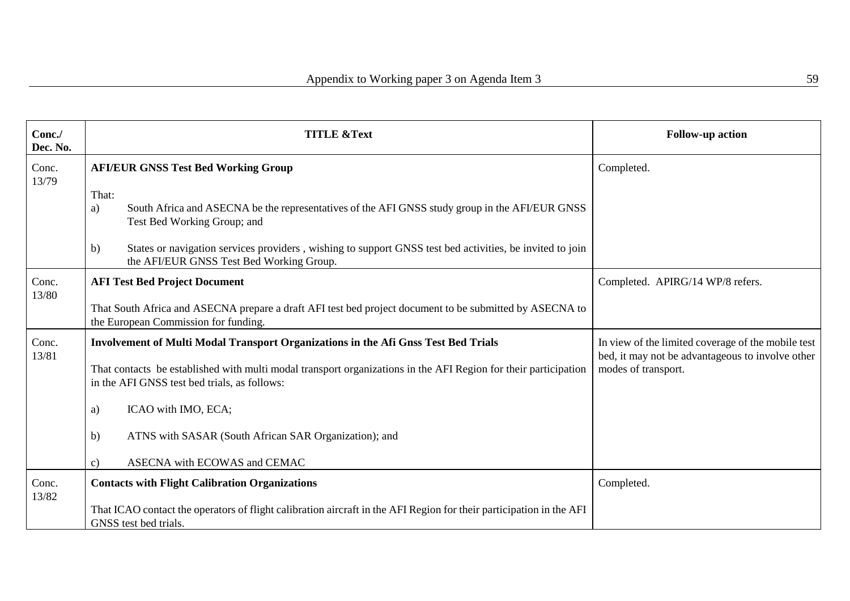| Conc./<br>Dec. No. | <b>TITLE &amp;Text</b>                                                                                                                                          | <b>Follow-up action</b>                                                                                |
|--------------------|-----------------------------------------------------------------------------------------------------------------------------------------------------------------|--------------------------------------------------------------------------------------------------------|
| Conc.<br>13/79     | <b>AFI/EUR GNSS Test Bed Working Group</b>                                                                                                                      | Completed.                                                                                             |
|                    | That:<br>South Africa and ASECNA be the representatives of the AFI GNSS study group in the AFI/EUR GNSS<br>a)<br>Test Bed Working Group; and                    |                                                                                                        |
|                    | States or navigation services providers, wishing to support GNSS test bed activities, be invited to join<br>b)<br>the AFI/EUR GNSS Test Bed Working Group.      |                                                                                                        |
| Conc.<br>13/80     | <b>AFI Test Bed Project Document</b>                                                                                                                            | Completed. APIRG/14 WP/8 refers.                                                                       |
|                    | That South Africa and ASECNA prepare a draft AFI test bed project document to be submitted by ASECNA to<br>the European Commission for funding.                 |                                                                                                        |
| Conc.<br>13/81     | <b>Involvement of Multi Modal Transport Organizations in the Afi Gnss Test Bed Trials</b>                                                                       | In view of the limited coverage of the mobile test<br>bed, it may not be advantageous to involve other |
|                    | That contacts be established with multi modal transport organizations in the AFI Region for their participation<br>in the AFI GNSS test bed trials, as follows: | modes of transport.                                                                                    |
|                    | ICAO with IMO, ECA;<br>a)                                                                                                                                       |                                                                                                        |
|                    | ATNS with SASAR (South African SAR Organization); and<br>b)                                                                                                     |                                                                                                        |
|                    | ASECNA with ECOWAS and CEMAC<br>$\mathbf{c})$                                                                                                                   |                                                                                                        |
| Conc.<br>13/82     | <b>Contacts with Flight Calibration Organizations</b>                                                                                                           | Completed.                                                                                             |
|                    | That ICAO contact the operators of flight calibration aircraft in the AFI Region for their participation in the AFI<br>GNSS test bed trials.                    |                                                                                                        |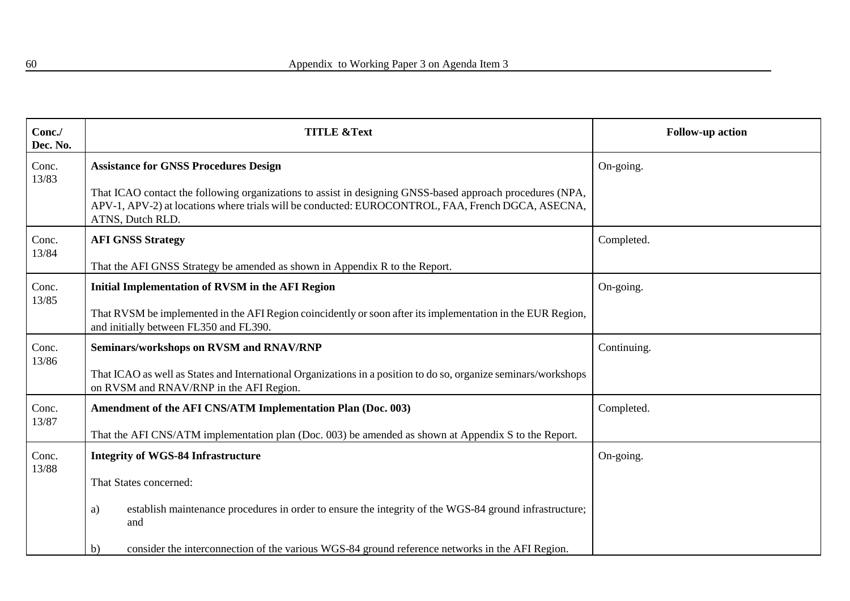| Conc./<br>Dec. No. | <b>TITLE &amp;Text</b>                                                                                                                                                                                                             | <b>Follow-up action</b> |
|--------------------|------------------------------------------------------------------------------------------------------------------------------------------------------------------------------------------------------------------------------------|-------------------------|
| Conc.<br>13/83     | <b>Assistance for GNSS Procedures Design</b>                                                                                                                                                                                       | On-going.               |
|                    | That ICAO contact the following organizations to assist in designing GNSS-based approach procedures (NPA,<br>APV-1, APV-2) at locations where trials will be conducted: EUROCONTROL, FAA, French DGCA, ASECNA,<br>ATNS, Dutch RLD. |                         |
| Conc.<br>13/84     | <b>AFI GNSS Strategy</b>                                                                                                                                                                                                           | Completed.              |
|                    | That the AFI GNSS Strategy be amended as shown in Appendix R to the Report.                                                                                                                                                        |                         |
| Conc.<br>13/85     | <b>Initial Implementation of RVSM in the AFI Region</b>                                                                                                                                                                            | On-going.               |
|                    | That RVSM be implemented in the AFI Region coincidently or soon after its implementation in the EUR Region,<br>and initially between FL350 and FL390.                                                                              |                         |
| Conc.<br>13/86     | Seminars/workshops on RVSM and RNAV/RNP                                                                                                                                                                                            | Continuing.             |
|                    | That ICAO as well as States and International Organizations in a position to do so, organize seminars/workshops<br>on RVSM and RNAV/RNP in the AFI Region.                                                                         |                         |
| Conc.<br>13/87     | Amendment of the AFI CNS/ATM Implementation Plan (Doc. 003)                                                                                                                                                                        | Completed.              |
|                    | That the AFI CNS/ATM implementation plan (Doc. 003) be amended as shown at Appendix S to the Report.                                                                                                                               |                         |
| Conc.<br>13/88     | <b>Integrity of WGS-84 Infrastructure</b>                                                                                                                                                                                          | On-going.               |
|                    | That States concerned:                                                                                                                                                                                                             |                         |
|                    | establish maintenance procedures in order to ensure the integrity of the WGS-84 ground infrastructure;<br>a)<br>and                                                                                                                |                         |
|                    | consider the interconnection of the various WGS-84 ground reference networks in the AFI Region.<br>b)                                                                                                                              |                         |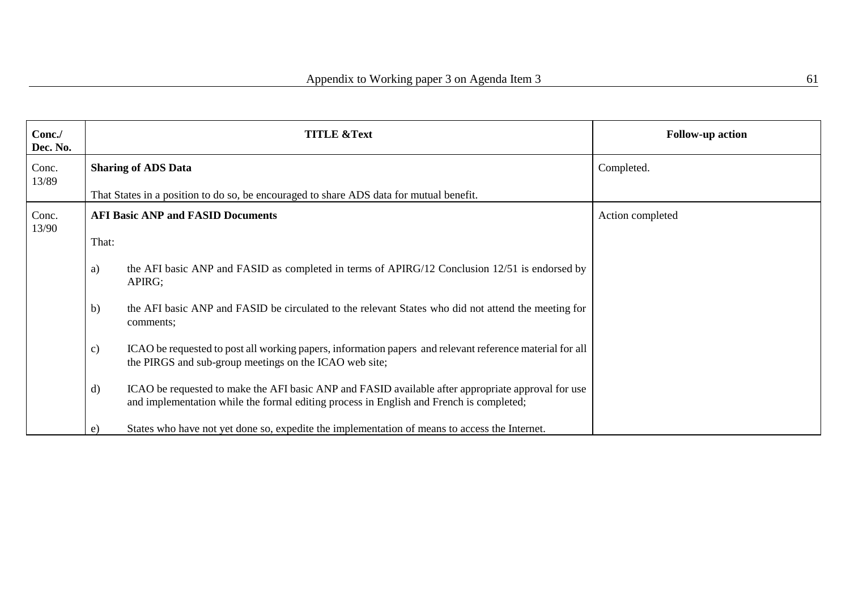| Conc./<br>Dec. No. |               | <b>TITLE &amp;Text</b>                                                                                                                                                                        | <b>Follow-up action</b> |
|--------------------|---------------|-----------------------------------------------------------------------------------------------------------------------------------------------------------------------------------------------|-------------------------|
| Conc.<br>13/89     |               | <b>Sharing of ADS Data</b>                                                                                                                                                                    | Completed.              |
|                    |               | That States in a position to do so, be encouraged to share ADS data for mutual benefit.                                                                                                       |                         |
| Conc.<br>13/90     |               | <b>AFI Basic ANP and FASID Documents</b>                                                                                                                                                      | Action completed        |
|                    | That:         |                                                                                                                                                                                               |                         |
|                    | a)            | the AFI basic ANP and FASID as completed in terms of APIRG/12 Conclusion 12/51 is endorsed by<br>APIRG;                                                                                       |                         |
|                    | b)            | the AFI basic ANP and FASID be circulated to the relevant States who did not attend the meeting for<br>comments;                                                                              |                         |
|                    | $\mathbf{c})$ | ICAO be requested to post all working papers, information papers and relevant reference material for all<br>the PIRGS and sub-group meetings on the ICAO web site;                            |                         |
|                    | $\mathbf{d}$  | ICAO be requested to make the AFI basic ANP and FASID available after appropriate approval for use<br>and implementation while the formal editing process in English and French is completed; |                         |
|                    | e)            | States who have not yet done so, expedite the implementation of means to access the Internet.                                                                                                 |                         |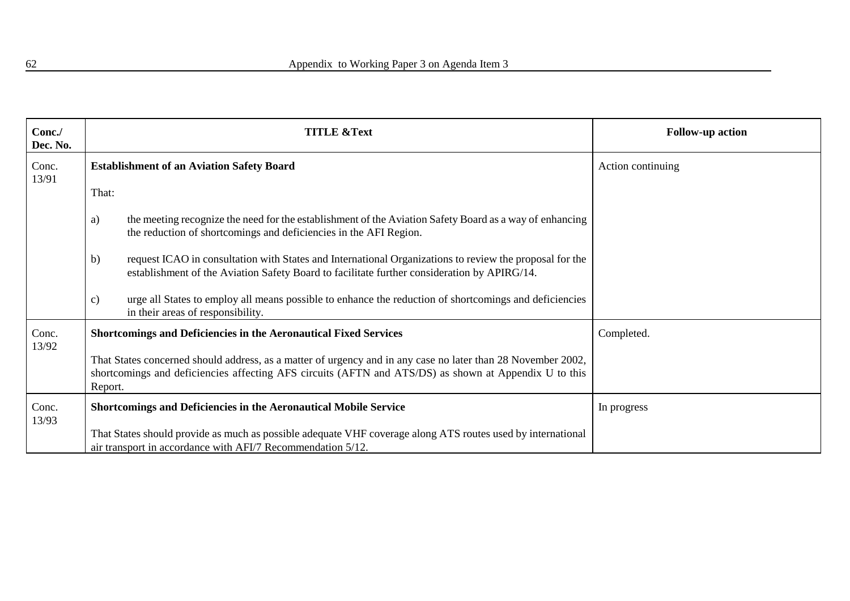| Conc./<br>Dec. No. | <b>TITLE &amp;Text</b>                                                                                                                                                                                                           | <b>Follow-up action</b> |
|--------------------|----------------------------------------------------------------------------------------------------------------------------------------------------------------------------------------------------------------------------------|-------------------------|
| Conc.<br>13/91     | <b>Establishment of an Aviation Safety Board</b>                                                                                                                                                                                 | Action continuing       |
|                    | That:                                                                                                                                                                                                                            |                         |
|                    | the meeting recognize the need for the establishment of the Aviation Safety Board as a way of enhancing<br>a)<br>the reduction of shortcomings and deficiencies in the AFI Region.                                               |                         |
|                    | request ICAO in consultation with States and International Organizations to review the proposal for the<br>b)<br>establishment of the Aviation Safety Board to facilitate further consideration by APIRG/14.                     |                         |
|                    | urge all States to employ all means possible to enhance the reduction of shortcomings and deficiencies<br>c)<br>in their areas of responsibility.                                                                                |                         |
| Conc.              | <b>Shortcomings and Deficiencies in the Aeronautical Fixed Services</b>                                                                                                                                                          | Completed.              |
| 13/92              | That States concerned should address, as a matter of urgency and in any case no later than 28 November 2002,<br>shortcomings and deficiencies affecting AFS circuits (AFTN and ATS/DS) as shown at Appendix U to this<br>Report. |                         |
| Conc.              | <b>Shortcomings and Deficiencies in the Aeronautical Mobile Service</b>                                                                                                                                                          | In progress             |
| 13/93              | That States should provide as much as possible adequate VHF coverage along ATS routes used by international<br>air transport in accordance with AFI/7 Recommendation 5/12.                                                       |                         |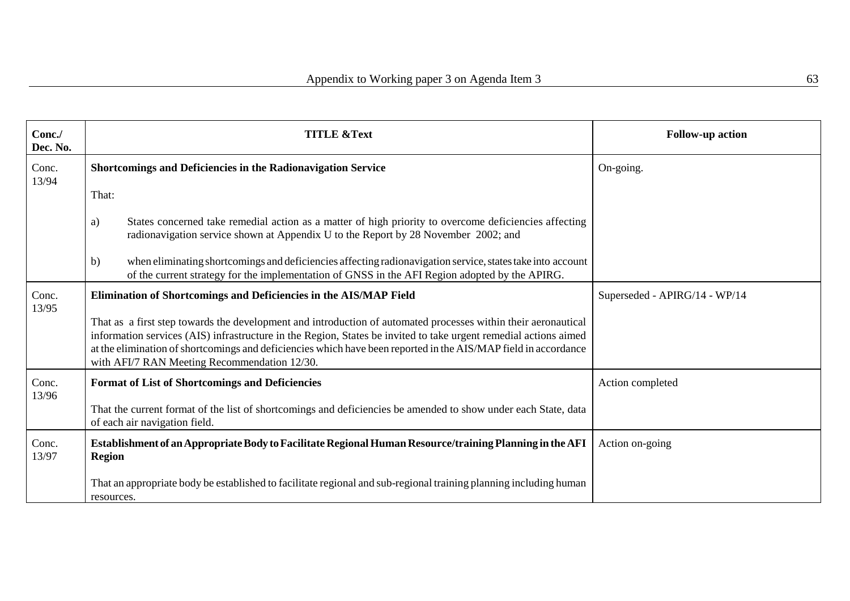| Conc./<br>Dec. No. | <b>TITLE &amp;Text</b>                                                                                                                                                                                                                                                                                                                                                                                | <b>Follow-up action</b>       |
|--------------------|-------------------------------------------------------------------------------------------------------------------------------------------------------------------------------------------------------------------------------------------------------------------------------------------------------------------------------------------------------------------------------------------------------|-------------------------------|
| Conc.<br>13/94     | Shortcomings and Deficiencies in the Radionavigation Service                                                                                                                                                                                                                                                                                                                                          | On-going.                     |
|                    | That:                                                                                                                                                                                                                                                                                                                                                                                                 |                               |
|                    | States concerned take remedial action as a matter of high priority to overcome deficiencies affecting<br>a)<br>radionavigation service shown at Appendix U to the Report by 28 November 2002; and                                                                                                                                                                                                     |                               |
|                    | when eliminating shortcomings and deficiencies affecting radionavigation service, states take into account<br>b)<br>of the current strategy for the implementation of GNSS in the AFI Region adopted by the APIRG.                                                                                                                                                                                    |                               |
| Conc.<br>13/95     | Elimination of Shortcomings and Deficiencies in the AIS/MAP Field                                                                                                                                                                                                                                                                                                                                     | Superseded - APIRG/14 - WP/14 |
|                    | That as a first step towards the development and introduction of automated processes within their aeronautical<br>information services (AIS) infrastructure in the Region, States be invited to take urgent remedial actions aimed<br>at the elimination of shortcomings and deficiencies which have been reported in the AIS/MAP field in accordance<br>with AFI/7 RAN Meeting Recommendation 12/30. |                               |
| Conc.<br>13/96     | <b>Format of List of Shortcomings and Deficiencies</b>                                                                                                                                                                                                                                                                                                                                                | Action completed              |
|                    | That the current format of the list of shortcomings and deficiencies be amended to show under each State, data<br>of each air navigation field.                                                                                                                                                                                                                                                       |                               |
| Conc.<br>13/97     | Establishment of an Appropriate Body to Facilitate Regional Human Resource/training Planning in the AFI<br><b>Region</b>                                                                                                                                                                                                                                                                              | Action on-going               |
|                    | That an appropriate body be established to facilitate regional and sub-regional training planning including human<br>resources.                                                                                                                                                                                                                                                                       |                               |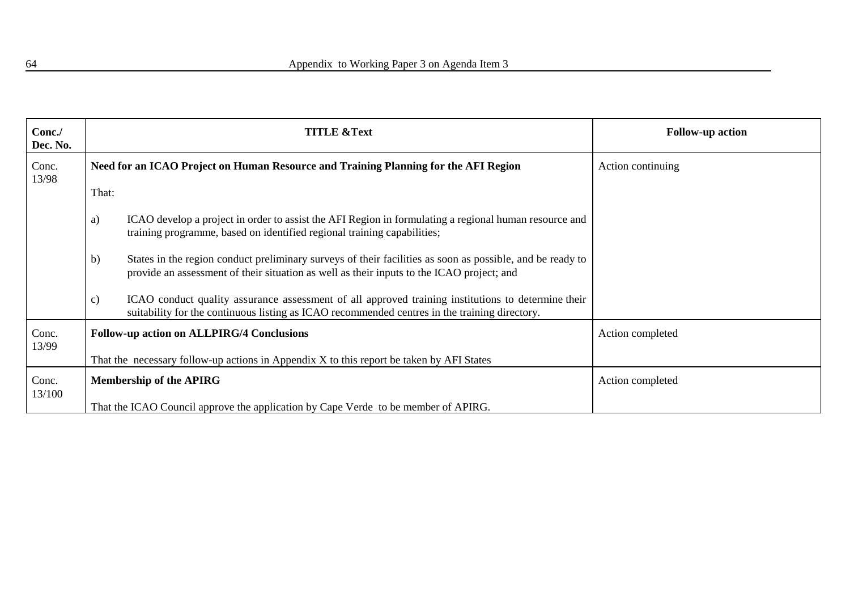| Conc./<br>Dec. No. |                                                                                          | <b>TITLE &amp;Text</b>                                                                                                                                                                                 | <b>Follow-up action</b> |
|--------------------|------------------------------------------------------------------------------------------|--------------------------------------------------------------------------------------------------------------------------------------------------------------------------------------------------------|-------------------------|
| Conc.<br>13/98     |                                                                                          | Need for an ICAO Project on Human Resource and Training Planning for the AFI Region                                                                                                                    | Action continuing       |
|                    | That:                                                                                    |                                                                                                                                                                                                        |                         |
|                    | a)                                                                                       | ICAO develop a project in order to assist the AFI Region in formulating a regional human resource and<br>training programme, based on identified regional training capabilities;                       |                         |
|                    | b)                                                                                       | States in the region conduct preliminary surveys of their facilities as soon as possible, and be ready to<br>provide an assessment of their situation as well as their inputs to the ICAO project; and |                         |
|                    | $\mathbf{c})$                                                                            | ICAO conduct quality assurance assessment of all approved training institutions to determine their<br>suitability for the continuous listing as ICAO recommended centres in the training directory.    |                         |
| Conc.<br>13/99     |                                                                                          | <b>Follow-up action on ALLPIRG/4 Conclusions</b>                                                                                                                                                       | Action completed        |
|                    | That the necessary follow-up actions in Appendix X to this report be taken by AFI States |                                                                                                                                                                                                        |                         |
| Conc.<br>13/100    |                                                                                          | <b>Membership of the APIRG</b>                                                                                                                                                                         | Action completed        |
|                    |                                                                                          | That the ICAO Council approve the application by Cape Verde to be member of APIRG.                                                                                                                     |                         |